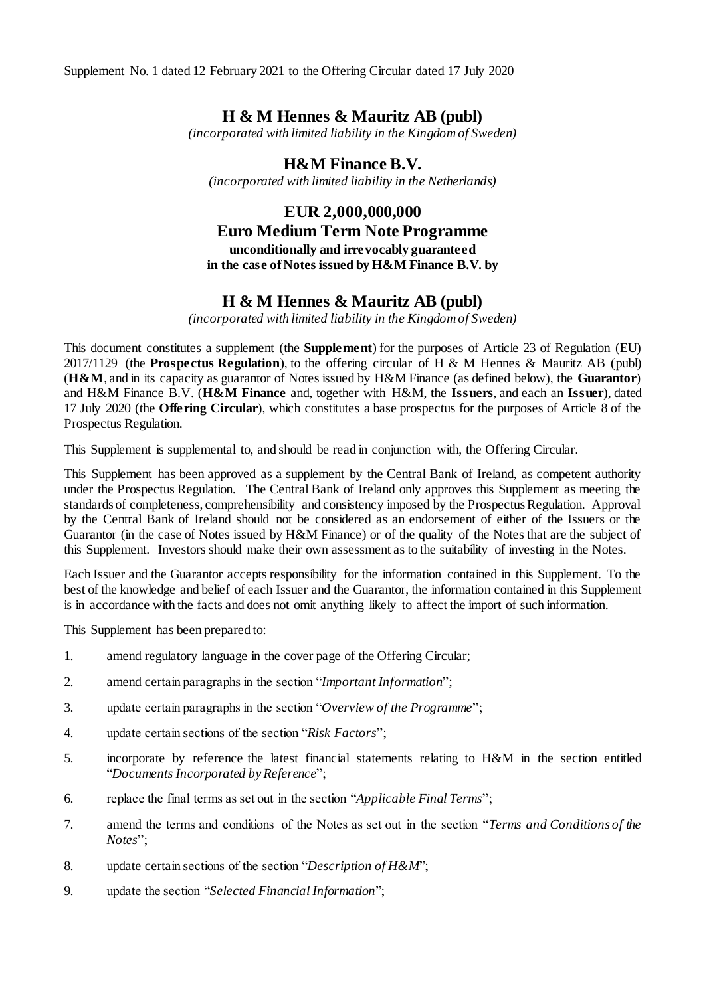Supplement No. 1 dated 12 February 2021 to the Offering Circular dated 17 July 2020

## **H & M Hennes & Mauritz AB (publ)**

*(incorporated with limited liability in the Kingdom of Sweden)*

**H&M Finance B.V.** *(incorporated with limited liability in the Netherlands)*

## **EUR 2,000,000,000 Euro Medium Term Note Programme unconditionally and irrevocably guaranteed in the case of Notes issued by H&M Finance B.V. by**

# **H & M Hennes & Mauritz AB (publ)**

*(incorporated with limited liability in the Kingdom of Sweden)*

This document constitutes a supplement (the **Supplement**) for the purposes of Article 23 of Regulation (EU) 2017/1129 (the **Prospectus Regulation**), to the offering circular of H & M Hennes & Mauritz AB (publ) (**H&M**, and in its capacity as guarantor of Notes issued by H&M Finance (as defined below), the **Guarantor**) and H&M Finance B.V. (**H&M Finance** and, together with H&M, the **Issuers**, and each an **Issuer**), dated 17 July 2020 (the **Offering Circular**), which constitutes a base prospectus for the purposes of Article 8 of the Prospectus Regulation.

This Supplement is supplemental to, and should be read in conjunction with, the Offering Circular.

This Supplement has been approved as a supplement by the Central Bank of Ireland, as competent authority under the Prospectus Regulation. The Central Bank of Ireland only approves this Supplement as meeting the standards of completeness, comprehensibility and consistency imposed by the Prospectus Regulation. Approval by the Central Bank of Ireland should not be considered as an endorsement of either of the Issuers or the Guarantor (in the case of Notes issued by H&M Finance) or of the quality of the Notes that are the subject of this Supplement. Investors should make their own assessment as to the suitability of investing in the Notes.

Each Issuer and the Guarantor accepts responsibility for the information contained in this Supplement. To the best of the knowledge and belief of each Issuer and the Guarantor, the information contained in this Supplement is in accordance with the facts and does not omit anything likely to affect the import of such information.

This Supplement has been prepared to:

- 1. amend regulatory language in the cover page of the Offering Circular;
- 2. amend certain paragraphs in the section "*Important Information*";
- 3. update certain paragraphs in the section "*Overview of the Programme*";
- 4. update certain sections of the section "*Risk Factors*";
- 5. incorporate by reference the latest financial statements relating to H&M in the section entitled "*Documents Incorporated by Reference*";
- 6. replace the final terms as set out in the section "*Applicable Final Terms*";
- 7. amend the terms and conditions of the Notes as set out in the section "*Terms and Conditions of the Notes*";
- 8. update certain sections of the section "*Description of H&M*";
- 9. update the section "*Selected Financial Information*";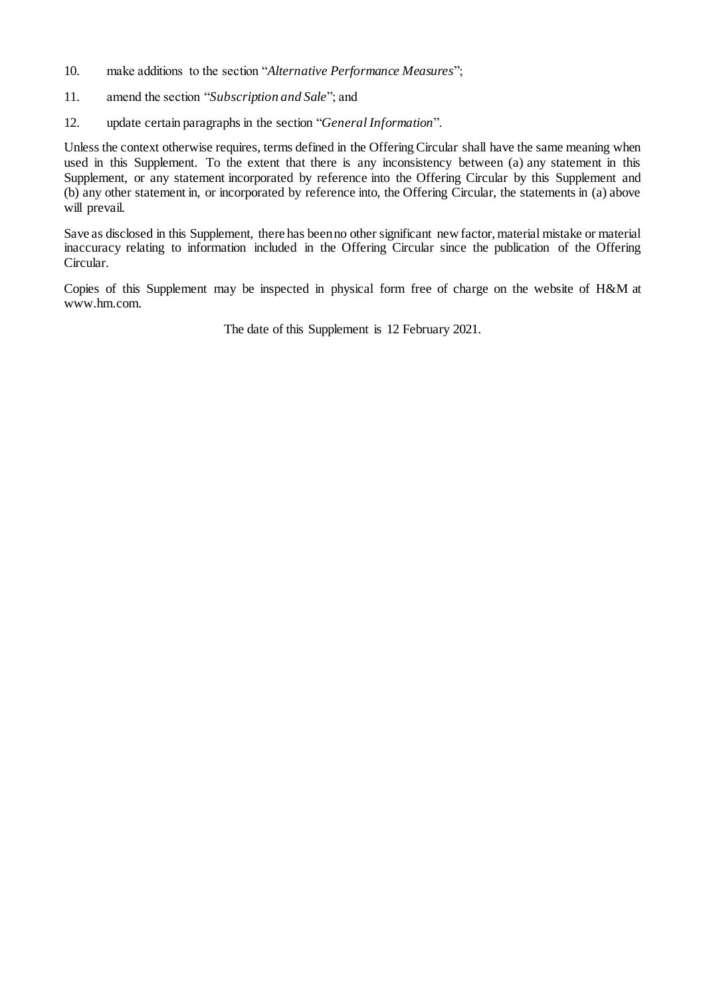- 10. make additions to the section "*Alternative Performance Measures*";
- 11. amend the section "*Subscription and Sale*"; and
- 12. update certain paragraphs in the section "*General Information*".

Unless the context otherwise requires, terms defined in the Offering Circular shall have the same meaning when used in this Supplement. To the extent that there is any inconsistency between (a) any statement in this Supplement, or any statement incorporated by reference into the Offering Circular by this Supplement and (b) any other statement in, or incorporated by reference into, the Offering Circular, the statements in (a) above will prevail.

Save as disclosed in this Supplement, there has been no other significant new factor, material mistake or material inaccuracy relating to information included in the Offering Circular since the publication of the Offering Circular.

Copies of this Supplement may be inspected in physical form free of charge on the website of H&M at www.hm.com.

The date of this Supplement is 12 February 2021.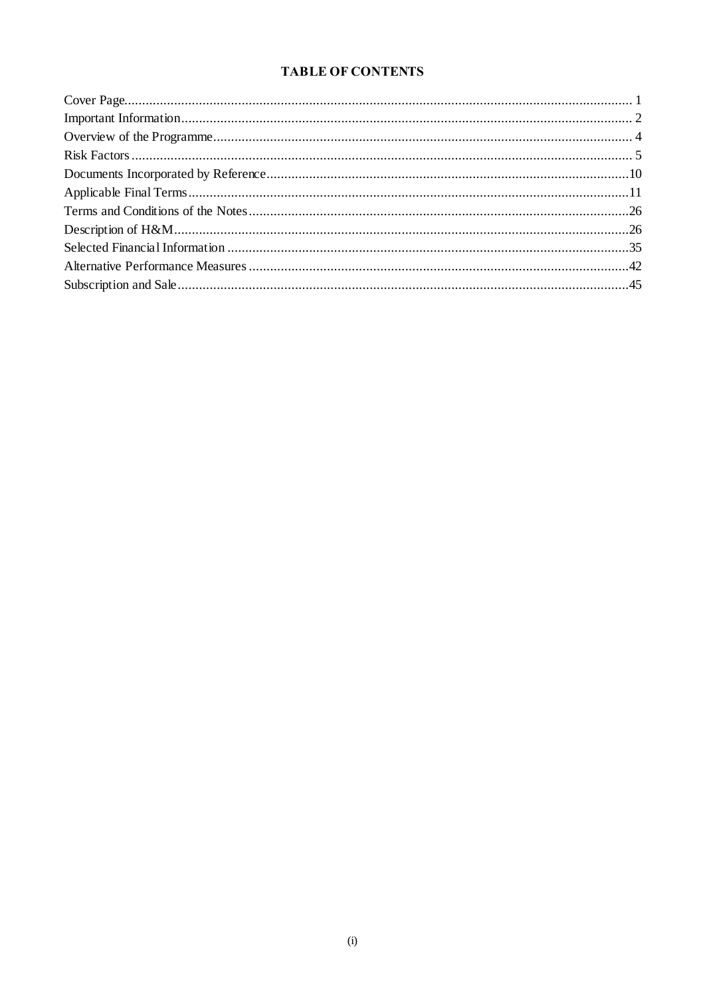## **TABLE OF CONTENTS**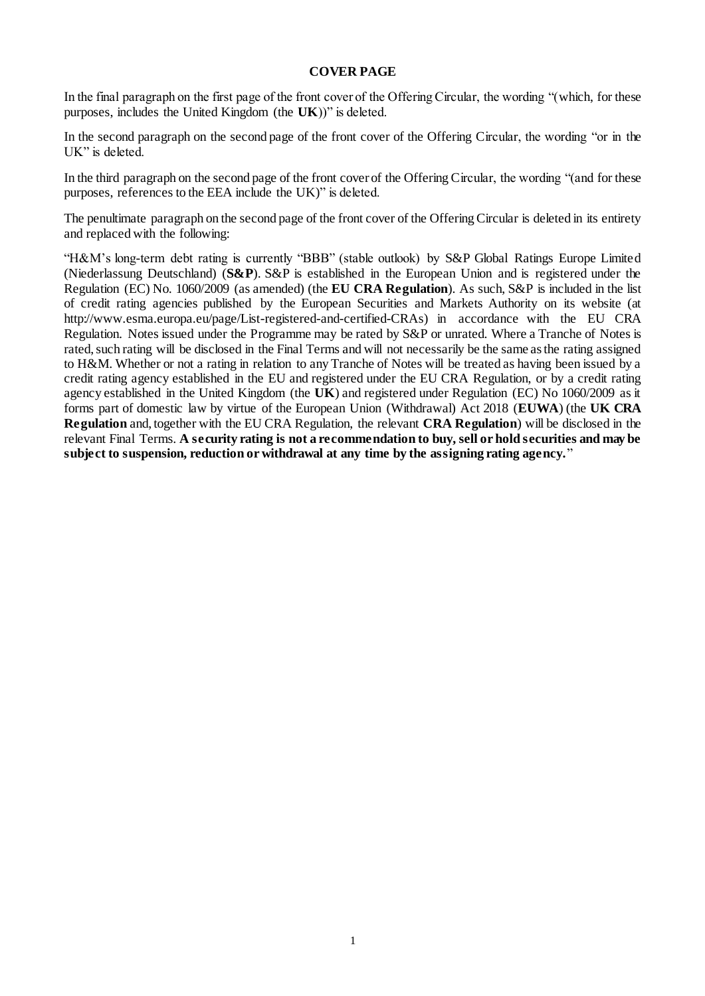#### **COVER PAGE**

In the final paragraph on the first page of the front cover of the Offering Circular, the wording "(which, for these purposes, includes the United Kingdom (the **UK**))" is deleted.

In the second paragraph on the second page of the front cover of the Offering Circular, the wording "or in the UK" is deleted.

In the third paragraph on the second page of the front cover of the Offering Circular, the wording "(and for these purposes, references to the EEA include the UK)" is deleted.

The penultimate paragraph on the second page of the front cover of the Offering Circular is deleted in its entirety and replaced with the following:

"H&M's long-term debt rating is currently "BBB" (stable outlook) by S&P Global Ratings Europe Limited (Niederlassung Deutschland) (**S&P**). S&P is established in the European Union and is registered under the Regulation (EC) No. 1060/2009 (as amended) (the **EU CRA Regulation**). As such, S&P is included in the list of credit rating agencies published by the European Securities and Markets Authority on its website (at http://www.esma.europa.eu/page/List-registered-and-certified-CRAs) in accordance with the EU CRA Regulation. Notes issued under the Programme may be rated by S&P or unrated. Where a Tranche of Notes is rated, such rating will be disclosed in the Final Terms and will not necessarily be the same as the rating assigned to H&M. Whether or not a rating in relation to any Tranche of Notes will be treated as having been issued by a credit rating agency established in the EU and registered under the EU CRA Regulation, or by a credit rating agency established in the United Kingdom (the **UK**) and registered under Regulation (EC) No 1060/2009 as it forms part of domestic law by virtue of the European Union (Withdrawal) Act 2018 (**EUWA**) (the **UK CRA Regulation** and, together with the EU CRA Regulation, the relevant **CRA Regulation**) will be disclosed in the relevant Final Terms. **A security rating is not a recommendation to buy, sell or hold securities and may be subject to suspension, reduction or withdrawal at any time by the assigning rating agency.**"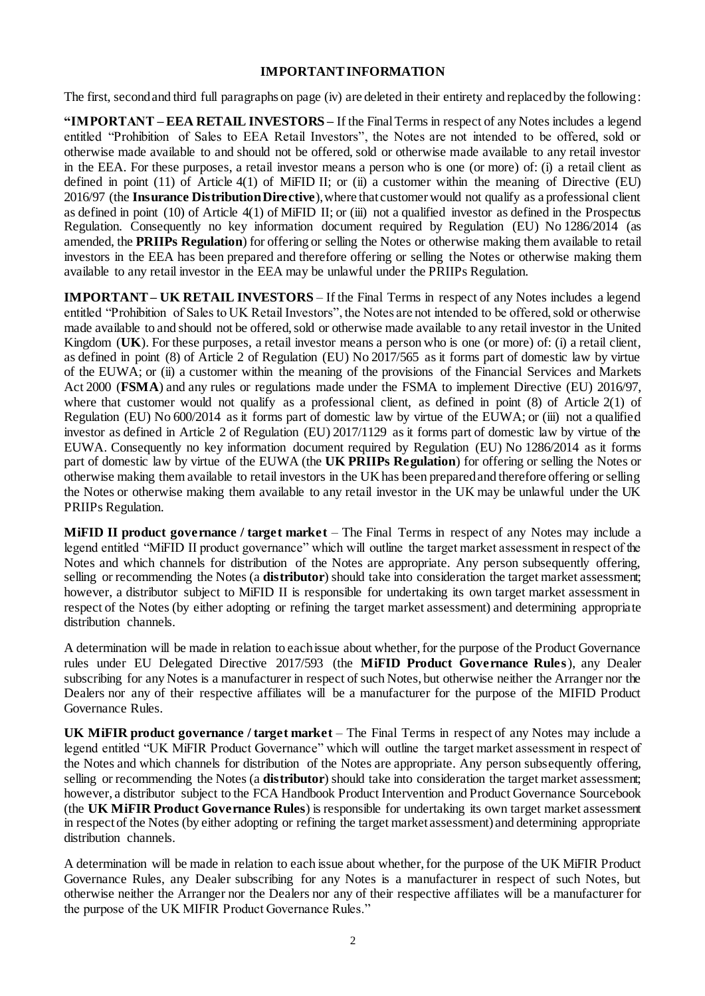#### **IMPORTANT INFORMATION**

The first, second and third full paragraphs on page (iv) are deleted in their entirety and replaced by the following:

**"IMPORTANT –EEA RETAIL INVESTORS –** If the Final Terms in respect of any Notes includes a legend entitled "Prohibition of Sales to EEA Retail Investors", the Notes are not intended to be offered, sold or otherwise made available to and should not be offered, sold or otherwise made available to any retail investor in the EEA. For these purposes, a retail investor means a person who is one (or more) of: (i) a retail client as defined in point  $(11)$  of Article  $4(1)$  of MiFID II; or (ii) a customer within the meaning of Directive (EU) 2016/97 (the **Insurance Distribution Directive**), where that customer would not qualify as a professional client as defined in point  $(10)$  of Article  $4(1)$  of MiFID II; or (iii) not a qualified investor as defined in the Prospectus Regulation. Consequently no key information document required by Regulation (EU) No 1286/2014 (as amended, the **PRIIPs Regulation**) for offering or selling the Notes or otherwise making them available to retail investors in the EEA has been prepared and therefore offering or selling the Notes or otherwise making them available to any retail investor in the EEA may be unlawful under the PRIIPs Regulation.

**IMPORTANT – UK RETAIL INVESTORS** – If the Final Terms in respect of any Notes includes a legend entitled "Prohibition of Sales to UK Retail Investors", the Notes are not intended to be offered, sold or otherwise made available to and should not be offered, sold or otherwise made available to any retail investor in the United Kingdom (**UK**). For these purposes, a retail investor means a person who is one (or more) of: (i) a retail client, as defined in point (8) of Article 2 of Regulation (EU) No 2017/565 as it forms part of domestic law by virtue of the EUWA; or (ii) a customer within the meaning of the provisions of the Financial Services and Markets Act 2000 (**FSMA**) and any rules or regulations made under the FSMA to implement Directive (EU) 2016/97, where that customer would not qualify as a professional client, as defined in point  $(8)$  of Article  $2(1)$  of Regulation (EU) No 600/2014 as it forms part of domestic law by virtue of the EUWA; or (iii) not a qualified investor as defined in Article 2 of Regulation (EU) 2017/1129 as it forms part of domestic law by virtue of the EUWA. Consequently no key information document required by Regulation (EU) No 1286/2014 as it forms part of domestic law by virtue of the EUWA (the **UK PRIIPs Regulation**) for offering or selling the Notes or otherwise making them available to retail investors in the UK has been prepared and therefore offering or selling the Notes or otherwise making them available to any retail investor in the UK may be unlawful under the UK PRIIPs Regulation.

**MiFID II product governance / target market** – The Final Terms in respect of any Notes may include a legend entitled "MiFID II product governance" which will outline the target market assessment in respect of the Notes and which channels for distribution of the Notes are appropriate. Any person subsequently offering, selling or recommending the Notes (a **distributor**) should take into consideration the target market assessment; however, a distributor subject to MiFID II is responsible for undertaking its own target market assessment in respect of the Notes (by either adopting or refining the target market assessment) and determining appropriate distribution channels.

A determination will be made in relation to each issue about whether, for the purpose of the Product Governance rules under EU Delegated Directive 2017/593 (the **MiFID Product Governance Rules**), any Dealer subscribing for any Notes is a manufacturer in respect of such Notes, but otherwise neither the Arranger nor the Dealers nor any of their respective affiliates will be a manufacturer for the purpose of the MIFID Product Governance Rules.

**UK MiFIR product governance / target market** – The Final Terms in respect of any Notes may include a legend entitled "UK MiFIR Product Governance" which will outline the target market assessment in respect of the Notes and which channels for distribution of the Notes are appropriate. Any person subsequently offering, selling or recommending the Notes (a **distributor**) should take into consideration the target market assessment; however, a distributor subject to the FCA Handbook Product Intervention and Product Governance Sourcebook (the **UK MiFIR Product Governance Rules**) is responsible for undertaking its own target market assessment in respect of the Notes (by either adopting or refining the target market assessment) and determining appropriate distribution channels.

A determination will be made in relation to each issue about whether, for the purpose of the UK MiFIR Product Governance Rules, any Dealer subscribing for any Notes is a manufacturer in respect of such Notes, but otherwise neither the Arranger nor the Dealers nor any of their respective affiliates will be a manufacturer for the purpose of the UK MIFIR Product Governance Rules."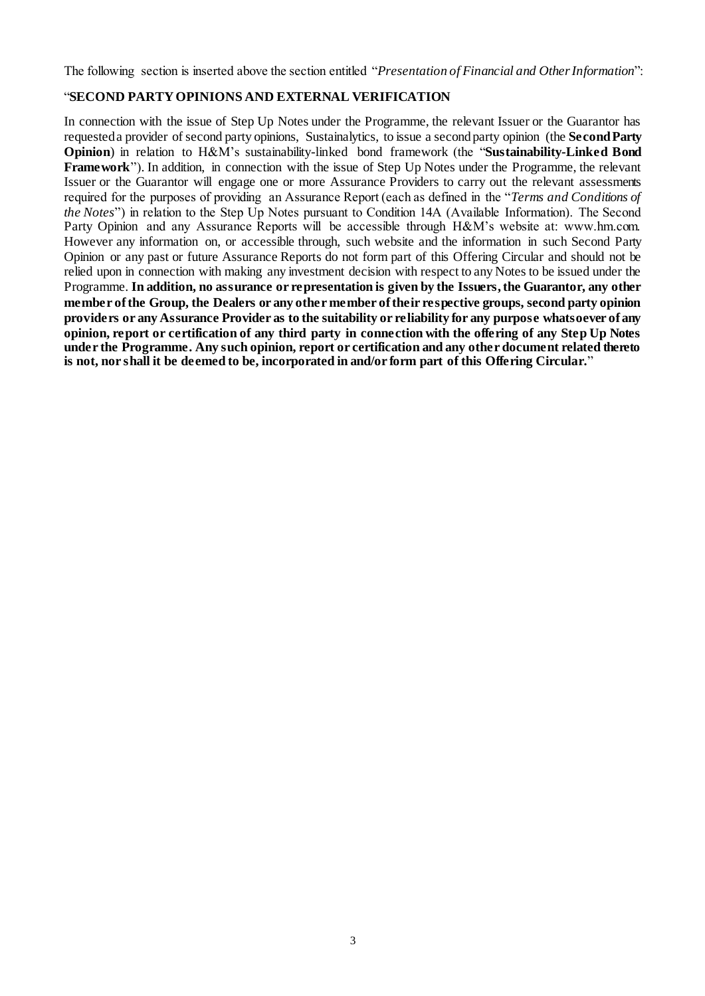The following section is inserted above the section entitled "*Presentation of Financial and Other Information*":

## "**SECOND PARTY OPINIONS AND EXTERNAL VERIFICATION**

In connection with the issue of Step Up Notes under the Programme, the relevant Issuer or the Guarantor has requested a provider of second party opinions, Sustainalytics, to issue a second party opinion (the **SecondParty Opinion**) in relation to H&M's sustainability-linked bond framework (the "**Sustainability-Linked Bond Framework**"). In addition, in connection with the issue of Step Up Notes under the Programme, the relevant Issuer or the Guarantor will engage one or more Assurance Providers to carry out the relevant assessments required for the purposes of providing an Assurance Report (each as defined in the "*Terms and Conditions of the Notes*") in relation to the Step Up Notes pursuant to Condition 14A (Available Information). The Second Party Opinion and any Assurance Reports will be accessible through H&M's website at: www.hm.com. However any information on, or accessible through, such website and the information in such Second Party Opinion or any past or future Assurance Reports do not form part of this Offering Circular and should not be relied upon in connection with making any investment decision with respect to any Notes to be issued under the Programme. **In addition, no assurance or representation is given by the Issuers, the Guarantor, any other member of the Group, the Dealers or any other member of their respective groups, second party opinion providers or any Assurance Provider as to the suitability or reliability for any purpose whatsoever of any opinion, report or certification of any third party in connection with the offering of any Step Up Notes under the Programme. Any such opinion, report or certification and any other document related thereto is not, nor shall it be deemed to be, incorporated in and/or form part of this Offering Circular.**"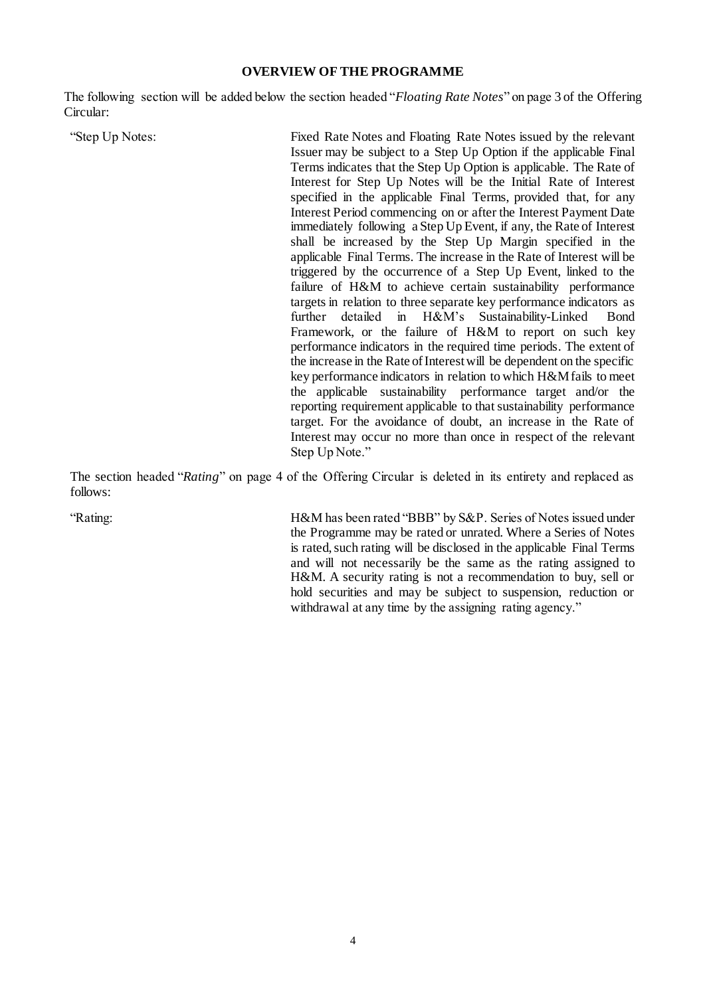#### **OVERVIEW OF THE PROGRAMME**

The following section will be added below the section headed "*Floating Rate Notes*" on page 3 of the Offering Circular:

"Step Up Notes: Fixed Rate Notes and Floating Rate Notes issued by the relevant Issuer may be subject to a Step Up Option if the applicable Final Terms indicates that the Step Up Option is applicable. The Rate of Interest for Step Up Notes will be the Initial Rate of Interest specified in the applicable Final Terms, provided that, for any Interest Period commencing on or after the Interest Payment Date immediately following a Step Up Event, if any, the Rate of Interest shall be increased by the Step Up Margin specified in the applicable Final Terms. The increase in the Rate of Interest will be triggered by the occurrence of a Step Up Event, linked to the failure of H&M to achieve certain sustainability performance targets in relation to three separate key performance indicators as further detailed in H&M's Sustainability-Linked Bond Framework, or the failure of H&M to report on such key performance indicators in the required time periods. The extent of the increase in the Rate of Interest will be dependent on the specific key performance indicators in relation to which H&M fails to meet the applicable sustainability performance target and/or the reporting requirement applicable to that sustainability performance target. For the avoidance of doubt, an increase in the Rate of Interest may occur no more than once in respect of the relevant Step Up Note."

The section headed "*Rating*" on page 4 of the Offering Circular is deleted in its entirety and replaced as follows:

"Rating: H&M has been rated "BBB" by S&P. Series of Notes issued under the Programme may be rated or unrated. Where a Series of Notes is rated, such rating will be disclosed in the applicable Final Terms and will not necessarily be the same as the rating assigned to H&M. A security rating is not a recommendation to buy, sell or hold securities and may be subject to suspension, reduction or withdrawal at any time by the assigning rating agency."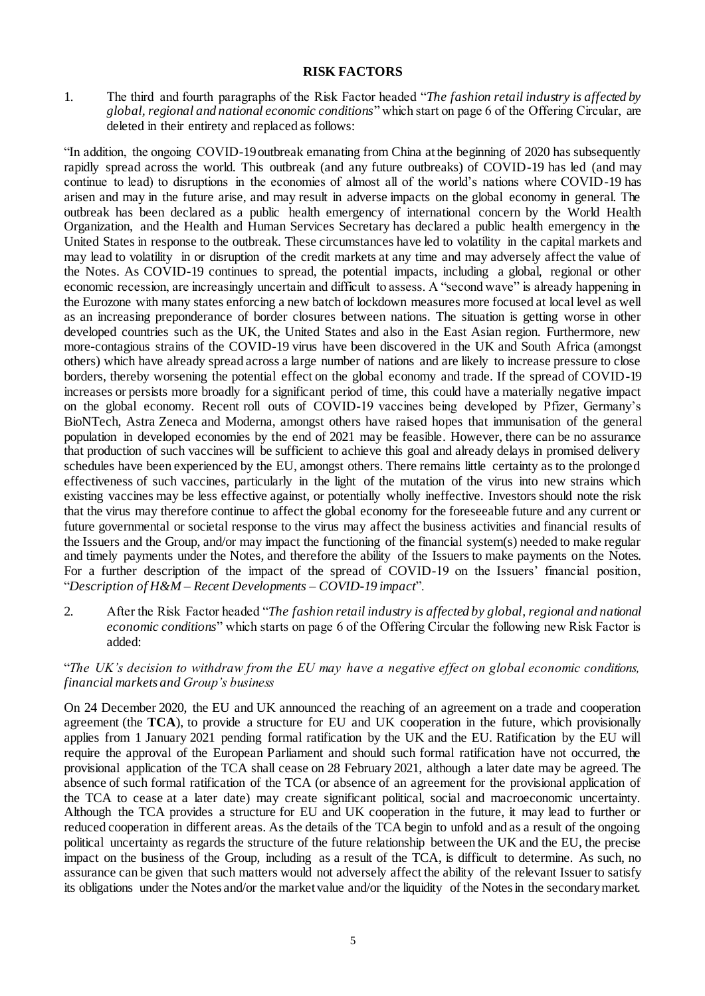#### **RISK FACTORS**

1. The third and fourth paragraphs of the Risk Factor headed "*The fashion retail industry is affected by global, regional and national economic conditions*" which start on page 6 of the Offering Circular, are deleted in their entirety and replaced as follows:

"In addition, the ongoing COVID-19 outbreak emanating from China at the beginning of 2020 has subsequently rapidly spread across the world. This outbreak (and any future outbreaks) of COVID-19 has led (and may continue to lead) to disruptions in the economies of almost all of the world's nations where COVID-19 has arisen and may in the future arise, and may result in adverse impacts on the global economy in general. The outbreak has been declared as a public health emergency of international concern by the World Health Organization, and the Health and Human Services Secretary has declared a public health emergency in the United States in response to the outbreak. These circumstances have led to volatility in the capital markets and may lead to volatility in or disruption of the credit markets at any time and may adversely affect the value of the Notes. As COVID-19 continues to spread, the potential impacts, including a global, regional or other economic recession, are increasingly uncertain and difficult to assess. A "second wave" is already happening in the Eurozone with many states enforcing a new batch of lockdown measures more focused at local level as well as an increasing preponderance of border closures between nations. The situation is getting worse in other developed countries such as the UK, the United States and also in the East Asian region. Furthermore, new more-contagious strains of the COVID-19 virus have been discovered in the UK and South Africa (amongst others) which have already spread across a large number of nations and are likely to increase pressure to close borders, thereby worsening the potential effect on the global economy and trade. If the spread of COVID-19 increases or persists more broadly for a significant period of time, this could have a materially negative impact on the global economy. Recent roll outs of COVID-19 vaccines being developed by Pfizer, Germany's BioNTech, Astra Zeneca and Moderna, amongst others have raised hopes that immunisation of the general population in developed economies by the end of 2021 may be feasible. However, there can be no assurance that production of such vaccines will be sufficient to achieve this goal and already delays in promised delivery schedules have been experienced by the EU, amongst others. There remains little certainty as to the prolonged effectiveness of such vaccines, particularly in the light of the mutation of the virus into new strains which existing vaccines may be less effective against, or potentially wholly ineffective. Investors should note the risk that the virus may therefore continue to affect the global economy for the foreseeable future and any current or future governmental or societal response to the virus may affect the business activities and financial results of the Issuers and the Group, and/or may impact the functioning of the financial system(s) needed to make regular and timely payments under the Notes, and therefore the ability of the Issuers to make payments on the Notes. For a further description of the impact of the spread of COVID-19 on the Issuers' financial position, "*Description of H&M – Recent Developments – COVID-19 impact*".

2. After the Risk Factor headed "*The fashion retail industry is affected by global, regional and national economic conditions*" which starts on page 6 of the Offering Circular the following new Risk Factor is added:

#### "*The UK's decision to withdraw from the EU may have a negative effect on global economic conditions, financial markets and Group's business*

On 24 December 2020, the EU and UK announced the reaching of an agreement on a trade and cooperation agreement (the **TCA**), to provide a structure for EU and UK cooperation in the future, which provisionally applies from 1 January 2021 pending formal ratification by the UK and the EU. Ratification by the EU will require the approval of the European Parliament and should such formal ratification have not occurred, the provisional application of the TCA shall cease on 28 February 2021, although a later date may be agreed. The absence of such formal ratification of the TCA (or absence of an agreement for the provisional application of the TCA to cease at a later date) may create significant political, social and macroeconomic uncertainty. Although the TCA provides a structure for EU and UK cooperation in the future, it may lead to further or reduced cooperation in different areas. As the details of the TCA begin to unfold and as a result of the ongoing political uncertainty as regards the structure of the future relationship between the UK and the EU, the precise impact on the business of the Group, including as a result of the TCA, is difficult to determine. As such, no assurance can be given that such matters would not adversely affect the ability of the relevant Issuer to satisfy its obligations under the Notes and/or the market value and/or the liquidity of the Notes in the secondary market.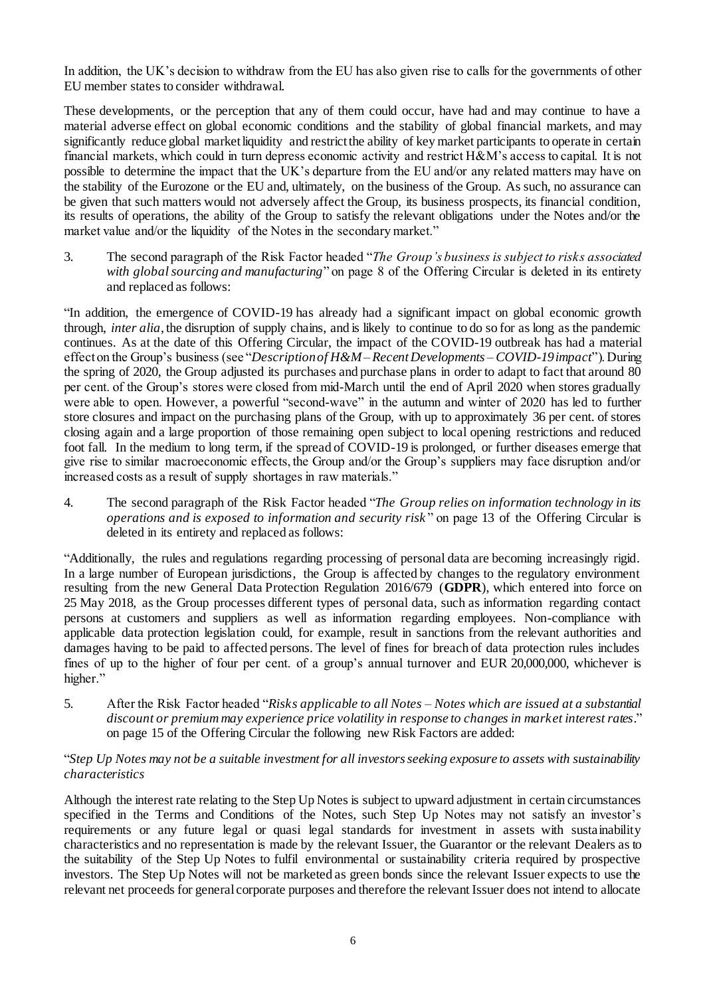In addition, the UK's decision to withdraw from the EU has also given rise to calls for the governments of other EU member states to consider withdrawal.

These developments, or the perception that any of them could occur, have had and may continue to have a material adverse effect on global economic conditions and the stability of global financial markets, and may significantly reduce global market liquidity and restrict the ability of key market participants to operate in certain financial markets, which could in turn depress economic activity and restrict H&M's access to capital. It is not possible to determine the impact that the UK's departure from the EU and/or any related matters may have on the stability of the Eurozone or the EU and, ultimately, on the business of the Group. As such, no assurance can be given that such matters would not adversely affect the Group, its business prospects, its financial condition, its results of operations, the ability of the Group to satisfy the relevant obligations under the Notes and/or the market value and/or the liquidity of the Notes in the secondary market."

3. The second paragraph of the Risk Factor headed "*The Group's business is subject to risks associated with global sourcing and manufacturing*" on page 8 of the Offering Circular is deleted in its entirety and replaced as follows:

"In addition, the emergence of COVID-19 has already had a significant impact on global economic growth through, *inter alia*, the disruption of supply chains, and is likely to continue to do so for as long as the pandemic continues. As at the date of this Offering Circular, the impact of the COVID-19 outbreak has had a material effect on the Group's business (see "*Description of H&M – Recent Developments – COVID-19 impact*"). During the spring of 2020, the Group adjusted its purchases and purchase plans in order to adapt to fact that around 80 per cent. of the Group's stores were closed from mid-March until the end of April 2020 when stores gradually were able to open. However, a powerful "second-wave" in the autumn and winter of 2020 has led to further store closures and impact on the purchasing plans of the Group, with up to approximately 36 per cent. of stores closing again and a large proportion of those remaining open subject to local opening restrictions and reduced foot fall. In the medium to long term, if the spread of COVID-19 is prolonged, or further diseases emerge that give rise to similar macroeconomic effects, the Group and/or the Group's suppliers may face disruption and/or increased costs as a result of supply shortages in raw materials."

4. The second paragraph of the Risk Factor headed "*The Group relies on information technology in its operations and is exposed to information and security risk* " on page 13 of the Offering Circular is deleted in its entirety and replaced as follows:

"Additionally, the rules and regulations regarding processing of personal data are becoming increasingly rigid. In a large number of European jurisdictions, the Group is affected by changes to the regulatory environment resulting from the new General Data Protection Regulation 2016/679 (**GDPR**), which entered into force on 25 May 2018, as the Group processes different types of personal data, such as information regarding contact persons at customers and suppliers as well as information regarding employees. Non-compliance with applicable data protection legislation could, for example, result in sanctions from the relevant authorities and damages having to be paid to affected persons. The level of fines for breach of data protection rules includes fines of up to the higher of four per cent. of a group's annual turnover and EUR 20,000,000, whichever is higher."

5. After the Risk Factor headed "*Risks applicable to all Notes – Notes which are issued at a substantial discount or premium may experience price volatility in response to changes in market interest rates*." on page 15 of the Offering Circular the following new Risk Factors are added:

#### "*Step Up Notes may not be a suitable investment for all investors seeking exposure to assets with sustainability characteristics*

Although the interest rate relating to the Step Up Notes is subject to upward adjustment in certain circumstances specified in the Terms and Conditions of the Notes, such Step Up Notes may not satisfy an investor's requirements or any future legal or quasi legal standards for investment in assets with sustainability characteristics and no representation is made by the relevant Issuer, the Guarantor or the relevant Dealers as to the suitability of the Step Up Notes to fulfil environmental or sustainability criteria required by prospective investors. The Step Up Notes will not be marketed as green bonds since the relevant Issuer expects to use the relevant net proceeds for general corporate purposes and therefore the relevant Issuer does not intend to allocate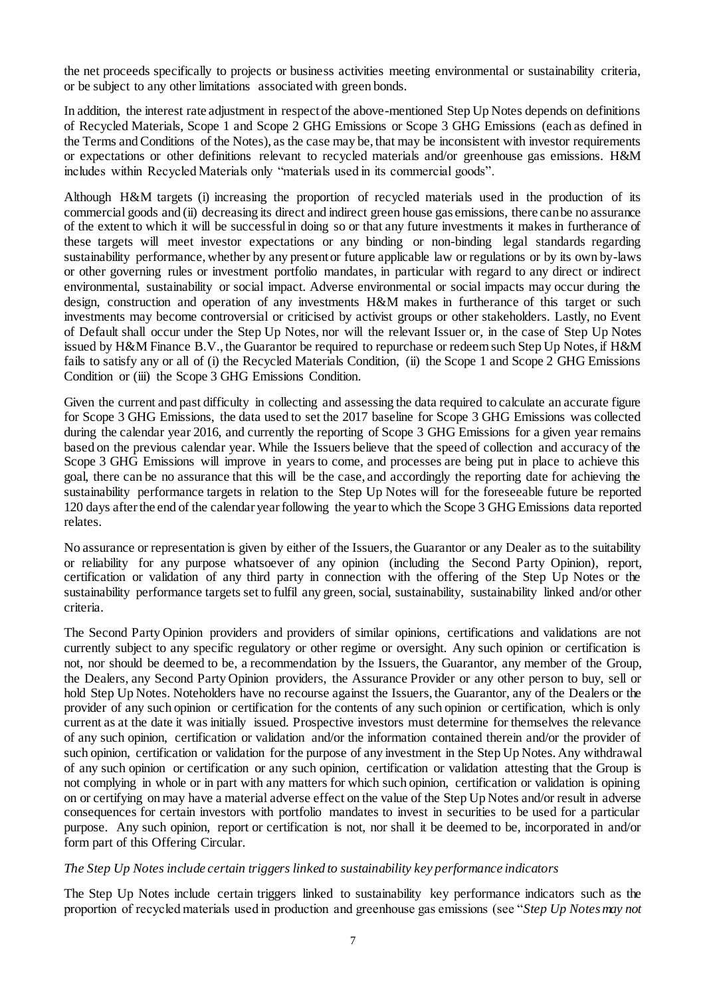the net proceeds specifically to projects or business activities meeting environmental or sustainability criteria, or be subject to any other limitations associated with green bonds.

In addition, the interest rate adjustment in respect of the above-mentioned Step Up Notes depends on definitions of Recycled Materials, Scope 1 and Scope 2 GHG Emissions or Scope 3 GHG Emissions (each as defined in the Terms and Conditions of the Notes), as the case may be, that may be inconsistent with investor requirements or expectations or other definitions relevant to recycled materials and/or greenhouse gas emissions. H&M includes within Recycled Materials only "materials used in its commercial goods".

Although H&M targets (i) increasing the proportion of recycled materials used in the production of its commercial goods and (ii) decreasing its direct and indirect green house gas emissions, there can be no assurance of the extent to which it will be successful in doing so or that any future investments it makes in furtherance of these targets will meet investor expectations or any binding or non-binding legal standards regarding sustainability performance, whether by any present or future applicable law or regulations or by its own by-laws or other governing rules or investment portfolio mandates, in particular with regard to any direct or indirect environmental, sustainability or social impact. Adverse environmental or social impacts may occur during the design, construction and operation of any investments H&M makes in furtherance of this target or such investments may become controversial or criticised by activist groups or other stakeholders. Lastly, no Event of Default shall occur under the Step Up Notes, nor will the relevant Issuer or, in the case of Step Up Notes issued by H&M Finance B.V., the Guarantor be required to repurchase or redeem such Step Up Notes, if H&M fails to satisfy any or all of (i) the Recycled Materials Condition, (ii) the Scope 1 and Scope 2 GHG Emissions Condition or (iii) the Scope 3 GHG Emissions Condition.

Given the current and past difficulty in collecting and assessing the data required to calculate an accurate figure for Scope 3 GHG Emissions, the data used to set the 2017 baseline for Scope 3 GHG Emissions was collected during the calendar year 2016, and currently the reporting of Scope 3 GHG Emissions for a given year remains based on the previous calendar year. While the Issuers believe that the speed of collection and accuracy of the Scope 3 GHG Emissions will improve in years to come, and processes are being put in place to achieve this goal, there can be no assurance that this will be the case, and accordingly the reporting date for achieving the sustainability performance targets in relation to the Step Up Notes will for the foreseeable future be reported 120 days after the end of the calendar year following the year to which the Scope 3 GHG Emissions data reported relates.

No assurance or representation is given by either of the Issuers, the Guarantor or any Dealer as to the suitability or reliability for any purpose whatsoever of any opinion (including the Second Party Opinion), report, certification or validation of any third party in connection with the offering of the Step Up Notes or the sustainability performance targets set to fulfil any green, social, sustainability, sustainability linked and/or other criteria.

The Second Party Opinion providers and providers of similar opinions, certifications and validations are not currently subject to any specific regulatory or other regime or oversight. Any such opinion or certification is not, nor should be deemed to be, a recommendation by the Issuers, the Guarantor, any member of the Group, the Dealers, any Second Party Opinion providers, the Assurance Provider or any other person to buy, sell or hold Step Up Notes. Noteholders have no recourse against the Issuers, the Guarantor, any of the Dealers or the provider of any such opinion or certification for the contents of any such opinion or certification, which is only current as at the date it was initially issued. Prospective investors must determine for themselves the relevance of any such opinion, certification or validation and/or the information contained therein and/or the provider of such opinion, certification or validation for the purpose of any investment in the Step Up Notes. Any withdrawal of any such opinion or certification or any such opinion, certification or validation attesting that the Group is not complying in whole or in part with any matters for which such opinion, certification or validation is opining on or certifying on may have a material adverse effect on the value of the Step Up Notes and/or result in adverse consequences for certain investors with portfolio mandates to invest in securities to be used for a particular purpose. Any such opinion, report or certification is not, nor shall it be deemed to be, incorporated in and/or form part of this Offering Circular.

#### *The Step Up Notes include certain triggers linked to sustainability key performance indicators*

The Step Up Notes include certain triggers linked to sustainability key performance indicators such as the proportion of recycled materials used in production and greenhouse gas emissions (see "*Step Up Notes may not*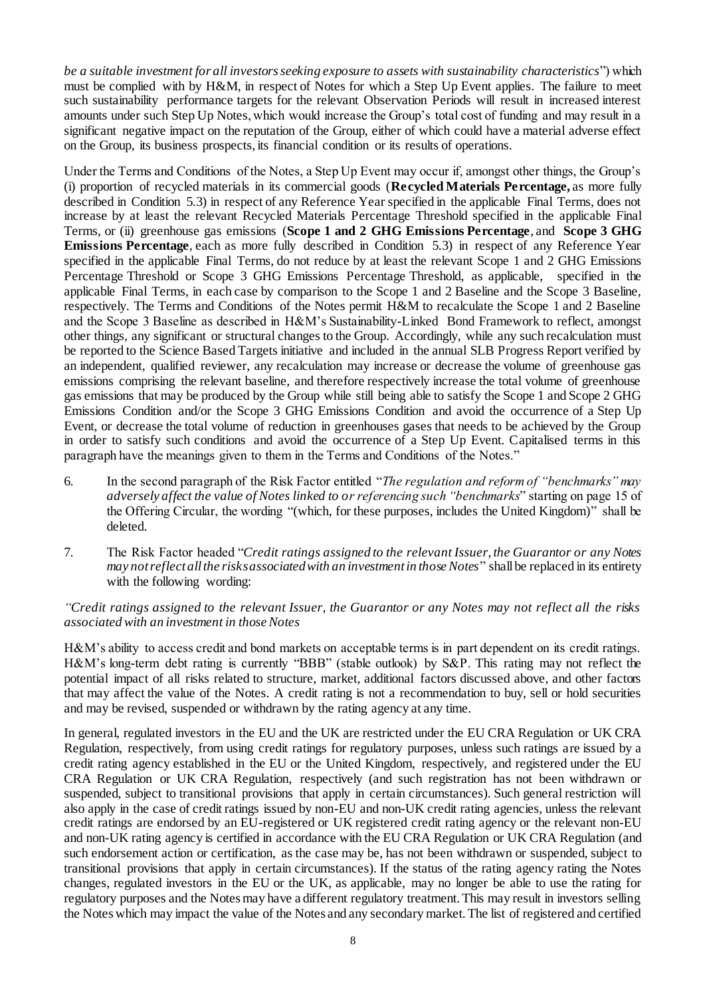*be a suitable investment for all investors seeking exposure to assets with sustainability characteristics*") which must be complied with by H&M, in respect of Notes for which a Step Up Event applies. The failure to meet such sustainability performance targets for the relevant Observation Periods will result in increased interest amounts under such Step Up Notes, which would increase the Group's total cost of funding and may result in a significant negative impact on the reputation of the Group, either of which could have a material adverse effect on the Group, its business prospects, its financial condition or its results of operations.

Under the Terms and Conditions of the Notes, a Step Up Event may occur if, amongst other things, the Group's (i) proportion of recycled materials in its commercial goods (**Recycled Materials Percentage,** as more fully described in Condition 5.3) in respect of any Reference Year specified in the applicable Final Terms, does not increase by at least the relevant Recycled Materials Percentage Threshold specified in the applicable Final Terms, or (ii) greenhouse gas emissions (**Scope 1 and 2 GHG Emissions Percentage**, and **Scope 3 GHG Emissions Percentage**, each as more fully described in Condition 5.3) in respect of any Reference Year specified in the applicable Final Terms, do not reduce by at least the relevant Scope 1 and 2 GHG Emissions Percentage Threshold or Scope 3 GHG Emissions Percentage Threshold, as applicable, specified in the applicable Final Terms, in each case by comparison to the Scope 1 and 2 Baseline and the Scope 3 Baseline, respectively. The Terms and Conditions of the Notes permit H&M to recalculate the Scope 1 and 2 Baseline and the Scope 3 Baseline as described in H&M's Sustainability-Linked Bond Framework to reflect, amongst other things, any significant or structural changes to the Group. Accordingly, while any such recalculation must be reported to the Science Based Targets initiative and included in the annual SLB Progress Report verified by an independent, qualified reviewer, any recalculation may increase or decrease the volume of greenhouse gas emissions comprising the relevant baseline, and therefore respectively increase the total volume of greenhouse gas emissions that may be produced by the Group while still being able to satisfy the Scope 1 and Scope 2 GHG Emissions Condition and/or the Scope 3 GHG Emissions Condition and avoid the occurrence of a Step Up Event, or decrease the total volume of reduction in greenhouses gases that needs to be achieved by the Group in order to satisfy such conditions and avoid the occurrence of a Step Up Event. Capitalised terms in this paragraph have the meanings given to them in the Terms and Conditions of the Notes."

- 6. In the second paragraph of the Risk Factor entitled "*The regulation and reform of "benchmarks" may adversely affect the value of Notes linked to or referencing such "benchmarks*" starting on page 15 of the Offering Circular, the wording "(which, for these purposes, includes the United Kingdom)" shall be deleted.
- 7. The Risk Factor headed "*Credit ratings assigned to the relevant Issuer, the Guarantor or any Notes may not reflect all the risks associated with an investment in those Notes*" shall be replaced in its entirety with the following wording:

*"Credit ratings assigned to the relevant Issuer, the Guarantor or any Notes may not reflect all the risks associated with an investment in those Notes*

H&M's ability to access credit and bond markets on acceptable terms is in part dependent on its credit ratings. H&M's long-term debt rating is currently "BBB" (stable outlook) by S&P. This rating may not reflect the potential impact of all risks related to structure, market, additional factors discussed above, and other factors that may affect the value of the Notes. A credit rating is not a recommendation to buy, sell or hold securities and may be revised, suspended or withdrawn by the rating agency at any time.

In general, regulated investors in the EU and the UK are restricted under the EU CRA Regulation or UK CRA Regulation, respectively, from using credit ratings for regulatory purposes, unless such ratings are issued by a credit rating agency established in the EU or the United Kingdom, respectively, and registered under the EU CRA Regulation or UK CRA Regulation, respectively (and such registration has not been withdrawn or suspended, subject to transitional provisions that apply in certain circumstances). Such general restriction will also apply in the case of credit ratings issued by non-EU and non-UK credit rating agencies, unless the relevant credit ratings are endorsed by an EU-registered or UK registered credit rating agency or the relevant non-EU and non-UK rating agency is certified in accordance with the EU CRA Regulation or UK CRA Regulation (and such endorsement action or certification, as the case may be, has not been withdrawn or suspended, subject to transitional provisions that apply in certain circumstances). If the status of the rating agency rating the Notes changes, regulated investors in the EU or the UK, as applicable, may no longer be able to use the rating for regulatory purposes and the Notes may have a different regulatory treatment. This may result in investors selling the Notes which may impact the value of the Notes and any secondary market. The list of registered and certified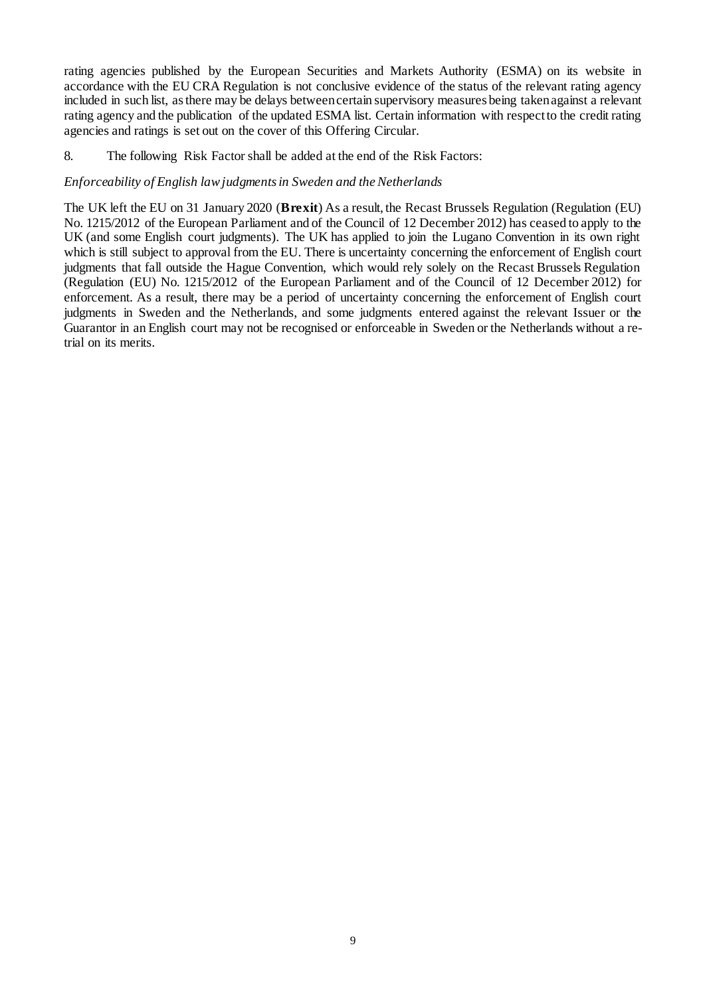rating agencies published by the European Securities and Markets Authority (ESMA) on its website in accordance with the EU CRA Regulation is not conclusive evidence of the status of the relevant rating agency included in such list, as there may be delays between certain supervisory measures being taken against a relevant rating agency and the publication of the updated ESMA list. Certain information with respect to the credit rating agencies and ratings is set out on the cover of this Offering Circular.

8. The following Risk Factor shall be added at the end of the Risk Factors:

#### *Enforceability of English law judgments in Sweden and the Netherlands*

The UK left the EU on 31 January 2020 (**Brexit**) As a result, the Recast Brussels Regulation (Regulation (EU) No. 1215/2012 of the European Parliament and of the Council of 12 December 2012) has ceased to apply to the UK (and some English court judgments). The UK has applied to join the Lugano Convention in its own right which is still subject to approval from the EU. There is uncertainty concerning the enforcement of English court judgments that fall outside the Hague Convention, which would rely solely on the Recast Brussels Regulation (Regulation (EU) No. 1215/2012 of the European Parliament and of the Council of 12 December 2012) for enforcement. As a result, there may be a period of uncertainty concerning the enforcement of English court judgments in Sweden and the Netherlands, and some judgments entered against the relevant Issuer or the Guarantor in an English court may not be recognised or enforceable in Sweden or the Netherlands without a retrial on its merits.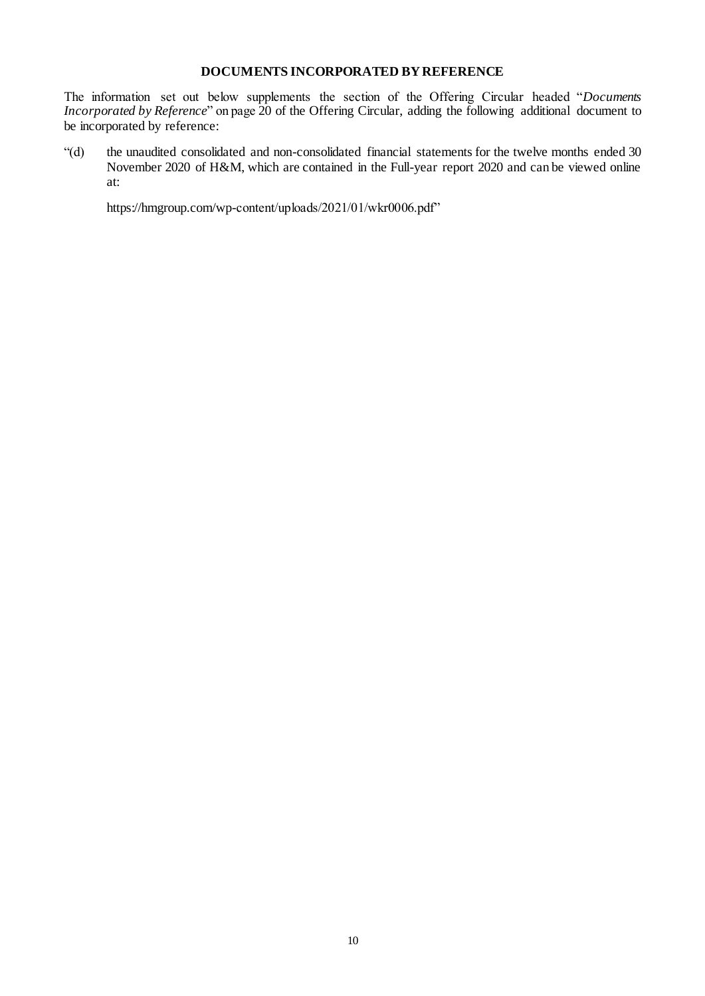## **DOCUMENTS INCORPORATED BY REFERENCE**

The information set out below supplements the section of the Offering Circular headed "*Documents Incorporated by Reference*" on page 20 of the Offering Circular, adding the following additional document to be incorporated by reference:

"(d) the unaudited consolidated and non-consolidated financial statements for the twelve months ended 30 November 2020 of H&M, which are contained in the Full-year report 2020 and can be viewed online at:

https://hmgroup.com/wp-content/uploads/2021/01/wkr0006.pdf"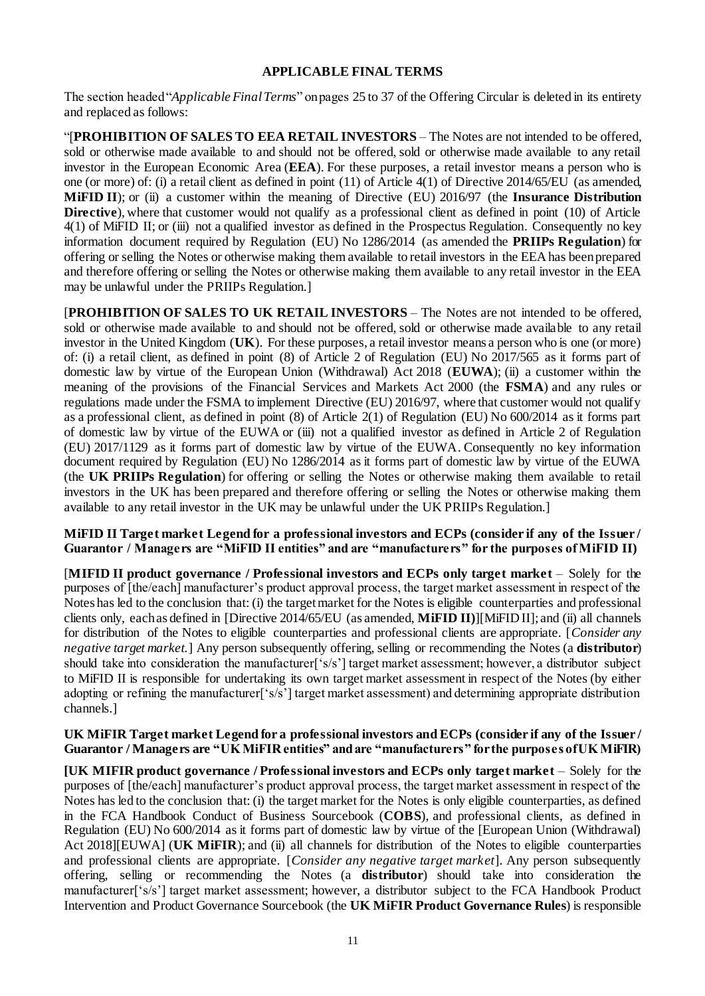#### **APPLICABLE FINAL TERMS**

The section headed "*Applicable Final Terms*" on pages 25 to 37 of the Offering Circular is deleted in its entirety and replaced as follows:

"[**PROHIBITION OF SALES TO EEA RETAIL INVESTORS** – The Notes are not intended to be offered, sold or otherwise made available to and should not be offered, sold or otherwise made available to any retail investor in the European Economic Area (**EEA**). For these purposes, a retail investor means a person who is one (or more) of: (i) a retail client as defined in point (11) of Article 4(1) of Directive 2014/65/EU (as amended, **MiFID II**); or (ii) a customer within the meaning of Directive (EU) 2016/97 (the **Insurance Distribution Directive**), where that customer would not qualify as a professional client as defined in point (10) of Article 4(1) of MiFID II; or (iii) not a qualified investor as defined in the Prospectus Regulation. Consequently no key information document required by Regulation (EU) No 1286/2014 (as amended the **PRIIPs Regulation**) for offering or selling the Notes or otherwise making them available to retail investors in the EEA has been prepared and therefore offering or selling the Notes or otherwise making them available to any retail investor in the EEA may be unlawful under the PRIIPs Regulation.]

[**PROHIBITION OF SALES TO UK RETAIL INVESTORS** – The Notes are not intended to be offered, sold or otherwise made available to and should not be offered, sold or otherwise made available to any retail investor in the United Kingdom (**UK**). For these purposes, a retail investor means a person who is one (or more) of: (i) a retail client, as defined in point (8) of Article 2 of Regulation (EU) No 2017/565 as it forms part of domestic law by virtue of the European Union (Withdrawal) Act 2018 (**EUWA**); (ii) a customer within the meaning of the provisions of the Financial Services and Markets Act 2000 (the **FSMA**) and any rules or regulations made under the FSMA to implement Directive (EU) 2016/97, where that customer would not qualify as a professional client, as defined in point (8) of Article 2(1) of Regulation (EU) No 600/2014 as it forms part of domestic law by virtue of the EUWA or (iii) not a qualified investor as defined in Article 2 of Regulation (EU) 2017/1129 as it forms part of domestic law by virtue of the EUWA. Consequently no key information document required by Regulation (EU) No 1286/2014 as it forms part of domestic law by virtue of the EUWA (the **UK PRIIPs Regulation**) for offering or selling the Notes or otherwise making them available to retail investors in the UK has been prepared and therefore offering or selling the Notes or otherwise making them available to any retail investor in the UK may be unlawful under the UK PRIIPs Regulation.]

**MiFID II Target market Legend for a professional investors and ECPs (consider if any of the Issuer / Guarantor / Managers are "MiFID II entities" and are "manufacturers" for the purposes of MiFID II)** 

[**MIFID II product governance / Professional investors and ECPs only target market** – Solely for the purposes of [the/each] manufacturer's product approval process, the target market assessment in respect of the Notes has led to the conclusion that: (i) the target market for the Notes is eligible counterparties and professional clients only, each as defined in [Directive 2014/65/EU (as amended, **MiFID II)**][MiFID II]; and (ii) all channels for distribution of the Notes to eligible counterparties and professional clients are appropriate. [*Consider any negative target market.*] Any person subsequently offering, selling or recommending the Notes (a **distributor**) should take into consideration the manufacturer<sup>['s/s']</sup> target market assessment; however, a distributor subject to MiFID II is responsible for undertaking its own target market assessment in respect of the Notes (by either adopting or refining the manufacturer<sup>['s</sup>/s<sup>'</sup>] target market assessment) and determining appropriate distribution channels.]

#### **UK MiFIR Target market Legend for a professional investors and ECPs (consider if any of the Issuer / Guarantor / Managers are "UK MiFIR entities" and are "manufacturers" for the purposes of UK MiFIR)**

**[UK MIFIR product governance / Professional investors and ECPs only target market** – Solely for the purposes of [the/each] manufacturer's product approval process, the target market assessment in respect of the Notes has led to the conclusion that: (i) the target market for the Notes is only eligible counterparties, as defined in the FCA Handbook Conduct of Business Sourcebook (**COBS**), and professional clients, as defined in Regulation (EU) No 600/2014 as it forms part of domestic law by virtue of the [European Union (Withdrawal) Act 2018][EUWA] (U**K MiFIR**); and (ii) all channels for distribution of the Notes to eligible counterparties and professional clients are appropriate. [*Consider any negative target market*]. Any person subsequently offering, selling or recommending the Notes (a **distributor**) should take into consideration the manufacturer['s/s'] target market assessment; however, a distributor subject to the FCA Handbook Product Intervention and Product Governance Sourcebook (the **UK MiFIR Product Governance Rules**) is responsible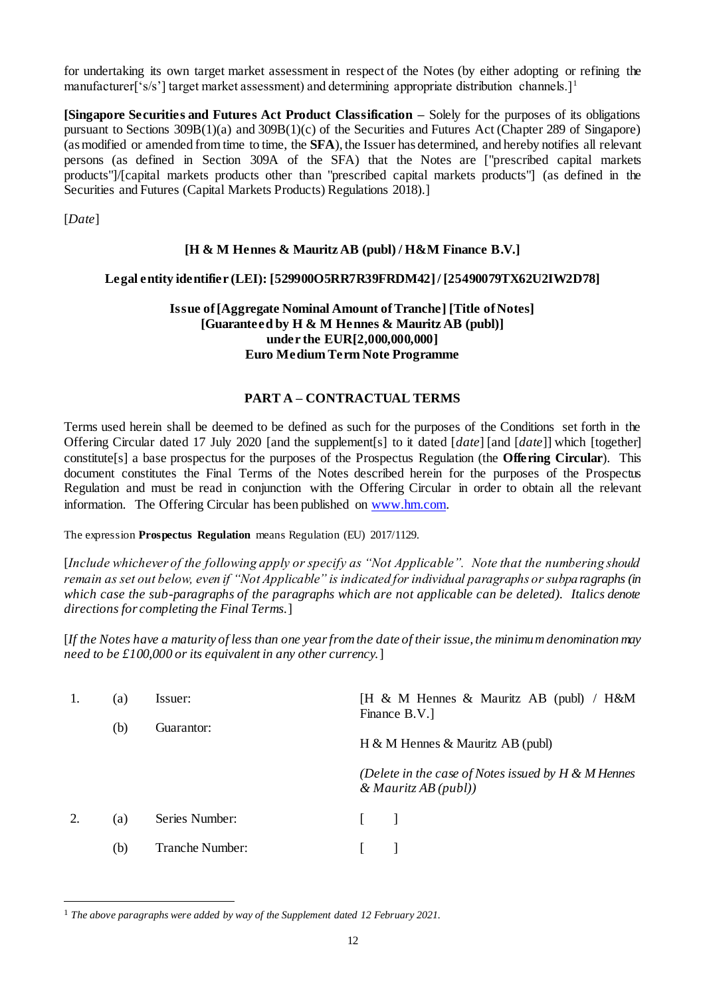for undertaking its own target market assessment in respect of the Notes (by either adopting or refining the manufacturer<sup>['s</sup>/s'] target market assessment) and determining appropriate distribution channels.<sup>11</sup>

**[Singapore Securities and Futures Act Product Classification –** Solely for the purposes of its obligations pursuant to Sections 309B(1)(a) and 309B(1)(c) of the Securities and Futures Act (Chapter 289 of Singapore) (as modified or amended from time to time, the **SFA**), the Issuer has determined, and hereby notifies all relevant persons (as defined in Section 309A of the SFA) that the Notes are ["prescribed capital markets products"]/[capital markets products other than "prescribed capital markets products"] (as defined in the Securities and Futures (Capital Markets Products) Regulations 2018).]

[*Date*]

l

## **[H & M Hennes & Mauritz AB (publ) / H&M Finance B.V.]**

### **Legal entity identifier (LEI): [529900O5RR7R39FRDM42]/ [25490079TX62U2IW2D78]**

#### **Issue of [Aggregate Nominal Amount of Tranche] [Title of Notes] [Guaranteed by H & M Hennes & Mauritz AB (publ)] under the EUR[2,000,000,000] Euro Medium Term Note Programme**

### **PART A – CONTRACTUAL TERMS**

Terms used herein shall be deemed to be defined as such for the purposes of the Conditions set forth in the Offering Circular dated 17 July 2020 [and the supplement[s] to it dated [*date*] [and [*date*]] which [together] constitute[s] a base prospectus for the purposes of the Prospectus Regulation (the **Offering Circular**). This document constitutes the Final Terms of the Notes described herein for the purposes of the Prospectus Regulation and must be read in conjunction with the Offering Circular in order to obtain all the relevant information. The Offering Circular has been published on [www.hm.com.](http://www.hm.com/)

The expression **Prospectus Regulation** means Regulation (EU) 2017/1129.

[*Include whichever of the following apply or specify as "Not Applicable". Note that the numbering should remain as set out below, even if "Not Applicable" is indicated for individual paragraphs or subparagraphs (in which case the sub-paragraphs of the paragraphs which are not applicable can be deleted). Italics denote directions for completing the Final Terms.*]

[*If the Notes have a maturity of less than one year from the date of their issue, the minimum denomination may need to be £100,000 or its equivalent in any other currency.*]

|    | (a)<br>(b) | Issuer:<br>Guarantor: | [H & M Hennes & Mauritz AB (publ) / $H\&M$<br>Finance B.V.                      |
|----|------------|-----------------------|---------------------------------------------------------------------------------|
|    |            |                       | H & M Hennes & Mauritz AB (publ)                                                |
|    |            |                       | (Delete in the case of Notes issued by $H \& M$ Hennes<br>& Mauritz AB $(publ)$ |
| 2. | (a)        | Series Number:        |                                                                                 |
|    | (b)        | Tranche Number:       |                                                                                 |

<sup>1</sup> *The above paragraphs were added by way of the Supplement dated 12 February 2021.*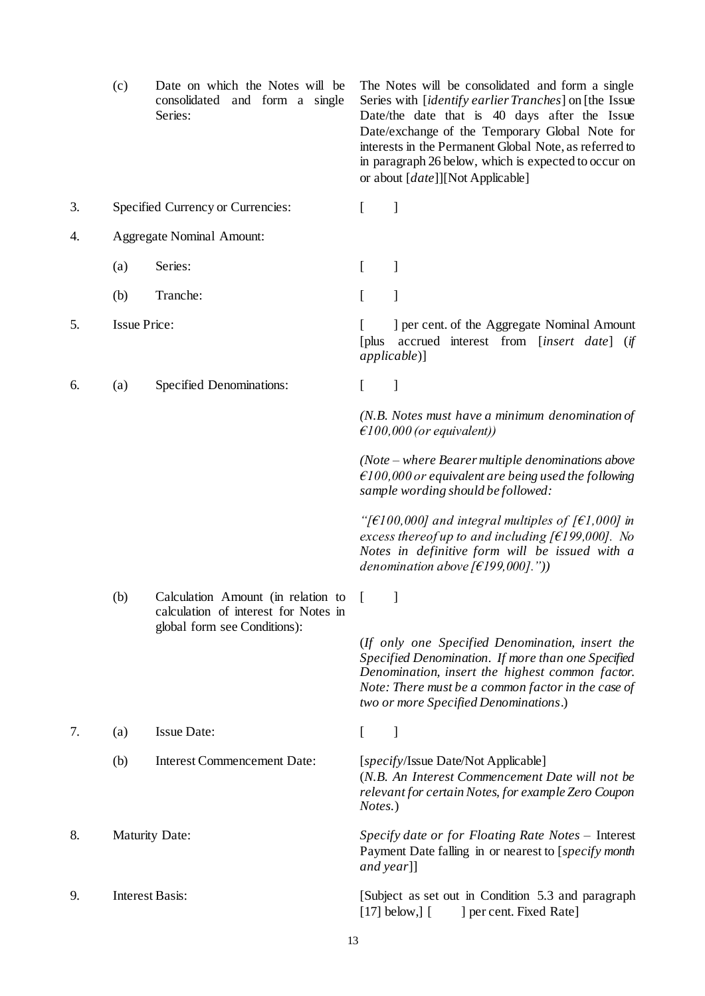<span id="page-15-0"></span>

|    | (c)                    | Date on which the Notes will be<br>consolidated and form a single<br>Series: | The Notes will be consolidated and form a single<br>Series with [identify earlier Tranches] on [the Issue<br>Date/the date that is 40 days after the Issue<br>Date/exchange of the Temporary Global Note for<br>interests in the Permanent Global Note, as referred to<br>in paragraph 26 below, which is expected to occur on<br>or about [ <i>date</i> ]][Not Applicable] |
|----|------------------------|------------------------------------------------------------------------------|-----------------------------------------------------------------------------------------------------------------------------------------------------------------------------------------------------------------------------------------------------------------------------------------------------------------------------------------------------------------------------|
| 3. |                        | Specified Currency or Currencies:                                            | ]<br>$\left[ \right]$                                                                                                                                                                                                                                                                                                                                                       |
| 4. |                        | <b>Aggregate Nominal Amount:</b>                                             |                                                                                                                                                                                                                                                                                                                                                                             |
|    | (a)                    | Series:                                                                      | 1<br>$\mathsf{L}$                                                                                                                                                                                                                                                                                                                                                           |
|    | (b)                    | Tranche:                                                                     | L                                                                                                                                                                                                                                                                                                                                                                           |
| 5. | <b>Issue Price:</b>    |                                                                              | ] per cent. of the Aggregate Nominal Amount<br>accrued interest from [insert date] (if<br>[plus]<br>$applicable)$ ]                                                                                                                                                                                                                                                         |
| 6. | (a)                    | Specified Denominations:                                                     | L<br>]                                                                                                                                                                                                                                                                                                                                                                      |
|    |                        |                                                                              | $(N.B. Notes must have a minimum denomination of$<br>$\epsilon$ 100,000 (or equivalent))                                                                                                                                                                                                                                                                                    |
|    |                        |                                                                              | $(Note - where \, Bearer \, multiple \, denominations \, above)$<br>$\epsilon$ 100,000 or equivalent are being used the following<br>sample wording should be followed:                                                                                                                                                                                                     |
|    |                        |                                                                              | "[ $\epsilon$ 100,000] and integral multiples of [ $\epsilon$ 1,000] in<br>excess thereof up to and including [ $€199,000$ ]. No<br>Notes in definitive form will be issued with a<br>denomination above [ $f$ 199,000]."))                                                                                                                                                 |
|    | (b)                    | Calculation Amount (in relation to<br>calculation of interest for Notes in   | J                                                                                                                                                                                                                                                                                                                                                                           |
|    |                        | global form see Conditions):                                                 | (If only one Specified Denomination, insert the<br>Specified Denomination. If more than one Specified<br>Denomination, insert the highest common factor.<br>Note: There must be a common factor in the case of<br>two or more Specified Denominations.)                                                                                                                     |
| 7. | (a)                    | <b>Issue Date:</b>                                                           | $\overline{\phantom{a}}$<br>L                                                                                                                                                                                                                                                                                                                                               |
|    | (b)                    | <b>Interest Commencement Date:</b>                                           | [specify/Issue Date/Not Applicable]<br>(N.B. An Interest Commencement Date will not be<br>relevant for certain Notes, for example Zero Coupon<br>Notes.)                                                                                                                                                                                                                    |
| 8. | <b>Maturity Date:</b>  |                                                                              | Specify date or for Floating Rate Notes - Interest<br>Payment Date falling in or nearest to [specify month<br>and year]]                                                                                                                                                                                                                                                    |
| 9. | <b>Interest Basis:</b> |                                                                              | [Subject as set out in Condition 5.3 and paragraph<br>$[17]$ below, $]$ $[$<br>] per cent. Fixed Rate]                                                                                                                                                                                                                                                                      |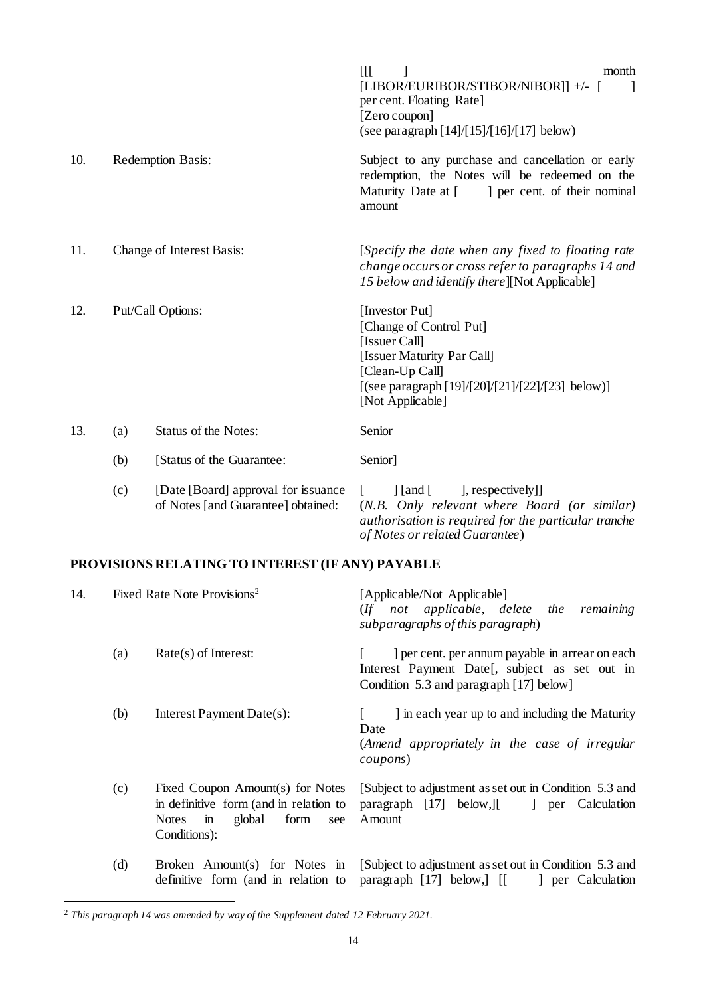|     |                           |                                                                            | $\prod$<br>month<br>[LIBOR/EURIBOR/STIBOR/NIBOR]] +/- [<br>per cent. Floating Rate]<br>[Zero coupon]<br>(see paragraph [14]/[15]/[16]/[17] below)                                              |
|-----|---------------------------|----------------------------------------------------------------------------|------------------------------------------------------------------------------------------------------------------------------------------------------------------------------------------------|
| 10. |                           | Redemption Basis:                                                          | Subject to any purchase and cancellation or early<br>redemption, the Notes will be redeemed on the<br>Maturity Date at [<br>] per cent. of their nominal<br>amount                             |
| 11. | Change of Interest Basis: |                                                                            | [Specify the date when any fixed to floating rate<br>change occurs or cross refer to paragraphs 14 and<br>15 below and identify there [[Not Applicable]                                        |
| 12. | Put/Call Options:         |                                                                            | [Investor Put]<br>[Change of Control Put]<br>[Issuer Call]<br>[Issuer Maturity Par Call]<br>[Clean-Up Call]<br>[(see paragraph [19]/[20]/[21]/[22]/[23] below)]<br>[Not Applicable]            |
| 13. | (a)                       | <b>Status of the Notes:</b>                                                | Senior                                                                                                                                                                                         |
|     | (b)                       | [Status of the Guarantee:                                                  | Senior]                                                                                                                                                                                        |
|     | (c)                       | [Date [Board] approval for issuance]<br>of Notes [and Guarantee] obtained: | ], respectively]]<br>$\lceil$ [and [<br>$\mathbb{L}$<br>(N.B. Only relevant where Board (or similar)<br>authorisation is required for the particular tranche<br>of Notes or related Guarantee) |

## **PROVISIONS RELATING TO INTEREST (IF ANY) PAYABLE**

<span id="page-16-0"></span>

| 14. |     | Fixed Rate Note Provisions <sup>2</sup>                                                                                                             | [Applicable/Not Applicable]<br>(If not applicable, delete the<br>remaining<br>subparagraphs of this paragraph)                              |
|-----|-----|-----------------------------------------------------------------------------------------------------------------------------------------------------|---------------------------------------------------------------------------------------------------------------------------------------------|
|     | (a) | $Rate(s)$ of Interest:                                                                                                                              | ] per cent. per annum payable in arrear on each<br>Interest Payment Date[, subject as set out in<br>Condition 5.3 and paragraph [17] below] |
|     | (b) | Interest Payment Date(s):                                                                                                                           | I in each year up to and including the Maturity<br>Date<br>(Amend appropriately in the case of irregular<br>coupons)                        |
|     | (c) | Fixed Coupon Amount(s) for Notes<br>in definitive form (and in relation to<br>global<br>form<br><b>Notes</b><br>$\mathbf{m}$<br>see<br>Conditions): | [Subject to adjustment as set out in Condition 5.3 and<br>paragraph $[17]$ below, $[$<br>er Calculation<br>Amount                           |
|     | (d) | Broken Amount(s) for Notes in<br>definitive form (and in relation to                                                                                | [Subject to adjustment as set out in Condition 5.3 and<br>paragraph [17] below,] [[<br>] per Calculation                                    |

<sup>2</sup> *This paragraph 14 was amended by way of the Supplement dated 12 February 2021.*

l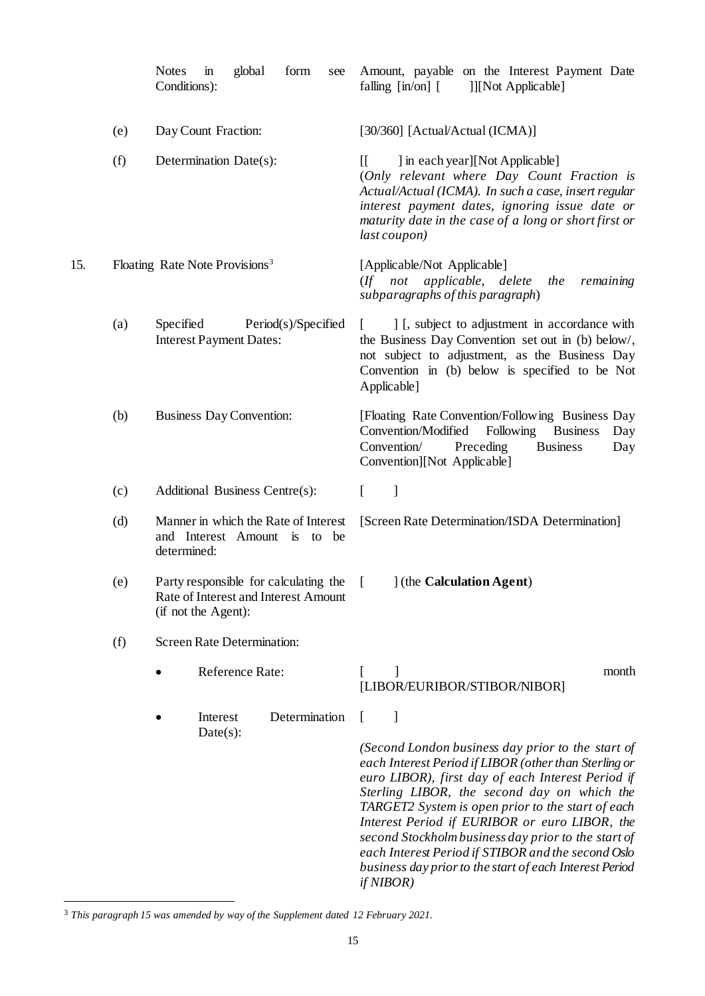<span id="page-17-2"></span><span id="page-17-1"></span><span id="page-17-0"></span>

|     |     | <b>Notes</b><br>global<br>form<br>$\mathbf{m}$<br>see<br>Conditions):                                | Amount, payable on the Interest Payment Date<br>falling $\left[\text{in}/\text{on}\right]$ $\left[\text{in}/\text{on}\right]$<br>]][Not Applicable]                                                                                                                                                                                                                                                                                                                                                       |
|-----|-----|------------------------------------------------------------------------------------------------------|-----------------------------------------------------------------------------------------------------------------------------------------------------------------------------------------------------------------------------------------------------------------------------------------------------------------------------------------------------------------------------------------------------------------------------------------------------------------------------------------------------------|
|     | (e) | Day Count Fraction:                                                                                  | [30/360] [Actual/Actual (ICMA)]                                                                                                                                                                                                                                                                                                                                                                                                                                                                           |
|     | (f) | Determination Date(s):                                                                               | ] in each year][Not Applicable]<br>$\mathbb{I}$<br>(Only relevant where Day Count Fraction is<br>Actual/Actual (ICMA). In such a case, insert regular<br>interest payment dates, ignoring issue date or<br>maturity date in the case of a long or short first or<br>last coupon)                                                                                                                                                                                                                          |
| 15. |     | Floating Rate Note Provisions <sup>3</sup>                                                           | [Applicable/Not Applicable]<br>(If not applicable, delete<br>the<br>remaining<br>subparagraphs of this paragraph)                                                                                                                                                                                                                                                                                                                                                                                         |
|     | (a) | Specified<br>Period(s)/Specified<br><b>Interest Payment Dates:</b>                                   | ] [, subject to adjustment in accordance with<br>the Business Day Convention set out in (b) below/,<br>not subject to adjustment, as the Business Day<br>Convention in (b) below is specified to be Not<br>Applicable]                                                                                                                                                                                                                                                                                    |
|     | (b) | <b>Business Day Convention:</b>                                                                      | [Floating Rate Convention/Following Business Day<br>Convention/Modified<br>Following<br><b>Business</b><br>Day<br>Convention/<br>Preceding<br><b>Business</b><br>Day<br>Convention][Not Applicable]                                                                                                                                                                                                                                                                                                       |
|     | (c) | Additional Business Centre(s):                                                                       | $\mathbf{I}$<br>$\Gamma$                                                                                                                                                                                                                                                                                                                                                                                                                                                                                  |
|     | (d) | Manner in which the Rate of Interest<br>and Interest Amount is to be<br>determined:                  | [Screen Rate Determination/ISDA Determination]                                                                                                                                                                                                                                                                                                                                                                                                                                                            |
|     | (e) | Party responsible for calculating the<br>Rate of Interest and Interest Amount<br>(if not the Agent): | ] (the Calculation Agent)<br>L                                                                                                                                                                                                                                                                                                                                                                                                                                                                            |
|     | (f) | <b>Screen Rate Determination:</b>                                                                    |                                                                                                                                                                                                                                                                                                                                                                                                                                                                                                           |
|     |     | Reference Rate:                                                                                      | 1<br>month<br>[LIBOR/EURIBOR/STIBOR/NIBOR]                                                                                                                                                                                                                                                                                                                                                                                                                                                                |
|     |     | Determination<br>Interest<br>$Date(s)$ :                                                             | J                                                                                                                                                                                                                                                                                                                                                                                                                                                                                                         |
|     |     |                                                                                                      | (Second London business day prior to the start of<br>each Interest Period if LIBOR (other than Sterling or<br>euro LIBOR), first day of each Interest Period if<br>Sterling LIBOR, the second day on which the<br>TARGET2 System is open prior to the start of each<br>Interest Period if EURIBOR or euro LIBOR, the<br>second Stockholm business day prior to the start of<br>each Interest Period if STIBOR and the second Oslo<br>business day prior to the start of each Interest Period<br>if NIBOR) |

<sup>3</sup> *This paragraph 15 was amended by way of the Supplement dated 12 February 2021.*

l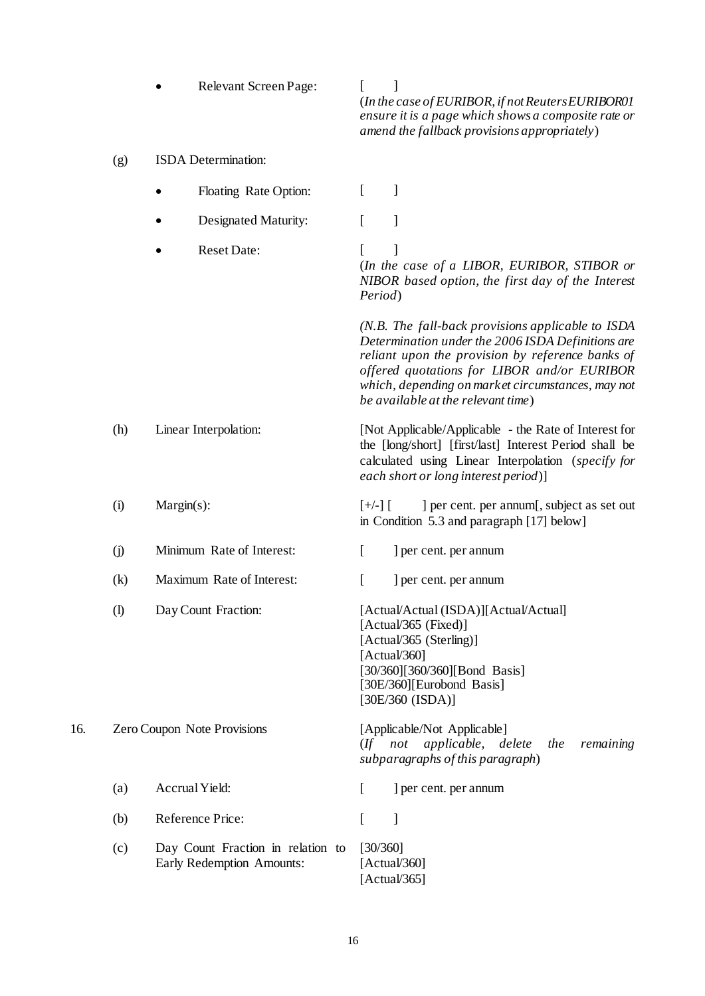<span id="page-18-0"></span>

|     |                            |                                                                | (In the case of EURIBOR, if not Reuters EURIBORO1<br>ensure it is a page which shows a composite rate or<br>amend the fallback provisions appropriately)                                                                                                                                             |
|-----|----------------------------|----------------------------------------------------------------|------------------------------------------------------------------------------------------------------------------------------------------------------------------------------------------------------------------------------------------------------------------------------------------------------|
|     | (g)                        | ISDA Determination:                                            |                                                                                                                                                                                                                                                                                                      |
|     |                            | Floating Rate Option:                                          | 1<br>L                                                                                                                                                                                                                                                                                               |
|     |                            | <b>Designated Maturity:</b>                                    | L<br>]                                                                                                                                                                                                                                                                                               |
|     |                            | <b>Reset Date:</b>                                             | 1<br>L<br>(In the case of a LIBOR, EURIBOR, STIBOR or<br>NIBOR based option, the first day of the Interest<br>Period)                                                                                                                                                                                |
|     |                            |                                                                | (N.B. The fall-back provisions applicable to ISDA<br>Determination under the 2006 ISDA Definitions are<br>reliant upon the provision by reference banks of<br>offered quotations for LIBOR and/or EURIBOR<br>which, depending on market circumstances, may not<br>be available at the relevant time) |
|     | (h)                        | Linear Interpolation:                                          | [Not Applicable/Applicable - the Rate of Interest for<br>the [long/short] [first/last] Interest Period shall be<br>calculated using Linear Interpolation (specify for<br>each short or long interest period)]                                                                                        |
|     | (i)                        | $Margin(s)$ :                                                  | ] per cent. per annum[, subject as set out<br>$[+/$ ] $[$<br>in Condition 5.3 and paragraph [17] below]                                                                                                                                                                                              |
|     | $\circ$                    | Minimum Rate of Interest:                                      | $\overline{[}$<br>] per cent. per annum                                                                                                                                                                                                                                                              |
|     | (k)                        | Maximum Rate of Interest:                                      | ſ<br>] per cent. per annum                                                                                                                                                                                                                                                                           |
|     | $\left( \mathrm{l}\right)$ | Day Count Fraction:                                            | [Actual/Actual (ISDA)][Actual/Actual]<br>$[Actual/365$ (Fixed)]<br>[Actual/365 (Sterling)]<br>[ $Actual/360$ ]<br>[30/360][360/360][Bond Basis]<br>[30E/360][Eurobond Basis]<br>[30E/360 (ISDA)]                                                                                                     |
| 16. |                            | Zero Coupon Note Provisions                                    | [Applicable/Not Applicable]<br>applicable, delete<br>not<br>remaining<br>$($ ff<br>the<br>subparagraphs of this paragraph)                                                                                                                                                                           |
|     | (a)                        | Accrual Yield:                                                 | L<br>] per cent. per annum                                                                                                                                                                                                                                                                           |
|     | (b)                        | Reference Price:                                               | ſ<br>1                                                                                                                                                                                                                                                                                               |
|     | (c)                        | Day Count Fraction in relation to<br>Early Redemption Amounts: | [30/360]<br>[Actual/360]<br>[Actual/365]                                                                                                                                                                                                                                                             |

• Relevant Screen Page: [ ]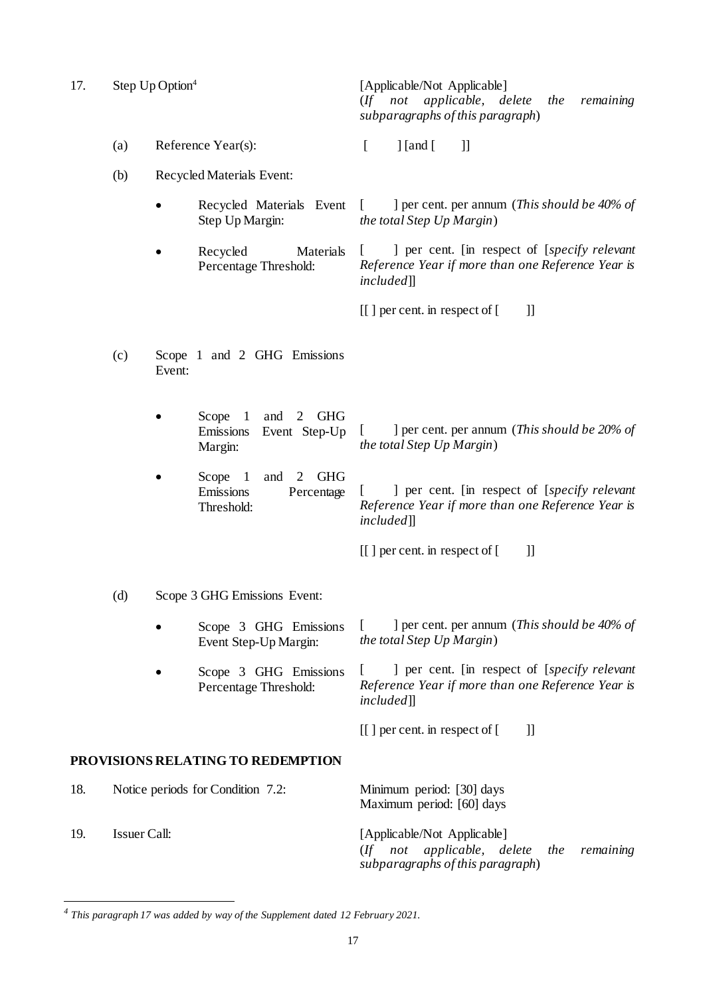<span id="page-19-0"></span>17. Step Up Option<sup>4</sup>

[Applicable/Not Applicable] (*If not applicable, delete the remaining subparagraphs of this paragraph*)

- (a) Reference Year(s):  $\begin{bmatrix} \end{bmatrix}$  [and  $\begin{bmatrix} \end{bmatrix}$ ]
- (b) Recycled Materials Event:
	- Recycled Materials Event Step Up Margin: [ ] per cent. per annum (*This should be 40% of the total Step Up Margin*)
	- Recycled Materials Percentage Threshold:

[ ] per cent. [in respect of [*specify relevant Reference Year if more than one Reference Year is included*]]

 $[$ [] per cent. in respect of  $[$  ]]

- (c) Scope 1 and 2 GHG Emissions Event:
	- Scope 1 and 2 GHG Emissions Event Step-Up Margin:
	- Scope 1 and 2 GHG Emissions Percentage Threshold:

Percentage Threshold:

[ ] per cent. per annum (*This should be 20% of the total Step Up Margin*)

[ ] per cent. [in respect of [*specify relevant Reference Year if more than one Reference Year is included*]]

 $\begin{bmatrix} \end{bmatrix}$  per cent. in respect of  $\begin{bmatrix} \end{bmatrix}$ 

- (d) Scope 3 GHG Emissions Event:
	- Scope 3 GHG Emissions Event Step-Up Margin: [ ] per cent. per annum (*This should be 40% of the total Step Up Margin*)
		- Scope 3 GHG Emissions [ ] per cent. [in respect of [*specify relevant Reference Year if more than one Reference Year is included*]]

 $[[ ]$  per cent. in respect of  $[ ]$ 

#### **PROVISIONS RELATING TO REDEMPTION**

l

<span id="page-19-1"></span>

| 18.  | Notice periods for Condition 7.2: | Minimum period: [30] days<br>Maximum period: [60] days                                                         |
|------|-----------------------------------|----------------------------------------------------------------------------------------------------------------|
| -19. | Issuer Call:                      | [Applicable/Not Applicable]<br>$($ If not applicable, delete the remaining<br>subparagraphs of this paragraph) |

*<sup>4</sup> This paragraph 17 was added by way of the Supplement dated 12 February 2021.*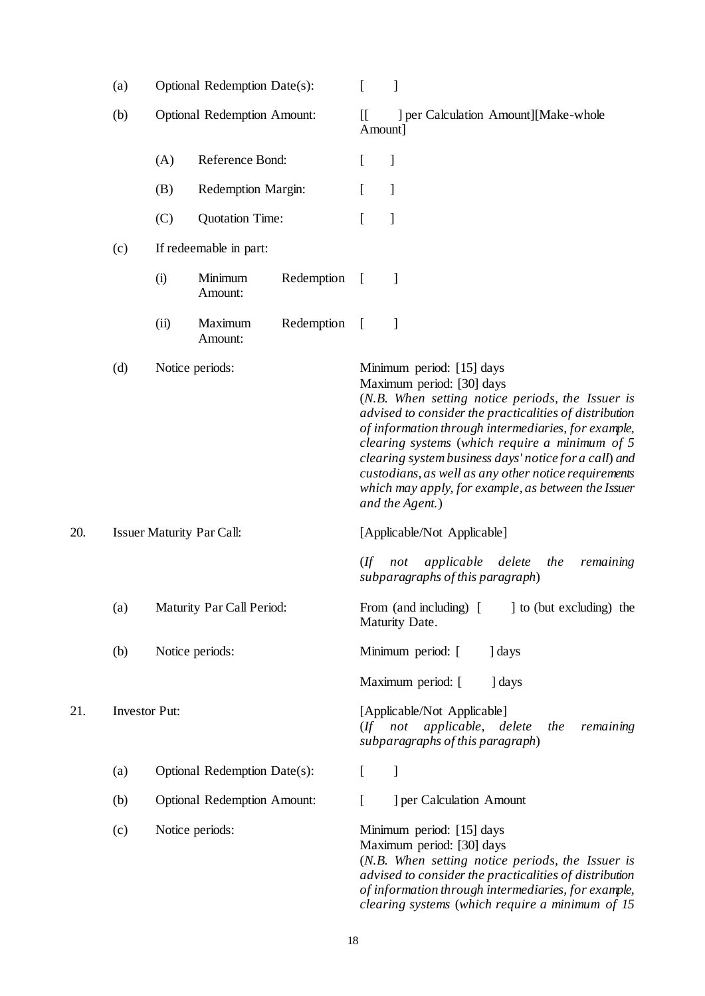<span id="page-20-1"></span><span id="page-20-0"></span>

|     | (a)                  | Optional Redemption Date(s):       |                                    | L                                                                                                                 | $\mathbf{I}$                                    |                                                                                                                                                                                                                                                                                                                                                                                                                                                                          |
|-----|----------------------|------------------------------------|------------------------------------|-------------------------------------------------------------------------------------------------------------------|-------------------------------------------------|--------------------------------------------------------------------------------------------------------------------------------------------------------------------------------------------------------------------------------------------------------------------------------------------------------------------------------------------------------------------------------------------------------------------------------------------------------------------------|
|     | (b)                  | <b>Optional Redemption Amount:</b> |                                    | $\prod$                                                                                                           | ] per Calculation Amount][Make-whole<br>Amount] |                                                                                                                                                                                                                                                                                                                                                                                                                                                                          |
|     |                      | (A)                                | Reference Bond:                    |                                                                                                                   | L                                               | $\mathbf{I}$                                                                                                                                                                                                                                                                                                                                                                                                                                                             |
|     |                      | (B)                                | Redemption Margin:                 |                                                                                                                   | L                                               | $\mathbf{I}$                                                                                                                                                                                                                                                                                                                                                                                                                                                             |
|     |                      | (C)                                | <b>Quotation Time:</b>             |                                                                                                                   | $\overline{[}$                                  | 1                                                                                                                                                                                                                                                                                                                                                                                                                                                                        |
|     | (c)                  |                                    | If redeemable in part:             |                                                                                                                   |                                                 |                                                                                                                                                                                                                                                                                                                                                                                                                                                                          |
|     |                      | (i)                                | Minimum<br>Amount:                 | Redemption                                                                                                        | $\left[ \right]$                                | 1                                                                                                                                                                                                                                                                                                                                                                                                                                                                        |
|     |                      | (ii)                               | Maximum<br>Amount:                 | Redemption                                                                                                        | $\overline{a}$                                  | 1                                                                                                                                                                                                                                                                                                                                                                                                                                                                        |
|     | (d)                  |                                    | Notice periods:                    |                                                                                                                   |                                                 | Minimum period: [15] days<br>Maximum period: [30] days<br>(N.B. When setting notice periods, the Issuer is<br>advised to consider the practicalities of distribution<br>of information through intermediaries, for example,<br>clearing systems (which require a minimum of 5<br>clearing system business days' notice for a call) and<br>custodians, as well as any other notice requirements<br>which may apply, for example, as between the Issuer<br>and the Agent.) |
| 20. |                      | <b>Issuer Maturity Par Call:</b>   |                                    |                                                                                                                   | [Applicable/Not Applicable]                     |                                                                                                                                                                                                                                                                                                                                                                                                                                                                          |
|     |                      |                                    |                                    |                                                                                                                   | $($ ff                                          | applicable delete<br>the<br>remaining<br>not<br>subparagraphs of this paragraph)                                                                                                                                                                                                                                                                                                                                                                                         |
|     | (a)                  | Maturity Par Call Period:          |                                    |                                                                                                                   |                                                 | From (and including) [ ] to (but excluding) the<br>Maturity Date.                                                                                                                                                                                                                                                                                                                                                                                                        |
|     | (b)                  |                                    | Notice periods:                    |                                                                                                                   |                                                 | Minimum period: [<br>days                                                                                                                                                                                                                                                                                                                                                                                                                                                |
|     |                      |                                    |                                    |                                                                                                                   |                                                 | Maximum period: [<br>days                                                                                                                                                                                                                                                                                                                                                                                                                                                |
| 21. | <b>Investor Put:</b> |                                    |                                    | [Applicable/Not Applicable]<br>(If not applicable, delete<br>remaining<br>the<br>subparagraphs of this paragraph) |                                                 |                                                                                                                                                                                                                                                                                                                                                                                                                                                                          |
|     | (a)                  | Optional Redemption Date(s):       |                                    | $\Gamma$                                                                                                          | $\mathbf{I}$                                    |                                                                                                                                                                                                                                                                                                                                                                                                                                                                          |
|     | (b)                  |                                    | <b>Optional Redemption Amount:</b> |                                                                                                                   | L                                               | ] per Calculation Amount                                                                                                                                                                                                                                                                                                                                                                                                                                                 |
|     | (c)                  |                                    | Notice periods:                    |                                                                                                                   |                                                 | Minimum period: [15] days<br>Maximum period: [30] days<br>(N.B. When setting notice periods, the Issuer is<br>advised to consider the practicalities of distribution<br>of information through intermediaries, for example,<br>clearing systems (which require a minimum of 15                                                                                                                                                                                           |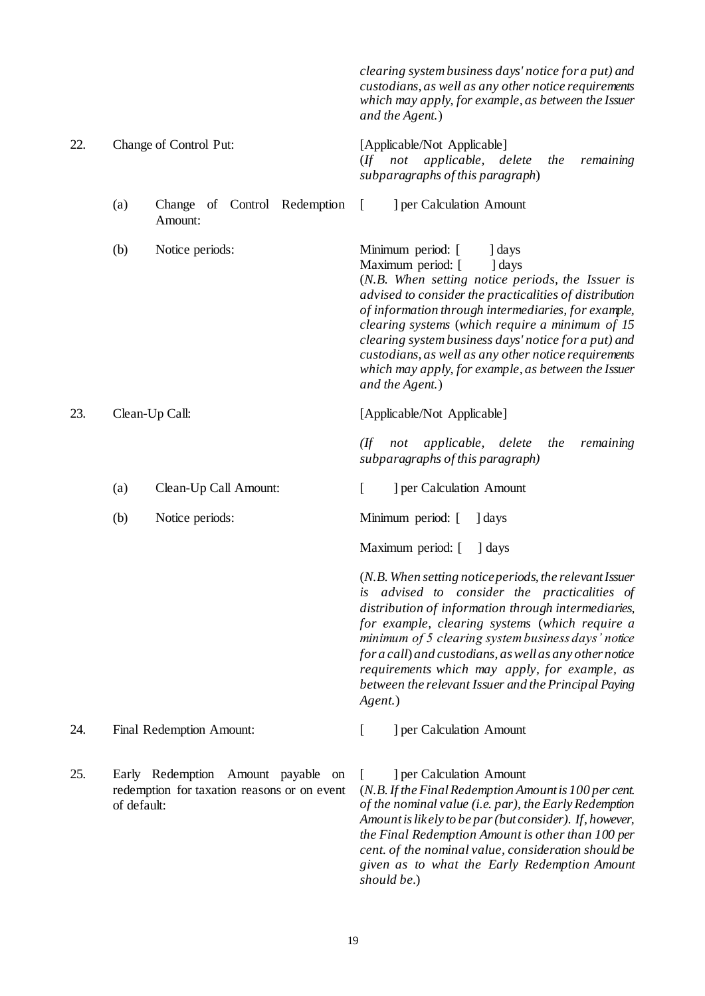<span id="page-21-1"></span><span id="page-21-0"></span>*clearing system business days' notice for a put) and custodians, as well as any other notice requirements which may apply, for example, as between the Issuer and the Agent.*) 22. Change of Control Put: [Applicable/Not Applicable] (*If not applicable, delete the remaining subparagraphs of this paragraph*) (a) Change of Control Redemption Amount: [ ] per Calculation Amount (b) Notice periods: Minimum period: [ ] days Maximum period: [ ] days (*N.B. When setting notice periods, the Issuer is advised to consider the practicalities of distribution of information through intermediaries, for example, clearing systems* (*which require a minimum of 15 clearing system business days' notice for a put) and custodians, as well as any other notice requirements which may apply, for example, as between the Issuer and the Agent.*) 23. Clean-Up Call: [Applicable/Not Applicable] *(If not applicable, delete the remaining subparagraphs of this paragraph)* (a) Clean-Up Call Amount: [ ] per Calculation Amount (b) Notice periods: Minimum period: [ ] days Maximum period: [ ] days (*N.B. When setting notice periods, the relevant Issuer is advised to consider the practicalities of distribution of information through intermediaries, for example, clearing systems* (*which require a minimum of 5 clearing system business days' notice for a call*) *and custodians, as well as any other notice requirements which may apply, for example, as between the relevant Issuer and the Principal Paying Agent.*) 24. Final Redemption Amount: [ ] per Calculation Amount 25. Early Redemption Amount payable on redemption for taxation reasons or on event of default: [ ] per Calculation Amount (*N.B. If the Final Redemption Amount is 100 per cent. of the nominal value (i.e. par), the Early Redemption Amount is likely to be par (but consider). If, however, the Final Redemption Amount is other than 100 per* 

*should be.*)

*cent. of the nominal value, consideration should be given as to what the Early Redemption Amount*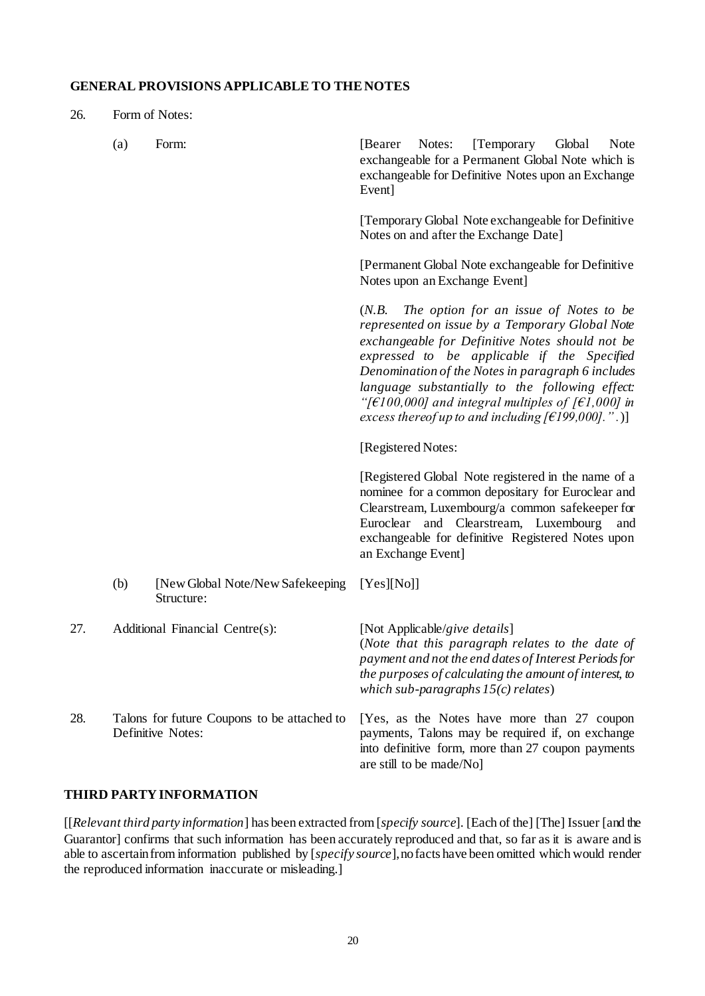## **GENERAL PROVISIONS APPLICABLE TO THE NOTES**

<span id="page-22-0"></span>26. Form of Notes:

|     | (a)                                                              | Form:                                           | [Temporary]<br>[Bearer]<br>Notes:<br>Global<br>Note<br>exchangeable for a Permanent Global Note which is<br>exchangeable for Definitive Notes upon an Exchange<br>Event]                                                                                                                                                                                                                                                                         |
|-----|------------------------------------------------------------------|-------------------------------------------------|--------------------------------------------------------------------------------------------------------------------------------------------------------------------------------------------------------------------------------------------------------------------------------------------------------------------------------------------------------------------------------------------------------------------------------------------------|
|     |                                                                  |                                                 | [Temporary Global Note exchangeable for Definitive<br>Notes on and after the Exchange Date]                                                                                                                                                                                                                                                                                                                                                      |
|     |                                                                  |                                                 | [Permanent Global Note exchangeable for Definitive<br>Notes upon an Exchange Event]                                                                                                                                                                                                                                                                                                                                                              |
|     |                                                                  |                                                 | The option for an issue of Notes to be<br>(N.B.<br>represented on issue by a Temporary Global Note<br>exchangeable for Definitive Notes should not be<br>expressed to be applicable if the Specified<br>Denomination of the Notes in paragraph 6 includes<br>language substantially to the following effect:<br>"[ $\epsilon$ 100,000] and integral multiples of [ $\epsilon$ 1,000] in<br>excess thereof up to and including $[£199,000].$ ".)] |
|     |                                                                  |                                                 | [Registered Notes:                                                                                                                                                                                                                                                                                                                                                                                                                               |
|     |                                                                  |                                                 | [Registered Global Note registered in the name of a<br>nominee for a common depositary for Euroclear and<br>Clearstream, Luxembourg/a common safekeeper for<br>and Clearstream, Luxembourg<br>Euroclear<br>and<br>exchangeable for definitive Registered Notes upon<br>an Exchange Event]                                                                                                                                                        |
|     | (b)                                                              | [New Global Note/New Safekeeping]<br>Structure: | [Yes][No]]                                                                                                                                                                                                                                                                                                                                                                                                                                       |
| 27. |                                                                  | Additional Financial Centre(s):                 | [Not Applicable/give details]<br>(Note that this paragraph relates to the date of<br>payment and not the end dates of Interest Periods for<br>the purposes of calculating the amount of interest, to<br>which sub-paragraphs $15(c)$ relates)                                                                                                                                                                                                    |
| 28. | Talons for future Coupons to be attached to<br>Definitive Notes: |                                                 | [Yes, as the Notes have more than 27 coupon<br>payments, Talons may be required if, on exchange<br>into definitive form, more than 27 coupon payments<br>are still to be made/No]                                                                                                                                                                                                                                                                |

#### **THIRD PARTY INFORMATION**

[[*Relevant third party information*] has been extracted from [*specify source*]. [Each of the] [The] Issuer [and the Guarantor] confirms that such information has been accurately reproduced and that, so far as it is aware and is able to ascertain from information published by [*specify source*], no facts have been omitted which would render the reproduced information inaccurate or misleading.]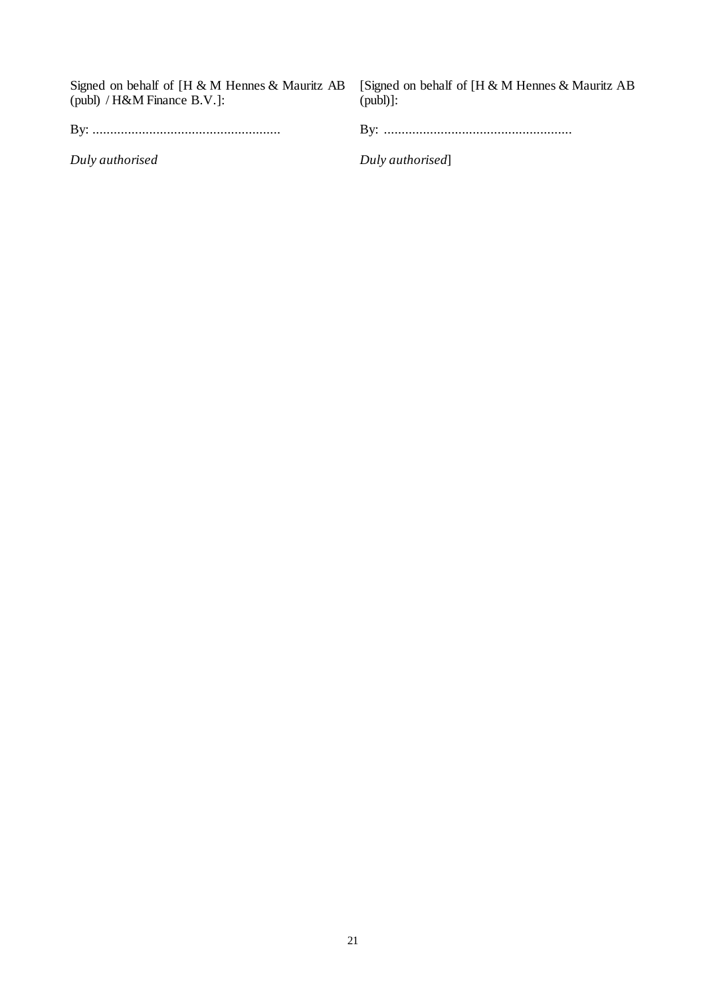| Signed on behalf of $[H \& M]$ Hennes & Mauritz AB [Signed on behalf of $[H \& M]$ Hennes & Mauritz AB<br>(publ) / $H\&M$ Finance B.V.]: | $(pub])$ :      |
|------------------------------------------------------------------------------------------------------------------------------------------|-----------------|
|                                                                                                                                          |                 |
| Duly authorised                                                                                                                          | Duly authorised |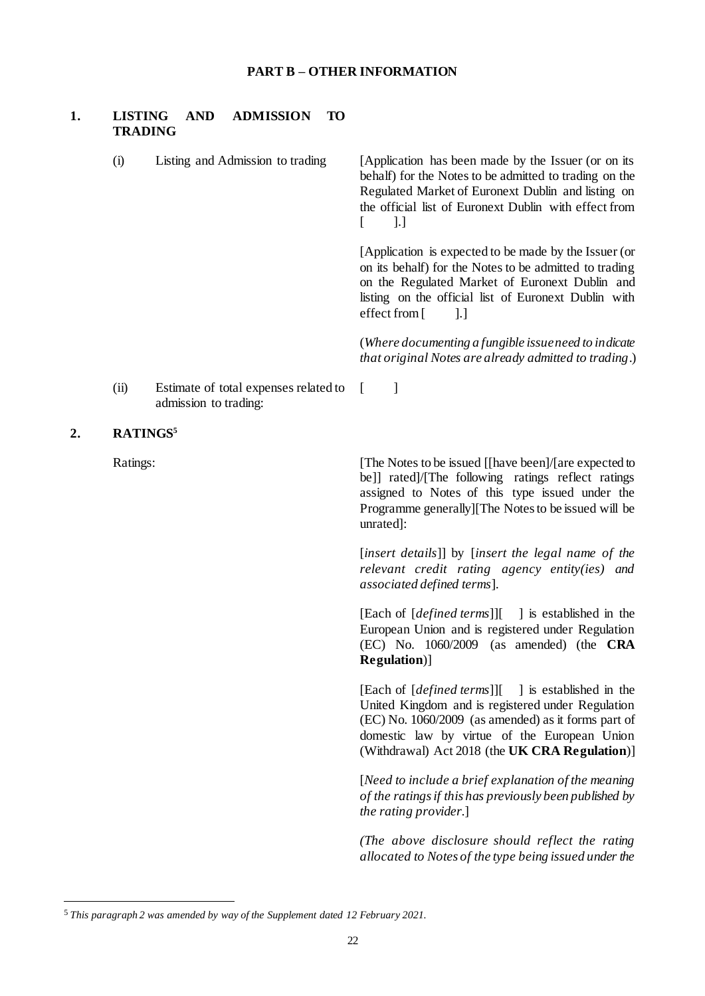## **PART B – OTHER INFORMATION**

## **1. LISTING AND ADMISSION TO TRADING**

**2. RATINGS<sup>5</sup>**

l

| (i)      | Listing and Admission to trading                               | [Application has been made by the Issuer (or on its<br>behalf) for the Notes to be admitted to trading on the<br>Regulated Market of Euronext Dublin and listing on<br>the official list of Euronext Dublin with effect from<br>].]<br>t                                   |
|----------|----------------------------------------------------------------|----------------------------------------------------------------------------------------------------------------------------------------------------------------------------------------------------------------------------------------------------------------------------|
|          |                                                                | [Application is expected to be made by the Issuer (or<br>on its behalf) for the Notes to be admitted to trading<br>on the Regulated Market of Euronext Dublin and<br>listing on the official list of Euronext Dublin with<br>effect from [<br>].]                          |
|          |                                                                | (Where documenting a fungible issue need to indicate<br>that original Notes are already admitted to trading.)                                                                                                                                                              |
| (ii)     | Estimate of total expenses related to<br>admission to trading: | 1<br>$\Gamma$                                                                                                                                                                                                                                                              |
|          | RATINGS <sup>5</sup>                                           |                                                                                                                                                                                                                                                                            |
| Ratings: |                                                                | [The Notes to be issued [[have been]/[are expected to<br>be]] rated]/[The following ratings reflect ratings<br>assigned to Notes of this type issued under the<br>Programme generally][The Notes to be issued will be<br>unrated]:                                         |
|          |                                                                | [insert details]] by [insert the legal name of the<br>relevant credit rating agency entity(ies) and<br>associated defined terms].                                                                                                                                          |
|          |                                                                | [Each of [ <i>defined terms</i> ]][<br>1 is established in the<br>European Union and is registered under Regulation<br>(EC) No. 1060/2009 (as amended) (the CRA<br><b>Regulation</b> )]                                                                                    |
|          |                                                                | [Each of <i>[defined terms</i> ]][ ] is established in the<br>United Kingdom and is registered under Regulation<br>$(EC)$ No. 1060/2009 (as amended) as it forms part of<br>domestic law by virtue of the European Union<br>(Withdrawal) Act 2018 (the UK CRA Regulation)] |
|          |                                                                | [Need to include a brief explanation of the meaning<br>of the ratings if this has previously been published by<br>the rating provider.]                                                                                                                                    |
|          |                                                                | (The above disclosure should reflect the rating<br>allocated to Notes of the type being issued under the                                                                                                                                                                   |
|          |                                                                |                                                                                                                                                                                                                                                                            |

<sup>5</sup> *This paragraph 2 was amended by way of the Supplement dated 12 February 2021.*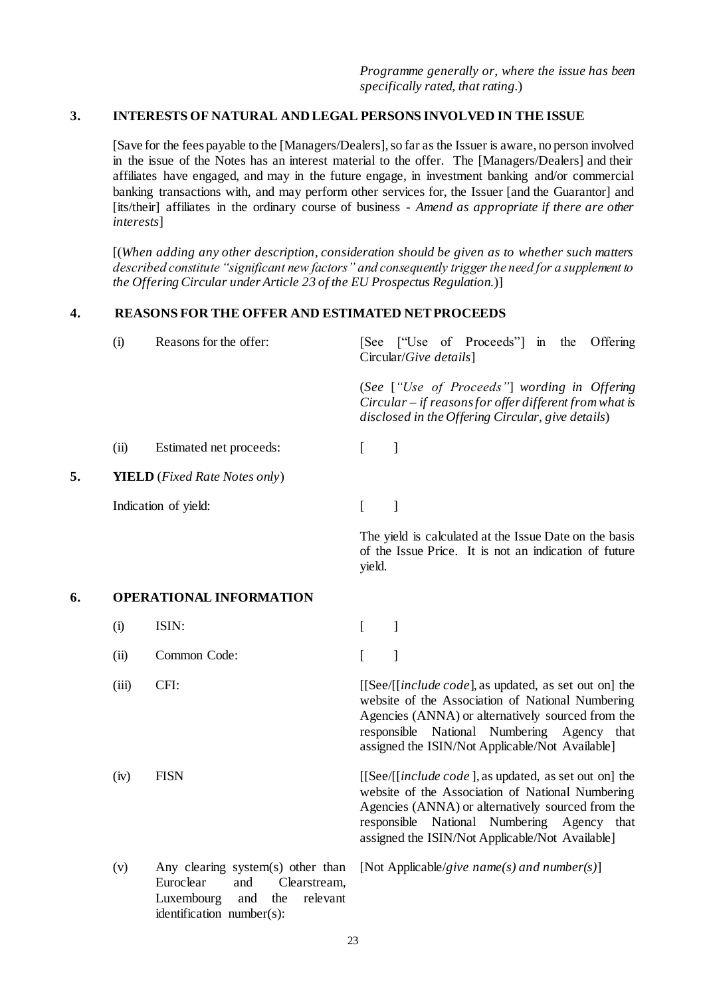## **3. INTERESTS OF NATURAL AND LEGAL PERSONS INVOLVED IN THE ISSUE**

[Save for the fees payable to the [Managers/Dealers], so far as the Issuer is aware, no person involved in the issue of the Notes has an interest material to the offer. The [Managers/Dealers] and their affiliates have engaged, and may in the future engage, in investment banking and/or commercial banking transactions with, and may perform other services for, the Issuer [and the Guarantor] and [its/their] affiliates in the ordinary course of business - *Amend as appropriate if there are other interests*]

[(*When adding any other description, consideration should be given as to whether such matters described constitute "significant new factors" and consequently trigger the need for a supplement to the Offering Circular under Article 23 of the EU Prospectus Regulation.*)]

#### **4. REASONS FOR THE OFFER AND ESTIMATED NET PROCEEDS**

|    | (i)   | Reasons for the offer:                                                                                                                     | Offering<br>[See ["Use of Proceeds"] in the<br>Circular/Give details]                                                                                                                                                                                           |
|----|-------|--------------------------------------------------------------------------------------------------------------------------------------------|-----------------------------------------------------------------------------------------------------------------------------------------------------------------------------------------------------------------------------------------------------------------|
|    |       |                                                                                                                                            | (See ["Use of Proceeds"] wording in Offering<br>Circular – if reasons for offer different from what is<br>disclosed in the Offering Circular, give details)                                                                                                     |
|    | (ii)  | Estimated net proceeds:                                                                                                                    | $\mathbf{I}$<br>$\Gamma$                                                                                                                                                                                                                                        |
| 5. |       | <b>YIELD</b> (Fixed Rate Notes only)                                                                                                       |                                                                                                                                                                                                                                                                 |
|    |       | Indication of yield:                                                                                                                       | ]<br>$\Gamma$                                                                                                                                                                                                                                                   |
|    |       |                                                                                                                                            | The yield is calculated at the Issue Date on the basis<br>of the Issue Price. It is not an indication of future<br>yield.                                                                                                                                       |
| 6. |       | <b>OPERATIONAL INFORMATION</b>                                                                                                             |                                                                                                                                                                                                                                                                 |
|    | (i)   | ISIN:                                                                                                                                      | $\mathbf{I}$<br>$\left[ \right]$                                                                                                                                                                                                                                |
|    | (ii)  | Common Code:                                                                                                                               | $\mathbf{I}$<br>$\Gamma$                                                                                                                                                                                                                                        |
|    | (iii) | CFI:                                                                                                                                       | [[See/[[include code], as updated, as set out on] the<br>website of the Association of National Numbering<br>Agencies (ANNA) or alternatively sourced from the<br>responsible National Numbering Agency that<br>assigned the ISIN/Not Applicable/Not Available] |
|    | (iv)  | <b>FISN</b>                                                                                                                                | [[See/[[include code], as updated, as set out on] the<br>website of the Association of National Numbering<br>Agencies (ANNA) or alternatively sourced from the<br>responsible National Numbering Agency that<br>assigned the ISIN/Not Applicable/Not Available] |
|    | (v)   | Any clearing system(s) other than<br>Euroclear<br>and<br>Clearstream,<br>Luxembourg<br>and<br>the<br>relevant<br>identification number(s): | [Not Applicable/give name(s) and number(s)]                                                                                                                                                                                                                     |
|    |       |                                                                                                                                            | $\cap$                                                                                                                                                                                                                                                          |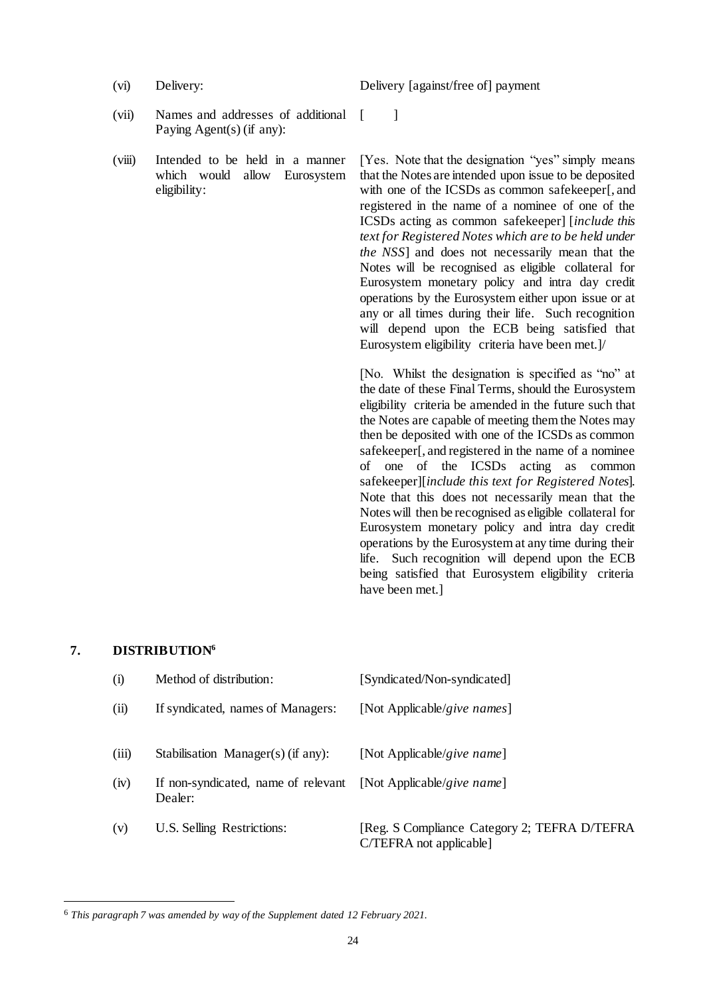(vi) Delivery: Delivery [against/free of] payment

- (vii) Names and addresses of additional Paying Agent(s) (if any):
- (viii) Intended to be held in a manner which would allow Eurosystem eligibility:

 $[$   $]$ 

[Yes. Note that the designation "yes" simply means that the Notes are intended upon issue to be deposited with one of the ICSDs as common safekeeper[, and registered in the name of a nominee of one of the ICSDs acting as common safekeeper] [*include this text for Registered Notes which are to be held under the NSS*] and does not necessarily mean that the Notes will be recognised as eligible collateral for Eurosystem monetary policy and intra day credit operations by the Eurosystem either upon issue or at any or all times during their life. Such recognition will depend upon the ECB being satisfied that Eurosystem eligibility criteria have been met.]/

[No. Whilst the designation is specified as "no" at the date of these Final Terms, should the Eurosystem eligibility criteria be amended in the future such that the Notes are capable of meeting them the Notes may then be deposited with one of the ICSDs as common safekeeper[, and registered in the name of a nominee of one of the ICSDs acting as common safekeeper][*include this text for Registered Notes*]. Note that this does not necessarily mean that the Notes will then be recognised as eligible collateral for Eurosystem monetary policy and intra day credit operations by the Eurosystem at any time during their life. Such recognition will depend upon the ECB being satisfied that Eurosystem eligibility criteria have been met.]

#### **7. DISTRIBUTION<sup>6</sup>**

l

| (i)   | Method of distribution:                        | [Syndicated/Non-syndicated]                                             |
|-------|------------------------------------------------|-------------------------------------------------------------------------|
| (ii)  | If syndicated, names of Managers:              | [Not Applicable/give names]                                             |
| (iii) | Stabilisation Manager(s) (if any):             | [Not Applicable/give name]                                              |
| (iv)  | If non-syndicated, name of relevant<br>Dealer: | [Not Applicable/ <i>give name</i> ]                                     |
| (v)   | U.S. Selling Restrictions:                     | [Reg. S Compliance Category 2; TEFRA D/TEFRA<br>C/TEFRA not applicable] |

<sup>6</sup> *This paragraph 7 was amended by way of the Supplement dated 12 February 2021.*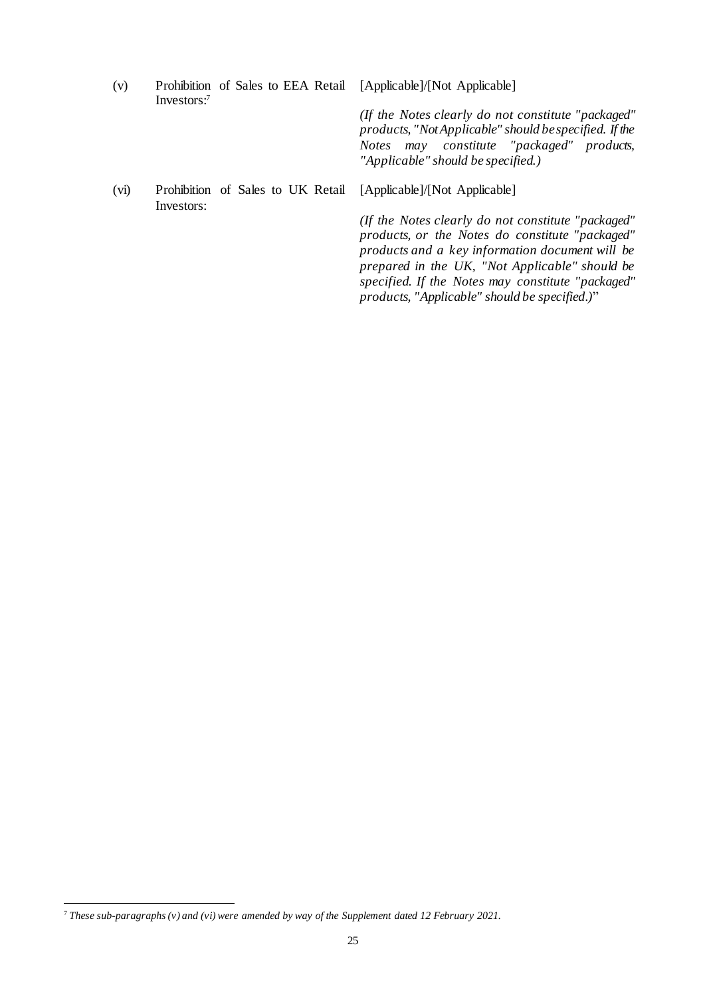| (v)  | Investors: <sup>7</sup> | Prohibition of Sales to EEA Retail | [Applicable]/[Not Applicable]                                                                                                                                                                                                                                                                                    |
|------|-------------------------|------------------------------------|------------------------------------------------------------------------------------------------------------------------------------------------------------------------------------------------------------------------------------------------------------------------------------------------------------------|
|      |                         |                                    | (If the Notes clearly do not constitute "packaged"<br>products, "Not Applicable" should be specified. If the<br>Notes may constitute "packaged" products,<br>"Applicable" should be specified.)                                                                                                                  |
| (vi) | Investors:              | Prohibition of Sales to UK Retail  | [Applicable]/[Not Applicable]                                                                                                                                                                                                                                                                                    |
|      |                         |                                    | (If the Notes clearly do not constitute "packaged"<br>products, or the Notes do constitute "packaged"<br>products and a key information document will be<br>prepared in the UK, "Not Applicable" should be<br>specified. If the Notes may constitute "packaged"<br>products, "Applicable" should be specified.)" |

l

<sup>7</sup> *These sub-paragraphs (v) and (vi) were amended by way of the Supplement dated 12 February 2021.*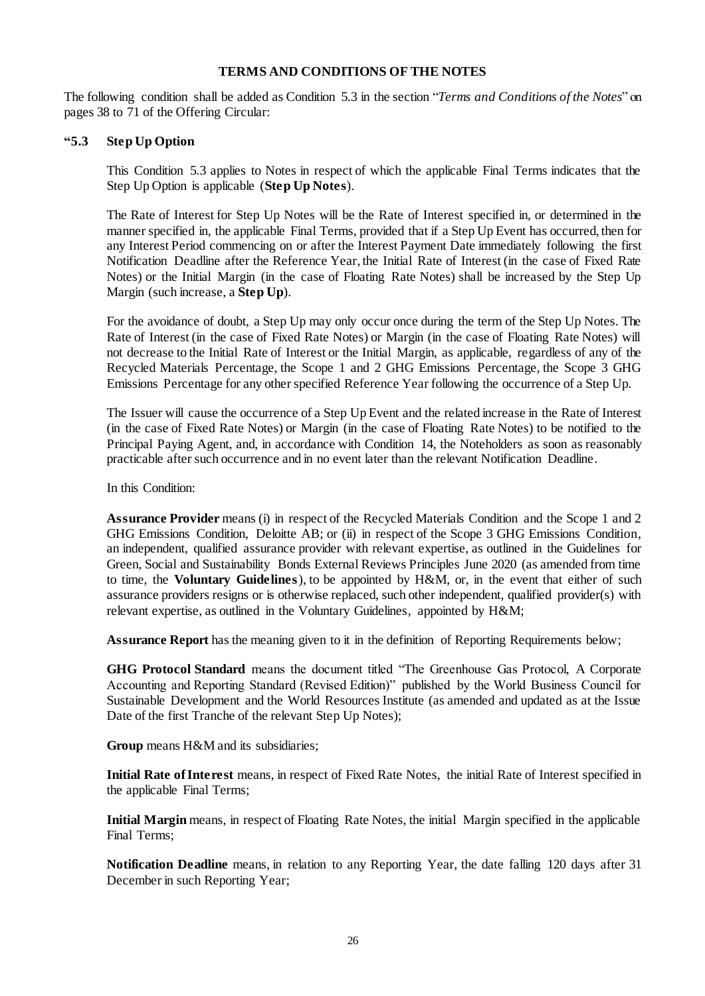#### **TERMS AND CONDITIONS OF THE NOTES**

The following condition shall be added as Condition 5.3 in the section "*Terms and Conditions of the Notes*" on pages 38 to 71 of the Offering Circular:

#### **"5.3 Step Up Option**

This Condition 5.3 applies to Notes in respect of which the applicable Final Terms indicates that the Step Up Option is applicable (**Step Up Notes**).

The Rate of Interest for Step Up Notes will be the Rate of Interest specified in, or determined in the manner specified in, the applicable Final Terms, provided that if a Step Up Event has occurred, then for any Interest Period commencing on or after the Interest Payment Date immediately following the first Notification Deadline after the Reference Year, the Initial Rate of Interest (in the case of Fixed Rate Notes) or the Initial Margin (in the case of Floating Rate Notes) shall be increased by the Step Up Margin (such increase, a **Step Up**).

For the avoidance of doubt, a Step Up may only occur once during the term of the Step Up Notes. The Rate of Interest (in the case of Fixed Rate Notes) or Margin (in the case of Floating Rate Notes) will not decrease to the Initial Rate of Interest or the Initial Margin, as applicable, regardless of any of the Recycled Materials Percentage, the Scope 1 and 2 GHG Emissions Percentage, the Scope 3 GHG Emissions Percentage for any other specified Reference Year following the occurrence of a Step Up.

The Issuer will cause the occurrence of a Step Up Event and the related increase in the Rate of Interest (in the case of Fixed Rate Notes) or Margin (in the case of Floating Rate Notes) to be notified to the Principal Paying Agent, and, in accordance with Condition 14, the Noteholders as soon as reasonably practicable after such occurrence and in no event later than the relevant Notification Deadline.

In this Condition:

**Assurance Provider** means (i) in respect of the Recycled Materials Condition and the Scope 1 and 2 GHG Emissions Condition, Deloitte AB; or (ii) in respect of the Scope 3 GHG Emissions Condition, an independent, qualified assurance provider with relevant expertise, as outlined in the Guidelines for Green, Social and Sustainability Bonds External Reviews Principles June 2020 (as amended from time to time, the **Voluntary Guidelines**), to be appointed by H&M, or, in the event that either of such assurance providers resigns or is otherwise replaced, such other independent, qualified provider(s) with relevant expertise, as outlined in the Voluntary Guidelines, appointed by H&M;

**Assurance Report** has the meaning given to it in the definition of Reporting Requirements below;

**GHG Protocol Standard** means the document titled "The Greenhouse Gas Protocol, A Corporate Accounting and Reporting Standard (Revised Edition)" published by the World Business Council for Sustainable Development and the World Resources Institute (as amended and updated as at the Issue Date of the first Tranche of the relevant Step Up Notes);

**Group** means H&M and its subsidiaries;

**Initial Rate of Interest** means, in respect of Fixed Rate Notes, the initial Rate of Interest specified in the applicable Final Terms;

**Initial Margin** means, in respect of Floating Rate Notes, the initial Margin specified in the applicable Final Terms;

**Notification Deadline** means, in relation to any Reporting Year, the date falling 120 days after 31 December in such Reporting Year;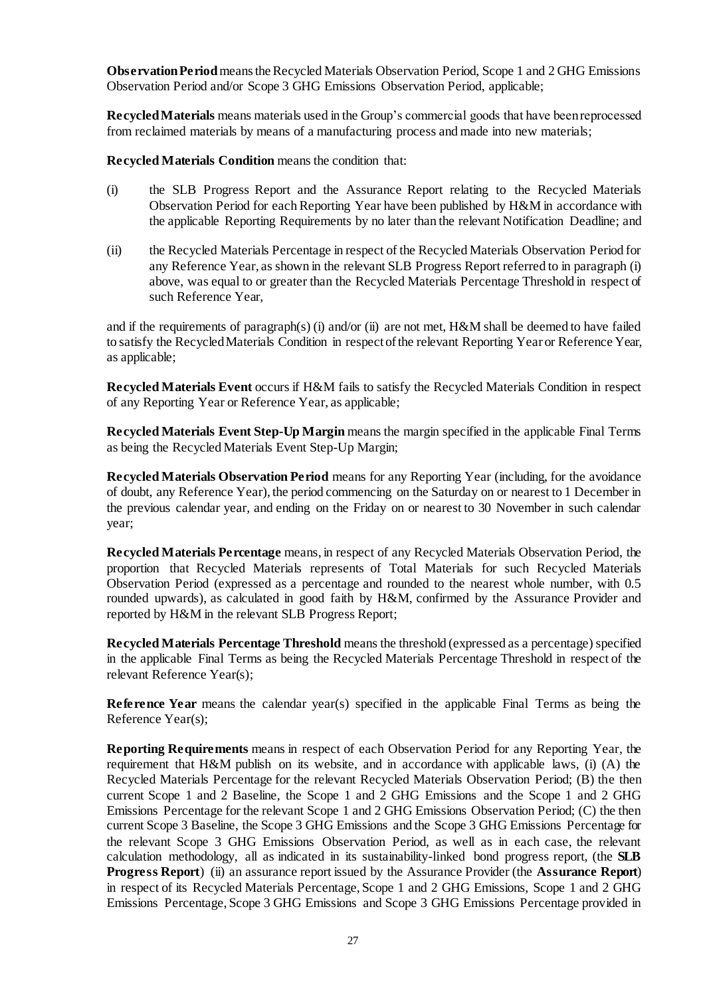**Observation Period** means the Recycled Materials Observation Period, Scope 1 and 2 GHG Emissions Observation Period and/or Scope 3 GHG Emissions Observation Period, applicable;

**Recycled Materials** means materials used in the Group's commercial goods that have been reprocessed from reclaimed materials by means of a manufacturing process and made into new materials;

**Recycled Materials Condition** means the condition that:

- (i) the SLB Progress Report and the Assurance Report relating to the Recycled Materials Observation Period for each Reporting Year have been published by H&M in accordance with the applicable Reporting Requirements by no later than the relevant Notification Deadline; and
- (ii) the Recycled Materials Percentage in respect of the Recycled Materials Observation Period for any Reference Year, as shown in the relevant SLB Progress Report referred to in paragraph (i) above, was equal to or greater than the Recycled Materials Percentage Threshold in respect of such Reference Year,

and if the requirements of paragraph(s) (i) and/or (ii) are not met, H&M shall be deemed to have failed to satisfy the Recycled Materials Condition in respect of the relevant Reporting Year or Reference Year, as applicable;

**Recycled Materials Event** occurs if H&M fails to satisfy the Recycled Materials Condition in respect of any Reporting Year or Reference Year, as applicable;

**Recycled Materials Event Step-Up Margin** means the margin specified in the applicable Final Terms as being the Recycled Materials Event Step-Up Margin;

**Recycled Materials Observation Period** means for any Reporting Year (including, for the avoidance of doubt, any Reference Year), the period commencing on the Saturday on or nearest to 1 December in the previous calendar year, and ending on the Friday on or nearest to 30 November in such calendar year;

**Recycled Materials Percentage** means, in respect of any Recycled Materials Observation Period, the proportion that Recycled Materials represents of Total Materials for such Recycled Materials Observation Period (expressed as a percentage and rounded to the nearest whole number, with 0.5 rounded upwards), as calculated in good faith by H&M, confirmed by the Assurance Provider and reported by H&M in the relevant SLB Progress Report;

**Recycled Materials Percentage Threshold** means the threshold (expressed as a percentage) specified in the applicable Final Terms as being the Recycled Materials Percentage Threshold in respect of the relevant Reference Year(s);

**Reference Year** means the calendar year(s) specified in the applicable Final Terms as being the Reference Year(s);

**Reporting Requirements** means in respect of each Observation Period for any Reporting Year, the requirement that H&M publish on its website, and in accordance with applicable laws, (i) (A) the Recycled Materials Percentage for the relevant Recycled Materials Observation Period; (B) the then current Scope 1 and 2 Baseline, the Scope 1 and 2 GHG Emissions and the Scope 1 and 2 GHG Emissions Percentage for the relevant Scope 1 and 2 GHG Emissions Observation Period; (C) the then current Scope 3 Baseline, the Scope 3 GHG Emissions and the Scope 3 GHG Emissions Percentage for the relevant Scope 3 GHG Emissions Observation Period, as well as in each case, the relevant calculation methodology, all as indicated in its sustainability-linked bond progress report, (the **SLB Progress Report**) (ii) an assurance report issued by the Assurance Provider (the **Assurance Report**) in respect of its Recycled Materials Percentage, Scope 1 and 2 GHG Emissions, Scope 1 and 2 GHG Emissions Percentage, Scope 3 GHG Emissions and Scope 3 GHG Emissions Percentage provided in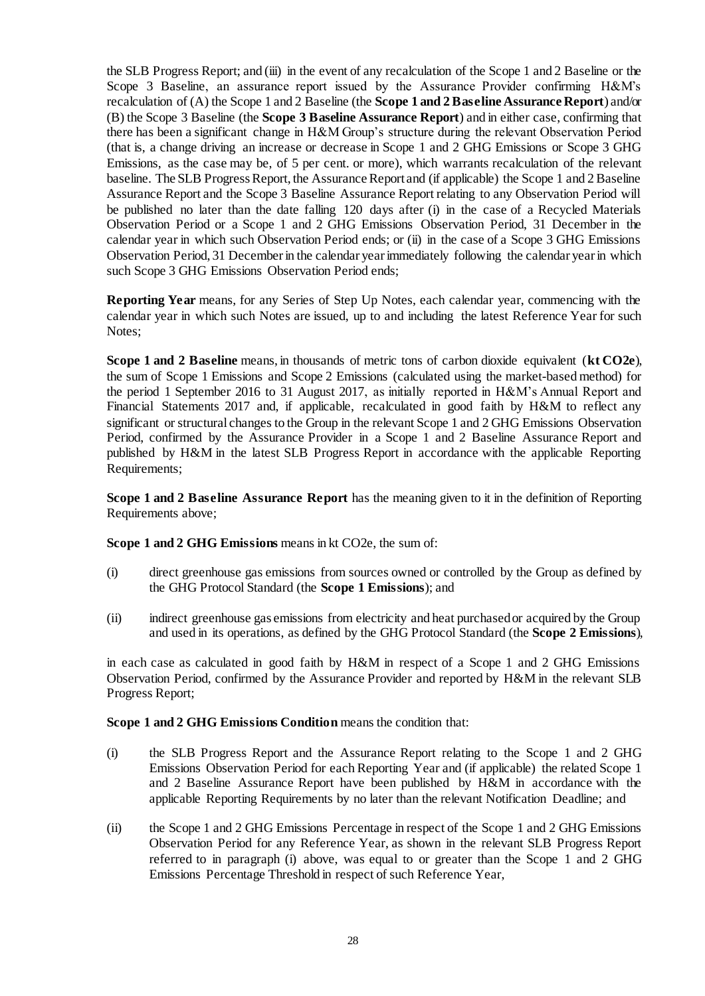the SLB Progress Report; and (iii) in the event of any recalculation of the Scope 1 and 2 Baseline or the Scope 3 Baseline, an assurance report issued by the Assurance Provider confirming H&M's recalculation of (A) the Scope 1 and 2 Baseline (the **Scope 1 and 2 Baseline Assurance Report**) and/or (B) the Scope 3 Baseline (the **Scope 3 Baseline Assurance Report**) and in either case, confirming that there has been a significant change in H&M Group's structure during the relevant Observation Period (that is, a change driving an increase or decrease in Scope 1 and 2 GHG Emissions or Scope 3 GHG Emissions, as the case may be, of 5 per cent. or more), which warrants recalculation of the relevant baseline. The SLB Progress Report, the Assurance Report and (if applicable) the Scope 1 and 2 Baseline Assurance Report and the Scope 3 Baseline Assurance Report relating to any Observation Period will be published no later than the date falling 120 days after (i) in the case of a Recycled Materials Observation Period or a Scope 1 and 2 GHG Emissions Observation Period, 31 December in the calendar year in which such Observation Period ends; or (ii) in the case of a Scope 3 GHG Emissions Observation Period, 31 December in the calendar yearimmediately following the calendar year in which such Scope 3 GHG Emissions Observation Period ends;

**Reporting Year** means, for any Series of Step Up Notes, each calendar year, commencing with the calendar year in which such Notes are issued, up to and including the latest Reference Year for such Notes;

**Scope 1 and 2 Baseline** means, in thousands of metric tons of carbon dioxide equivalent (**kt CO2e**), the sum of Scope 1 Emissions and Scope 2 Emissions (calculated using the market-based method) for the period 1 September 2016 to 31 August 2017, as initially reported in H&M's Annual Report and Financial Statements 2017 and, if applicable, recalculated in good faith by H&M to reflect any significant or structural changes to the Group in the relevant Scope 1 and 2 GHG Emissions Observation Period, confirmed by the Assurance Provider in a Scope 1 and 2 Baseline Assurance Report and published by H&M in the latest SLB Progress Report in accordance with the applicable Reporting Requirements;

**Scope 1 and 2 Baseline Assurance Report** has the meaning given to it in the definition of Reporting Requirements above;

**Scope 1 and 2 GHG Emissions** means in kt CO2e, the sum of:

- (i) direct greenhouse gas emissions from sources owned or controlled by the Group as defined by the GHG Protocol Standard (the **Scope 1 Emissions**); and
- (ii) indirect greenhouse gas emissions from electricity and heat purchased or acquired by the Group and used in its operations, as defined by the GHG Protocol Standard (the **Scope 2 Emissions**),

in each case as calculated in good faith by H&M in respect of a Scope 1 and 2 GHG Emissions Observation Period, confirmed by the Assurance Provider and reported by H&M in the relevant SLB Progress Report;

**Scope 1 and 2 GHG Emissions Condition** means the condition that:

- (i) the SLB Progress Report and the Assurance Report relating to the Scope 1 and 2 GHG Emissions Observation Period for each Reporting Year and (if applicable) the related Scope 1 and 2 Baseline Assurance Report have been published by H&M in accordance with the applicable Reporting Requirements by no later than the relevant Notification Deadline; and
- (ii) the Scope 1 and 2 GHG Emissions Percentage in respect of the Scope 1 and 2 GHG Emissions Observation Period for any Reference Year, as shown in the relevant SLB Progress Report referred to in paragraph (i) above, was equal to or greater than the Scope 1 and 2 GHG Emissions Percentage Threshold in respect of such Reference Year,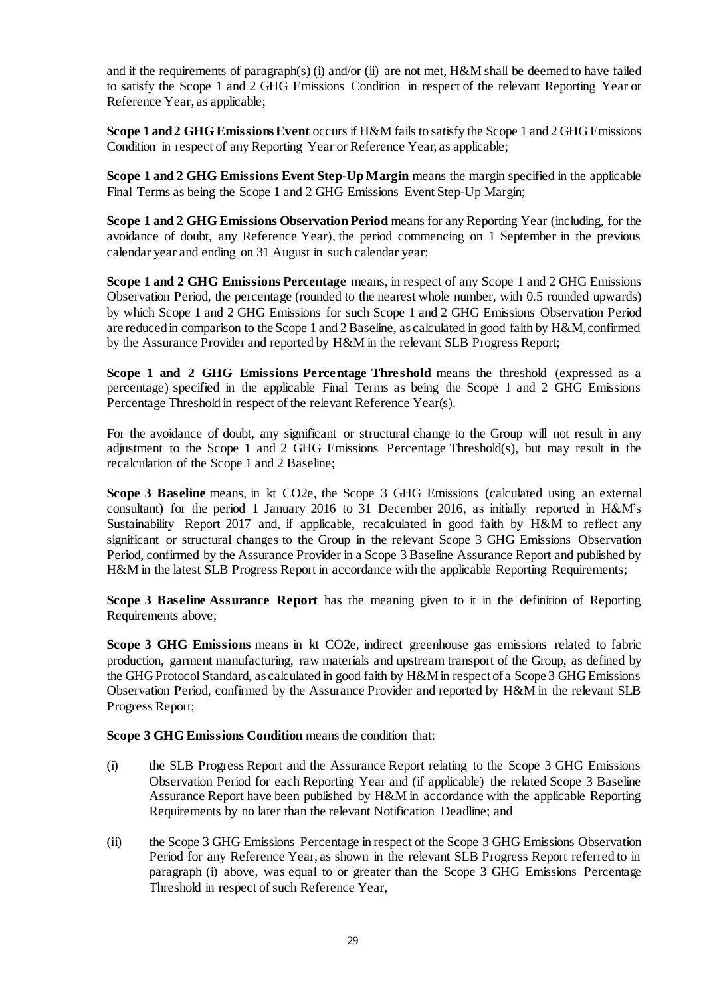and if the requirements of paragraph(s) (i) and/or (ii) are not met, H&M shall be deemed to have failed to satisfy the Scope 1 and 2 GHG Emissions Condition in respect of the relevant Reporting Year or Reference Year, as applicable;

**Scope 1 and 2 GHG Emissions Event** occurs if H&M fails to satisfy the Scope 1 and 2 GHG Emissions Condition in respect of any Reporting Year or Reference Year, as applicable;

**Scope 1 and 2 GHG Emissions Event Step-Up Margin** means the margin specified in the applicable Final Terms as being the Scope 1 and 2 GHG Emissions Event Step-Up Margin;

**Scope 1 and 2 GHG Emissions Observation Period** means for any Reporting Year (including, for the avoidance of doubt, any Reference Year), the period commencing on 1 September in the previous calendar year and ending on 31 August in such calendar year;

**Scope 1 and 2 GHG Emissions Percentage** means, in respect of any Scope 1 and 2 GHG Emissions Observation Period, the percentage (rounded to the nearest whole number, with 0.5 rounded upwards) by which Scope 1 and 2 GHG Emissions for such Scope 1 and 2 GHG Emissions Observation Period are reducedin comparison to the Scope 1 and 2 Baseline, as calculated in good faith by H&M, confirmed by the Assurance Provider and reported by H&M in the relevant SLB Progress Report;

**Scope 1 and 2 GHG Emissions Percentage Threshold** means the threshold (expressed as a percentage) specified in the applicable Final Terms as being the Scope 1 and 2 GHG Emissions Percentage Threshold in respect of the relevant Reference Year(s).

For the avoidance of doubt, any significant or structural change to the Group will not result in any adjustment to the Scope 1 and 2 GHG Emissions Percentage Threshold(s), but may result in the recalculation of the Scope 1 and 2 Baseline;

**Scope 3 Baseline** means, in kt CO2e, the Scope 3 GHG Emissions (calculated using an external consultant) for the period 1 January 2016 to 31 December 2016, as initially reported in H&M's Sustainability Report 2017 and, if applicable, recalculated in good faith by H&M to reflect any significant or structural changes to the Group in the relevant Scope 3 GHG Emissions Observation Period, confirmed by the Assurance Provider in a Scope 3 Baseline Assurance Report and published by H&M in the latest SLB Progress Report in accordance with the applicable Reporting Requirements;

**Scope 3 Baseline Assurance Report** has the meaning given to it in the definition of Reporting Requirements above;

**Scope 3 GHG Emissions** means in kt CO2e, indirect greenhouse gas emissions related to fabric production, garment manufacturing, raw materials and upstream transport of the Group, as defined by the GHG Protocol Standard, as calculated in good faith by H&M in respect of a Scope 3 GHG Emissions Observation Period, confirmed by the Assurance Provider and reported by H&M in the relevant SLB Progress Report;

**Scope 3 GHG Emissions Condition** means the condition that:

- (i) the SLB Progress Report and the Assurance Report relating to the Scope 3 GHG Emissions Observation Period for each Reporting Year and (if applicable) the related Scope 3 Baseline Assurance Report have been published by H&M in accordance with the applicable Reporting Requirements by no later than the relevant Notification Deadline; and
- (ii) the Scope 3 GHG Emissions Percentage in respect of the Scope 3 GHG Emissions Observation Period for any Reference Year, as shown in the relevant SLB Progress Report referred to in paragraph (i) above, was equal to or greater than the Scope 3 GHG Emissions Percentage Threshold in respect of such Reference Year,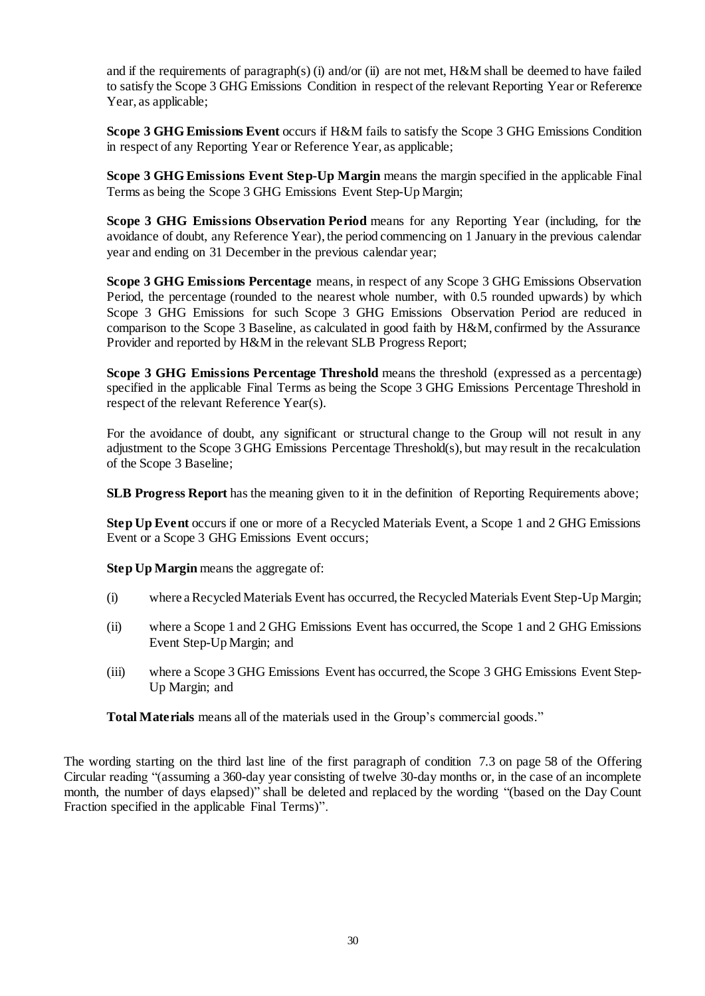and if the requirements of paragraph(s) (i) and/or (ii) are not met, H&M shall be deemed to have failed to satisfy the Scope 3 GHG Emissions Condition in respect of the relevant Reporting Year or Reference Year, as applicable;

**Scope 3 GHG Emissions Event** occurs if H&M fails to satisfy the Scope 3 GHG Emissions Condition in respect of any Reporting Year or Reference Year, as applicable;

**Scope 3 GHG Emissions Event Step-Up Margin** means the margin specified in the applicable Final Terms as being the Scope 3 GHG Emissions Event Step-Up Margin;

**Scope 3 GHG Emissions Observation Period** means for any Reporting Year (including, for the avoidance of doubt, any Reference Year), the period commencing on 1 January in the previous calendar year and ending on 31 December in the previous calendar year;

**Scope 3 GHG Emissions Percentage** means, in respect of any Scope 3 GHG Emissions Observation Period, the percentage (rounded to the nearest whole number, with 0.5 rounded upwards) by which Scope 3 GHG Emissions for such Scope 3 GHG Emissions Observation Period are reduced in comparison to the Scope 3 Baseline, as calculated in good faith by H&M, confirmed by the Assurance Provider and reported by H&M in the relevant SLB Progress Report;

**Scope 3 GHG Emissions Percentage Threshold** means the threshold (expressed as a percentage) specified in the applicable Final Terms as being the Scope 3 GHG Emissions Percentage Threshold in respect of the relevant Reference Year(s).

For the avoidance of doubt, any significant or structural change to the Group will not result in any adjustment to the Scope 3 GHG Emissions Percentage Threshold(s), but may result in the recalculation of the Scope 3 Baseline;

**SLB Progress Report** has the meaning given to it in the definition of Reporting Requirements above;

**Step Up Event** occurs if one or more of a Recycled Materials Event, a Scope 1 and 2 GHG Emissions Event or a Scope 3 GHG Emissions Event occurs;

**Step Up Margin** means the aggregate of:

- (i) where a Recycled Materials Event has occurred, the Recycled Materials Event Step-Up Margin;
- (ii) where a Scope 1 and 2 GHG Emissions Event has occurred, the Scope 1 and 2 GHG Emissions Event Step-Up Margin; and
- (iii) where a Scope 3 GHG Emissions Event has occurred, the Scope 3 GHG Emissions Event Step-Up Margin; and

**Total Materials** means all of the materials used in the Group's commercial goods."

The wording starting on the third last line of the first paragraph of condition 7.3 on page 58 of the Offering Circular reading "(assuming a 360-day year consisting of twelve 30-day months or, in the case of an incomplete month, the number of days elapsed)" shall be deleted and replaced by the wording "(based on the Day Count Fraction specified in the applicable Final Terms)".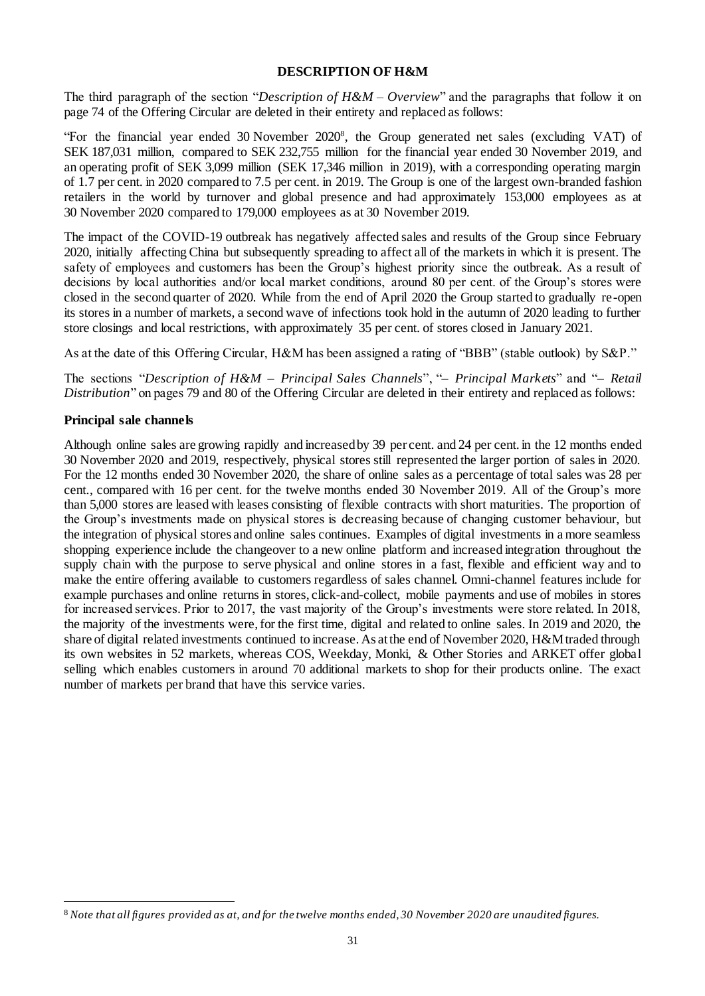#### **DESCRIPTION OF H&M**

The third paragraph of the section "*Description of H&M – Overview*" and the paragraphs that follow it on page 74 of the Offering Circular are deleted in their entirety and replaced as follows:

"For the financial year ended 30 November 2020<sup>8</sup> , the Group generated net sales (excluding VAT) of SEK 187,031 million, compared to SEK 232,755 million for the financial year ended 30 November 2019, and an operating profit of SEK 3,099 million (SEK 17,346 million in 2019), with a corresponding operating margin of 1.7 per cent. in 2020 compared to 7.5 per cent. in 2019. The Group is one of the largest own-branded fashion retailers in the world by turnover and global presence and had approximately 153,000 employees as at 30 November 2020 compared to 179,000 employees as at 30 November 2019.

The impact of the COVID-19 outbreak has negatively affected sales and results of the Group since February 2020, initially affecting China but subsequently spreading to affect all of the markets in which it is present. The safety of employees and customers has been the Group's highest priority since the outbreak. As a result of decisions by local authorities and/or local market conditions, around 80 per cent. of the Group's stores were closed in the second quarter of 2020. While from the end of April 2020 the Group started to gradually re-open its stores in a number of markets, a second wave of infections took hold in the autumn of 2020 leading to further store closings and local restrictions, with approximately 35 per cent. of stores closed in January 2021.

As at the date of this Offering Circular, H&M has been assigned a rating of "BBB" (stable outlook) by S&P."

The sections "*Description of H&M – Principal Sales Channels*", "*– Principal Markets*" and "*– Retail Distribution*" on pages 79 and 80 of the Offering Circular are deleted in their entirety and replaced as follows:

#### **Principal sale channels**

l

Although online sales are growing rapidly and increased by 39 per cent. and 24 per cent. in the 12 months ended 30 November 2020 and 2019, respectively, physical stores still represented the larger portion of sales in 2020. For the 12 months ended 30 November 2020, the share of online sales as a percentage of total sales was 28 per cent., compared with 16 per cent. for the twelve months ended 30 November 2019. All of the Group's more than 5,000 stores are leased with leases consisting of flexible contracts with short maturities. The proportion of the Group's investments made on physical stores is decreasing because of changing customer behaviour, but the integration of physical stores and online sales continues. Examples of digital investments in a more seamless shopping experience include the changeover to a new online platform and increased integration throughout the supply chain with the purpose to serve physical and online stores in a fast, flexible and efficient way and to make the entire offering available to customers regardless of sales channel. Omni-channel features include for example purchases and online returns in stores, click-and-collect, mobile payments and use of mobiles in stores for increased services. Prior to 2017, the vast majority of the Group's investments were store related. In 2018, the majority of the investments were, for the first time, digital and related to online sales. In 2019 and 2020, the share of digital related investments continued to increase. As at the end of November 2020, H&M traded through its own websites in 52 markets, whereas COS, Weekday, Monki, & Other Stories and ARKET offer global selling which enables customers in around 70 additional markets to shop for their products online. The exact number of markets per brand that have this service varies.

<sup>8</sup> *Note that all figures provided as at, and for the twelve months ended, 30 November 2020 are unaudited figures.*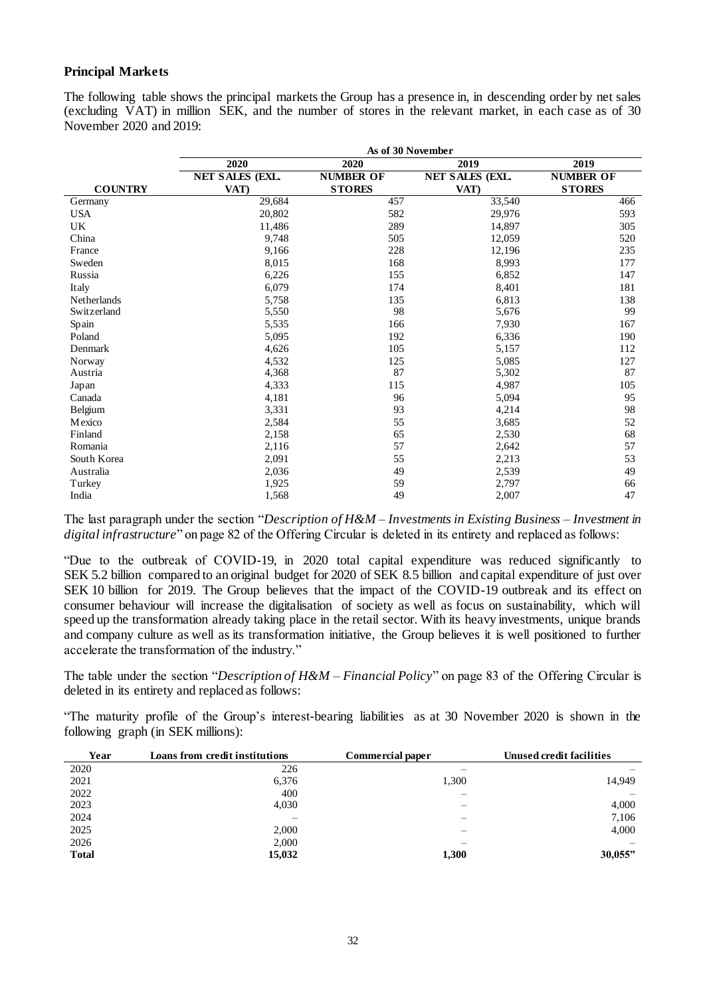## **Principal Markets**

The following table shows the principal markets the Group has a presence in, in descending order by net sales (excluding VAT) in million SEK, and the number of stores in the relevant market, in each case as of 30 November 2020 and 2019:

|                | As of 30 November      |                  |                        |                  |  |  |
|----------------|------------------------|------------------|------------------------|------------------|--|--|
|                | 2020                   | 2020             | 2019                   | 2019             |  |  |
|                | <b>NET SALES (EXL.</b> | <b>NUMBER OF</b> | <b>NET SALES (EXL.</b> | <b>NUMBER OF</b> |  |  |
| <b>COUNTRY</b> | VAT)                   | <b>STORES</b>    | VAT)                   | <b>STORES</b>    |  |  |
| Germany        | 29,684                 | 457              | 33,540                 | 466              |  |  |
| <b>USA</b>     | 20,802                 | 582              | 29,976                 | 593              |  |  |
| UK             | 11,486                 | 289              | 14,897                 | 305              |  |  |
| China          | 9,748                  | 505              | 12,059                 | 520              |  |  |
| France         | 9,166                  | 228              | 12,196                 | 235              |  |  |
| Sweden         | 8,015                  | 168              | 8,993                  | 177              |  |  |
| Russia         | 6,226                  | 155              | 6,852                  | 147              |  |  |
| Italy          | 6,079                  | 174              | 8,401                  | 181              |  |  |
| Netherlands    | 5,758                  | 135              | 6,813                  | 138              |  |  |
| Switzerland    | 5,550                  | 98               | 5,676                  | 99               |  |  |
| Spain          | 5,535                  | 166              | 7,930                  | 167              |  |  |
| Poland         | 5,095                  | 192              | 6,336                  | 190              |  |  |
| Denmark        | 4,626                  | 105              | 5,157                  | 112              |  |  |
| Norway         | 4,532                  | 125              | 5,085                  | 127              |  |  |
| Austria        | 4,368                  | 87               | 5,302                  | 87               |  |  |
| Japan          | 4,333                  | 115              | 4,987                  | 105              |  |  |
| Canada         | 4,181                  | 96               | 5,094                  | 95               |  |  |
| Belgium        | 3,331                  | 93               | 4,214                  | 98               |  |  |
| Mexico         | 2,584                  | 55               | 3,685                  | 52               |  |  |
| Finland        | 2,158                  | 65               | 2,530                  | 68               |  |  |
| Romania        | 2,116                  | 57               | 2,642                  | 57               |  |  |
| South Korea    | 2,091                  | 55               | 2,213                  | 53               |  |  |
| Australia      | 2,036                  | 49               | 2,539                  | 49               |  |  |
| Turkey         | 1,925                  | 59               | 2,797                  | 66               |  |  |
| India          | 1,568                  | 49               | 2,007                  | 47               |  |  |

The last paragraph under the section "*Description of H&M – Investments in Existing Business – Investment in digital infrastructure*" on page 82 of the Offering Circular is deleted in its entirety and replaced as follows:

"Due to the outbreak of COVID-19, in 2020 total capital expenditure was reduced significantly to SEK 5.2 billion compared to an original budget for 2020 of SEK 8.5 billion and capital expenditure of just over SEK 10 billion for 2019. The Group believes that the impact of the COVID-19 outbreak and its effect on consumer behaviour will increase the digitalisation of society as well as focus on sustainability, which will speed up the transformation already taking place in the retail sector. With its heavy investments, unique brands and company culture as well as its transformation initiative, the Group believes it is well positioned to further accelerate the transformation of the industry."

The table under the section "*Description of H&M – Financial Policy*" on page 83 of the Offering Circular is deleted in its entirety and replaced as follows:

"The maturity profile of the Group's interest-bearing liabilities as at 30 November 2020 is shown in the following graph (in SEK millions):

| Year         | Loans from credit institutions | Commercial paper | Unused credit facilities |
|--------------|--------------------------------|------------------|--------------------------|
| 2020         | 226                            |                  |                          |
| 2021         | 6,376                          | 1,300            | 14,949                   |
| 2022         | 400                            |                  |                          |
| 2023         | 4,030                          |                  | 4,000                    |
| 2024         |                                |                  | 7,106                    |
| 2025         | 2.000                          |                  | 4,000                    |
| 2026         | 2.000                          |                  |                          |
| <b>Total</b> | 15,032                         | 1,300            | 30,055"                  |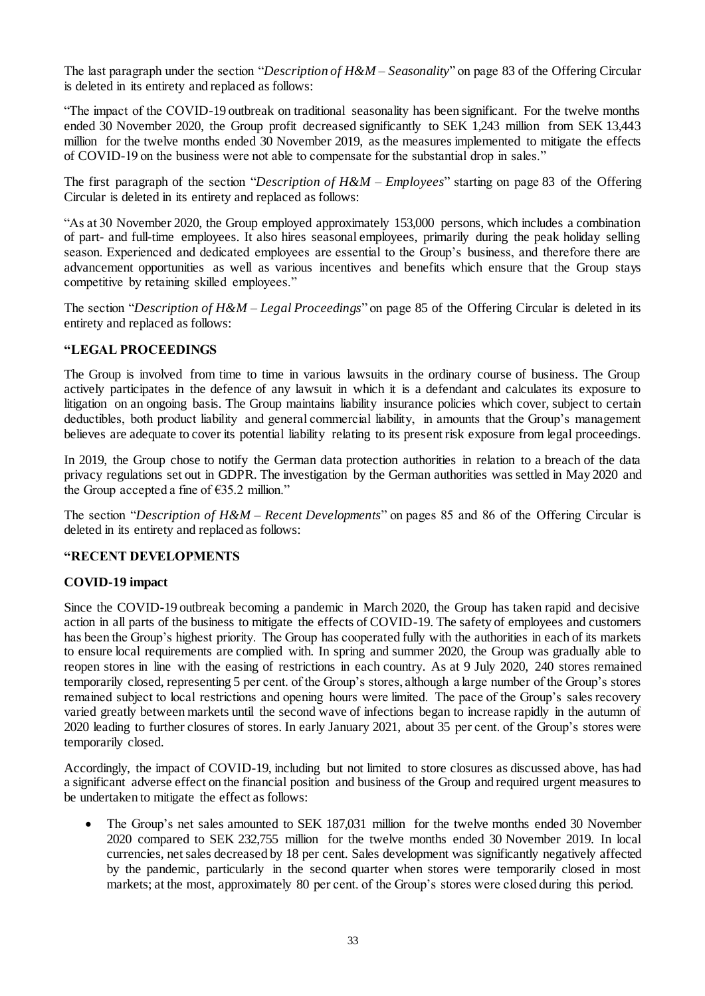The last paragraph under the section "*Description of H&M – Seasonality*" on page 83 of the Offering Circular is deleted in its entirety and replaced as follows:

"The impact of the COVID-19 outbreak on traditional seasonality has been significant. For the twelve months ended 30 November 2020, the Group profit decreased significantly to SEK 1,243 million from SEK 13,443 million for the twelve months ended 30 November 2019, as the measures implemented to mitigate the effects of COVID-19 on the business were not able to compensate for the substantial drop in sales."

The first paragraph of the section "*Description of H&M – Employees*" starting on page 83 of the Offering Circular is deleted in its entirety and replaced as follows:

"As at 30 November 2020, the Group employed approximately 153,000 persons, which includes a combination of part- and full-time employees. It also hires seasonal employees, primarily during the peak holiday selling season. Experienced and dedicated employees are essential to the Group's business, and therefore there are advancement opportunities as well as various incentives and benefits which ensure that the Group stays competitive by retaining skilled employees."

The section "*Description of H&M – Legal Proceedings*" on page 85 of the Offering Circular is deleted in its entirety and replaced as follows:

#### **"LEGAL PROCEEDINGS**

The Group is involved from time to time in various lawsuits in the ordinary course of business. The Group actively participates in the defence of any lawsuit in which it is a defendant and calculates its exposure to litigation on an ongoing basis. The Group maintains liability insurance policies which cover, subject to certain deductibles, both product liability and general commercial liability, in amounts that the Group's management believes are adequate to cover its potential liability relating to its present risk exposure from legal proceedings.

In 2019, the Group chose to notify the German data protection authorities in relation to a breach of the data privacy regulations set out in GDPR. The investigation by the German authorities was settled in May 2020 and the Group accepted a fine of  $\epsilon$ 35.2 million."

The section "*Description of H&M – Recent Developments*" on pages 85 and 86 of the Offering Circular is deleted in its entirety and replaced as follows:

### **"RECENT DEVELOPMENTS**

### **COVID-19 impact**

Since the COVID-19 outbreak becoming a pandemic in March 2020, the Group has taken rapid and decisive action in all parts of the business to mitigate the effects of COVID-19. The safety of employees and customers has been the Group's highest priority. The Group has cooperated fully with the authorities in each of its markets to ensure local requirements are complied with. In spring and summer 2020, the Group was gradually able to reopen stores in line with the easing of restrictions in each country. As at 9 July 2020, 240 stores remained temporarily closed, representing 5 per cent. of the Group's stores, although a large number of the Group's stores remained subject to local restrictions and opening hours were limited. The pace of the Group's sales recovery varied greatly between markets until the second wave of infections began to increase rapidly in the autumn of 2020 leading to further closures of stores. In early January 2021, about 35 per cent. of the Group's stores were temporarily closed.

Accordingly, the impact of COVID-19, including but not limited to store closures as discussed above, has had a significant adverse effect on the financial position and business of the Group and required urgent measures to be undertaken to mitigate the effect as follows:

• The Group's net sales amounted to SEK 187,031 million for the twelve months ended 30 November 2020 compared to SEK 232,755 million for the twelve months ended 30 November 2019. In local currencies, net sales decreased by 18 per cent. Sales development was significantly negatively affected by the pandemic, particularly in the second quarter when stores were temporarily closed in most markets; at the most, approximately 80 per cent. of the Group's stores were closed during this period.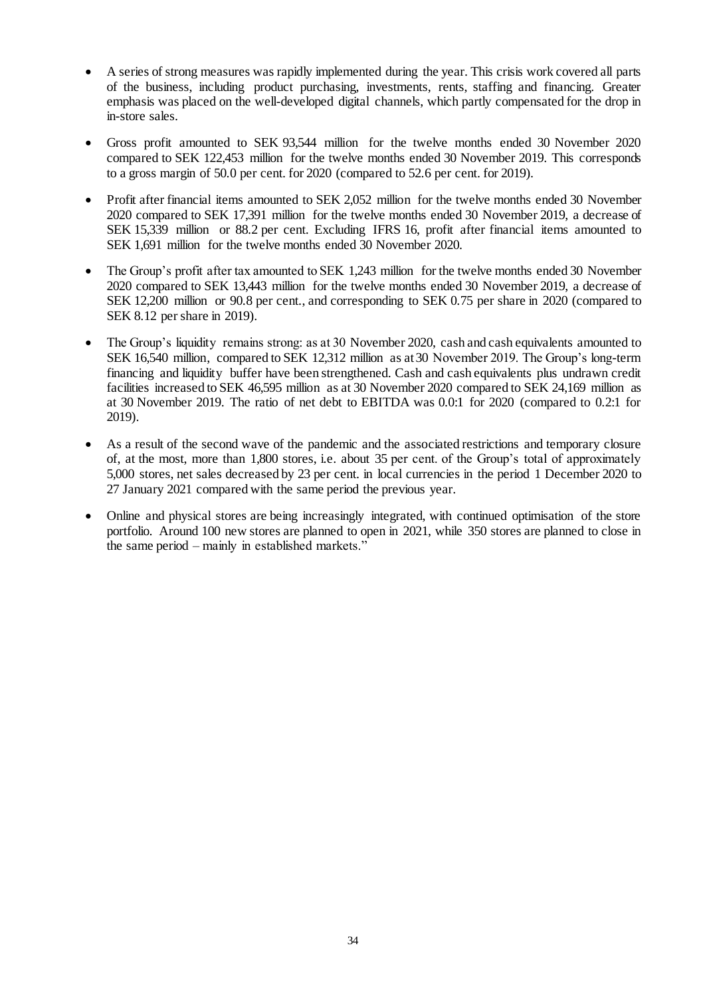- A series of strong measures was rapidly implemented during the year. This crisis work covered all parts of the business, including product purchasing, investments, rents, staffing and financing. Greater emphasis was placed on the well-developed digital channels, which partly compensated for the drop in in-store sales.
- Gross profit amounted to SEK 93,544 million for the twelve months ended 30 November 2020 compared to SEK 122,453 million for the twelve months ended 30 November 2019. This corresponds to a gross margin of 50.0 per cent. for 2020 (compared to 52.6 per cent. for 2019).
- Profit after financial items amounted to SEK 2,052 million for the twelve months ended 30 November 2020 compared to SEK 17,391 million for the twelve months ended 30 November 2019, a decrease of SEK 15,339 million or 88.2 per cent. Excluding IFRS 16, profit after financial items amounted to SEK 1,691 million for the twelve months ended 30 November 2020.
- The Group's profit after tax amounted to SEK 1,243 million for the twelve months ended 30 November 2020 compared to SEK 13,443 million for the twelve months ended 30 November 2019, a decrease of SEK 12,200 million or 90.8 per cent., and corresponding to SEK 0.75 per share in 2020 (compared to SEK 8.12 per share in 2019).
- The Group's liquidity remains strong: as at 30 November 2020, cash and cash equivalents amounted to SEK 16,540 million, compared to SEK 12,312 million as at 30 November 2019. The Group's long-term financing and liquidity buffer have been strengthened. Cash and cash equivalents plus undrawn credit facilities increased to SEK 46,595 million as at 30 November 2020 compared to SEK 24,169 million as at 30 November 2019. The ratio of net debt to EBITDA was 0.0:1 for 2020 (compared to 0.2:1 for 2019).
- As a result of the second wave of the pandemic and the associated restrictions and temporary closure of, at the most, more than 1,800 stores, i.e. about 35 per cent. of the Group's total of approximately 5,000 stores, net sales decreased by 23 per cent. in local currencies in the period 1 December 2020 to 27 January 2021 compared with the same period the previous year.
- Online and physical stores are being increasingly integrated, with continued optimisation of the store portfolio. Around 100 new stores are planned to open in 2021, while 350 stores are planned to close in the same period – mainly in established markets."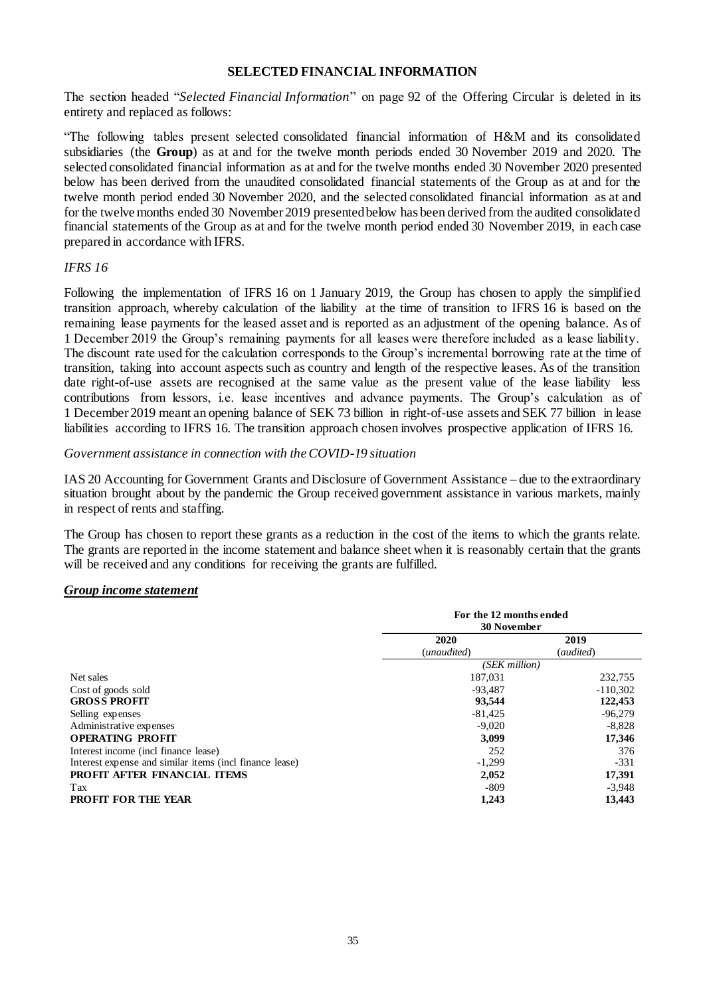#### **SELECTED FINANCIAL INFORMATION**

The section headed "*Selected Financial Information*" on page 92 of the Offering Circular is deleted in its entirety and replaced as follows:

"The following tables present selected consolidated financial information of H&M and its consolidated subsidiaries (the **Group**) as at and for the twelve month periods ended 30 November 2019 and 2020. The selected consolidated financial information as at and for the twelve months ended 30 November 2020 presented below has been derived from the unaudited consolidated financial statements of the Group as at and for the twelve month period ended 30 November 2020, and the selected consolidated financial information as at and for the twelve months ended 30 November 2019 presented below has been derived from the audited consolidated financial statements of the Group as at and for the twelve month period ended 30 November 2019, in each case prepared in accordance with IFRS.

#### *IFRS 16*

Following the implementation of IFRS 16 on 1 January 2019, the Group has chosen to apply the simplified transition approach, whereby calculation of the liability at the time of transition to IFRS 16 is based on the remaining lease payments for the leased asset and is reported as an adjustment of the opening balance. As of 1 December 2019 the Group's remaining payments for all leases were therefore included as a lease liability. The discount rate used for the calculation corresponds to the Group's incremental borrowing rate at the time of transition, taking into account aspects such as country and length of the respective leases. As of the transition date right-of-use assets are recognised at the same value as the present value of the lease liability less contributions from lessors, i.e. lease incentives and advance payments. The Group's calculation as of 1 December 2019 meant an opening balance of SEK 73 billion in right-of-use assets and SEK 77 billion in lease liabilities according to IFRS 16. The transition approach chosen involves prospective application of IFRS 16.

#### *Government assistance in connection with the COVID-19 situation*

IAS 20 Accounting for Government Grants and Disclosure of Government Assistance – due to the extraordinary situation brought about by the pandemic the Group received government assistance in various markets, mainly in respect of rents and staffing.

The Group has chosen to report these grants as a reduction in the cost of the items to which the grants relate. The grants are reported in the income statement and balance sheet when it is reasonably certain that the grants will be received and any conditions for receiving the grants are fulfilled.

#### *Group income statement*

|                                                         | For the 12 months ended<br><b>30 November</b> |            |  |
|---------------------------------------------------------|-----------------------------------------------|------------|--|
|                                                         | 2020                                          | 2019       |  |
|                                                         | (audited)<br>(unaudited)                      |            |  |
|                                                         | (SEK million)                                 |            |  |
| Net sales                                               | 187,031                                       | 232,755    |  |
| Cost of goods sold                                      | $-93.487$                                     | $-110,302$ |  |
| <b>GROSS PROFIT</b>                                     | 93,544                                        | 122,453    |  |
| Selling expenses                                        | $-81,425$                                     | $-96,279$  |  |
| Administrative expenses                                 | $-9,020$                                      | $-8,828$   |  |
| <b>OPERATING PROFIT</b>                                 | 3,099                                         | 17,346     |  |
| Interest income (incl finance lease)                    | 252                                           | 376        |  |
| Interest expense and similar items (incl finance lease) | $-1,299$                                      | $-331$     |  |
| PROFIT AFTER FINANCIAL ITEMS                            | 2,052                                         | 17,391     |  |
| Tax                                                     | -809                                          | $-3,948$   |  |
| <b>PROFIT FOR THE YEAR</b>                              | 1,243                                         | 13,443     |  |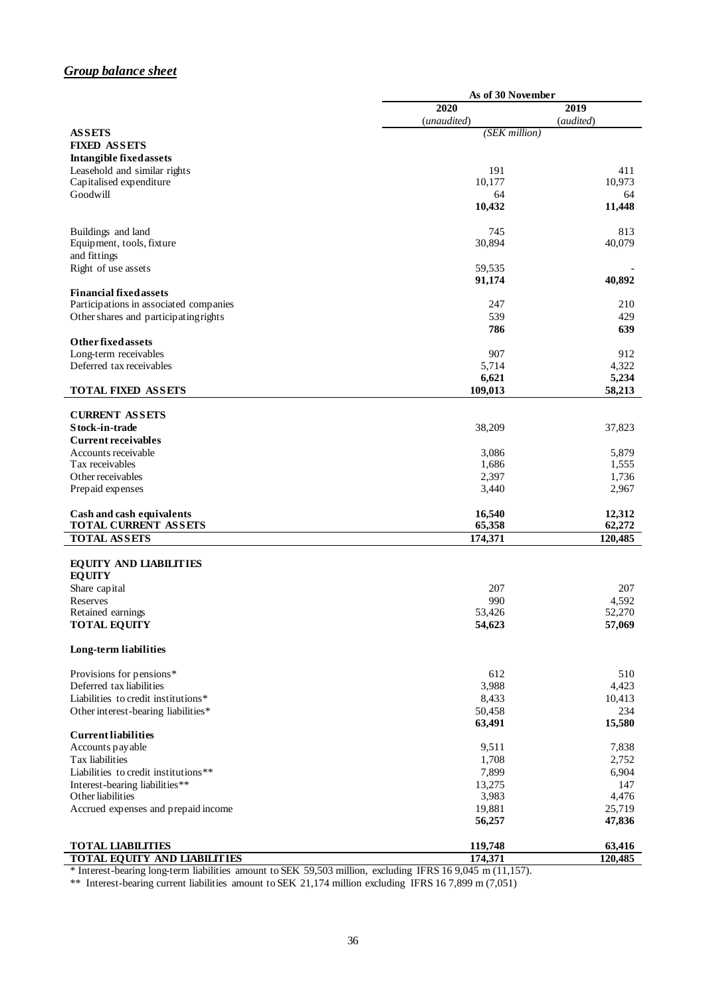## *Group balance sheet*

|                                                      | As of 30 November |           |
|------------------------------------------------------|-------------------|-----------|
|                                                      | 2020              | 2019      |
|                                                      | (unaudited)       | (audited) |
| <b>ASSETS</b>                                        | (SEK million)     |           |
| <b>FIXED ASSETS</b>                                  |                   |           |
| <b>Intangible fixed assets</b>                       |                   |           |
| Leasehold and similar rights                         | 191               | 411       |
| Capitalised expenditure                              | 10,177            | 10,973    |
| Goodwill                                             | 64                | 64        |
|                                                      | 10,432            | 11,448    |
| Buildings and land                                   | 745               | 813       |
| Equipment, tools, fixture                            | 30,894            | 40,079    |
| and fittings                                         |                   |           |
| Right of use assets                                  | 59,535            |           |
|                                                      | 91,174            | 40,892    |
| <b>Financial fixed assets</b>                        |                   |           |
| Participations in associated companies               | 247               | 210       |
| Other shares and participating rights                | 539               | 429       |
|                                                      | 786               | 639       |
| <b>Other fixed assets</b>                            |                   |           |
| Long-term receivables                                | 907               | 912       |
| Deferred tax receivables                             | 5,714             | 4,322     |
|                                                      | 6,621             | 5,234     |
| <b>TOTAL FIXED ASSETS</b>                            | 109,013           | 58,213    |
|                                                      |                   |           |
| <b>CURRENT ASSETS</b><br>Stock-in-trade              |                   |           |
| <b>Current receivables</b>                           | 38,209            | 37,823    |
| Accounts receivable                                  | 3,086             | 5,879     |
| Tax receivables                                      | 1,686             | 1,555     |
| Other receivables                                    | 2,397             | 1,736     |
| Prepaid expenses                                     | 3,440             | 2,967     |
|                                                      |                   |           |
| Cash and cash equivalents                            | 16,540            | 12,312    |
| TOTAL CURRENT ASSETS                                 | 65,358            | 62,272    |
| <b>TOTAL ASSETS</b>                                  | 174,371           | 120,485   |
| <b>EQUITY AND LIABILITIES</b>                        |                   |           |
| <b>EQUITY</b>                                        |                   |           |
| Share capital                                        | 207               | 207       |
| Reserves                                             | 990               | 4,592     |
| Retained earnings                                    | 53,426            | 52,270    |
| <b>TOTAL EQUITY</b>                                  | 54,623            | 57,069    |
|                                                      |                   |           |
| Long-term liabilities                                |                   |           |
|                                                      | 612               | 510       |
| Provisions for pensions*<br>Deferred tax liabilities | 3,988             | 4,423     |
| Liabilities to credit institutions*                  | 8,433             | 10,413    |
| Other interest-bearing liabilities*                  | 50,458            | 234       |
|                                                      | 63,491            | 15,580    |
| <b>Current liabilities</b>                           |                   |           |
| Accounts payable                                     | 9,511             | 7,838     |
| Tax liabilities                                      | 1,708             | 2,752     |
| Liabilities to credit institutions**                 | 7,899             | 6,904     |
| Interest-bearing liabilities**                       | 13,275            | 147       |
| Other liabilities                                    | 3,983             | 4,476     |
| Accrued expenses and prepaid income                  | 19,881            | 25,719    |
|                                                      | 56,257            | 47,836    |
|                                                      |                   |           |
| <b>TOTAL LIABILITIES</b>                             | 119,748           | 63,416    |
| <b>TOTAL EQUITY AND LIABILITIES</b>                  | 174,371           | 120,485   |

\* Interest-bearing long-term liabilities amount to SEK 59,503 million, excluding IFRS 16 9,045 m (11,157).

\*\* Interest-bearing current liabilities amount to SEK 21,174 million excluding IFRS 16 7,899 m (7,051)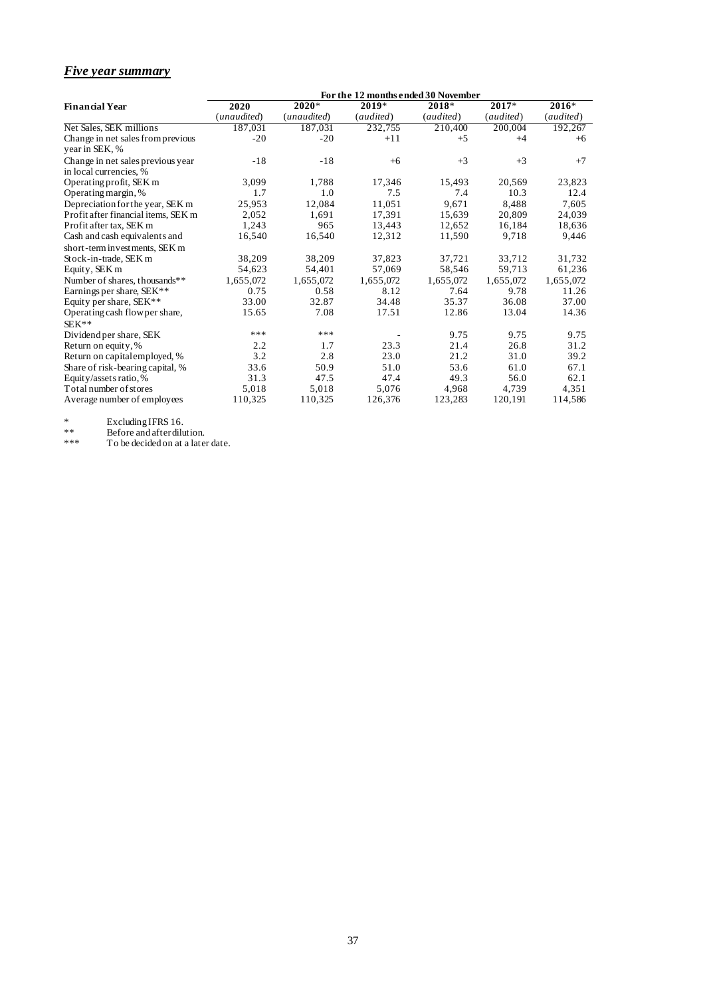### *Five year summary*

|                                                             |             |             | For the 12 months ended 30 November |           |           |           |
|-------------------------------------------------------------|-------------|-------------|-------------------------------------|-----------|-----------|-----------|
| <b>Financial Year</b>                                       | 2020        | $2020*$     | 2019*                               | 2018*     | $2017*$   | $2016*$   |
|                                                             | (unaudited) | (unaudited) | (audited)                           | (audited) | (audited) | (audited) |
| Net Sales, SEK millions                                     | 187,031     | 187.031     | 232,755                             | 210,400   | 200,004   | 192,267   |
| Change in net sales from previous<br>year in SEK, %         | $-20$       | $-20$       | $+11$                               | $+5$      | $+4$      | $+6$      |
| Change in net sales previous year<br>in local currencies, % | $-18$       | $-18$       | $+6$                                | $+3$      | $+3$      | $+7$      |
| Operating profit, SEK m                                     | 3,099       | 1,788       | 17,346                              | 15,493    | 20,569    | 23,823    |
| Operating margin, %                                         | 1.7         | 1.0         | 7.5                                 | 7.4       | 10.3      | 12.4      |
| Depreciation for the year, SEK m                            | 25,953      | 12,084      | 11,051                              | 9.671     | 8,488     | 7,605     |
| Profit after financial items, SEK m                         | 2,052       | 1.691       | 17,391                              | 15,639    | 20,809    | 24,039    |
| Profit after tax, SEK m                                     | 1,243       | 965         | 13,443                              | 12,652    | 16,184    | 18,636    |
| Cash and cash equivalents and                               | 16,540      | 16,540      | 12,312                              | 11,590    | 9.718     | 9,446     |
| short-term investments, SEK m                               |             |             |                                     |           |           |           |
| Stock-in-trade, SEK m                                       | 38,209      | 38,209      | 37,823                              | 37,721    | 33,712    | 31,732    |
| Equity, SEK m                                               | 54,623      | 54,401      | 57,069                              | 58,546    | 59,713    | 61,236    |
| Number of shares, thousands**                               | 1,655,072   | 1,655,072   | 1,655,072                           | 1,655,072 | 1,655,072 | 1,655,072 |
| Earnings per share, SEK**                                   | 0.75        | 0.58        | 8.12                                | 7.64      | 9.78      | 11.26     |
| Equity per share, SEK**                                     | 33.00       | 32.87       | 34.48                               | 35.37     | 36.08     | 37.00     |
| Operating cash flow per share,                              | 15.65       | 7.08        | 17.51                               | 12.86     | 13.04     | 14.36     |
| $SEK**$                                                     |             |             |                                     |           |           |           |
| Dividend per share, SEK                                     | ***         | ***         |                                     | 9.75      | 9.75      | 9.75      |
| Return on equity, %                                         | 2.2         | 1.7         | 23.3                                | 21.4      | 26.8      | 31.2      |
| Return on capital employed, %                               | 3.2         | 2.8         | 23.0                                | 21.2      | 31.0      | 39.2      |
| Share of risk-bearing capital, %                            | 33.6        | 50.9        | 51.0                                | 53.6      | 61.0      | 67.1      |
| Equity/assets ratio, %                                      | 31.3        | 47.5        | 47.4                                | 49.3      | 56.0      | 62.1      |
| Total number of stores                                      | 5,018       | 5,018       | 5,076                               | 4,968     | 4,739     | 4,351     |
| Average number of employees                                 | 110,325     | 110,325     | 126,376                             | 123,283   | 120,191   | 114,586   |

\* Excluding IFRS 16.

\*\* Before and after dilution.

\*\*\* To be decided on at a later date.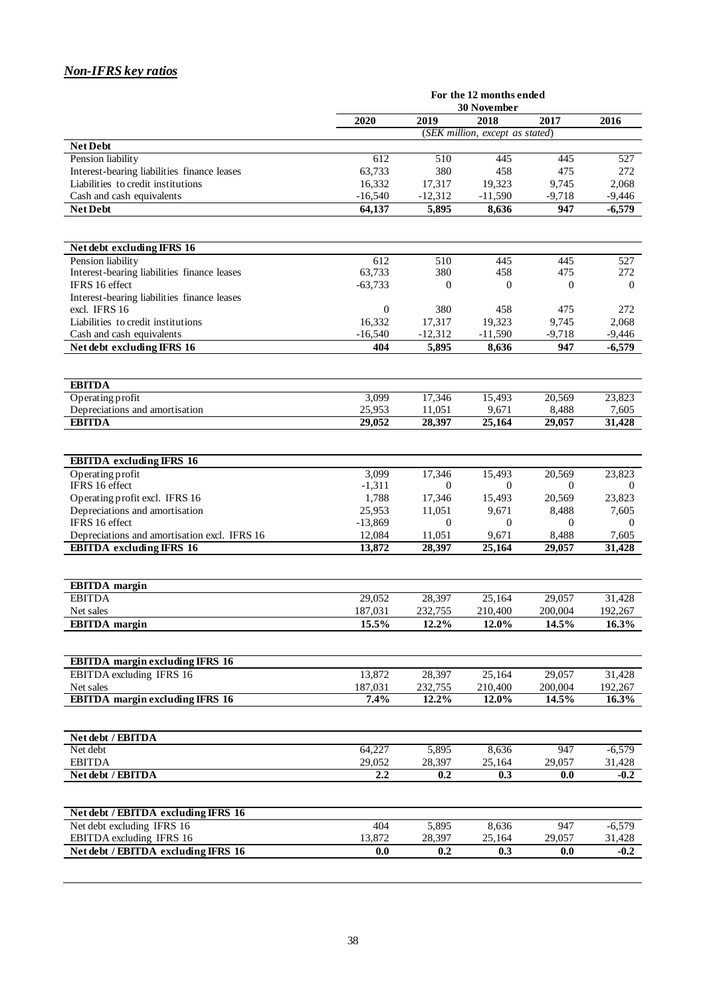## *Non-IFRS key ratios*

|                                                         | For the 12 months ended |                    |                                         |                        |                    |
|---------------------------------------------------------|-------------------------|--------------------|-----------------------------------------|------------------------|--------------------|
|                                                         | <b>30 November</b>      |                    |                                         |                        |                    |
|                                                         | 2020                    | 2019               | 2018<br>(SEK million, except as stated) | 2017                   | 2016               |
| <b>Net Debt</b>                                         |                         |                    |                                         |                        |                    |
| Pension liability                                       | 612                     | 510                | 445                                     | 445                    | 527                |
| Interest-bearing liabilities finance leases             | 63,733                  | 380                | 458                                     | 475                    | 272                |
| Liabilities to credit institutions                      | 16,332                  | 17,317             | 19,323                                  | 9,745                  | 2,068              |
| Cash and cash equivalents                               | $-16,540$               | $-12,312$          | $-11,590$                               | $-9,718$               | $-9,446$           |
| <b>Net Debt</b>                                         | 64,137                  | 5,895              | 8,636                                   | 947                    | $-6,579$           |
|                                                         |                         |                    |                                         |                        |                    |
|                                                         |                         |                    |                                         |                        |                    |
| Net debt excluding IFRS 16                              |                         |                    |                                         |                        |                    |
| Pension liability                                       | 612                     | 510                | 445                                     | 445                    | 527                |
| Interest-bearing liabilities finance leases             | 63,733                  | 380                | 458                                     | 475                    | 272                |
| IFRS 16 effect                                          | $-63,733$               | $\Omega$           | $\Omega$                                | $\Omega$               | $\theta$           |
| Interest-bearing liabilities finance leases             |                         |                    |                                         |                        |                    |
| excl. IFRS 16                                           | $\mathbf{0}$            | 380                | 458                                     | 475                    | 272                |
| Liabilities to credit institutions                      | 16,332                  | 17,317             | 19,323                                  | 9,745                  | 2,068              |
| Cash and cash equivalents<br>Net debt excluding IFRS 16 | $-16,540$<br>404        | $-12,312$          | $-11,590$                               | $-9,718$<br>947        | $-9,446$           |
|                                                         |                         | 5,895              | 8,636                                   |                        | $-6,579$           |
|                                                         |                         |                    |                                         |                        |                    |
| <b>EBITDA</b>                                           |                         |                    |                                         |                        |                    |
| Operating profit                                        | 3,099                   | 17,346             | 15,493                                  | 20.569                 | 23,823             |
| Depreciations and amortisation                          | 25,953                  | 11,051             | 9,671                                   | 8,488                  | 7,605              |
| <b>EBITDA</b>                                           | 29,052                  | 28,397             | 25,164                                  | 29,057                 | 31,428             |
|                                                         |                         |                    |                                         |                        |                    |
|                                                         |                         |                    |                                         |                        |                    |
| <b>EBITDA</b> excluding IFRS 16                         |                         |                    |                                         |                        |                    |
| Operating profit                                        | 3,099                   | 17,346<br>$\Omega$ | 15,493                                  | 20,569                 | 23,823             |
| IFRS 16 effect<br>Operating profit excl. IFRS 16        | $-1,311$<br>1,788       | 17,346             | $\overline{0}$<br>15,493                | $\mathbf{0}$<br>20,569 | $\theta$<br>23,823 |
| Depreciations and amortisation                          | 25,953                  | 11,051             | 9,671                                   | 8,488                  | 7,605              |
| IFRS 16 effect                                          | $-13,869$               | $\Omega$           | $\theta$                                | $\Omega$               | $\Omega$           |
| Depreciations and amortisation excl. IFRS 16            | 12,084                  | 11,051             | 9,671                                   | 8,488                  | 7,605              |
| <b>EBITDA</b> excluding IFRS 16                         | 13,872                  | 28,397             | 25,164                                  | 29,057                 | 31,428             |
|                                                         |                         |                    |                                         |                        |                    |
|                                                         |                         |                    |                                         |                        |                    |
| <b>EBITDA</b> margin                                    |                         |                    |                                         |                        |                    |
| <b>EBITDA</b>                                           | 29,052                  | 28,397             | $\overline{25,164}$                     | 29,057                 | 31,428             |
| Net sales                                               | 187,031                 | 232,755            | 210,400                                 | 200,004                | 192,267            |
| <b>EBITDA</b> margin                                    | 15.5%                   | 12.2%              | $12.0\%$                                | 14.5%                  | $16.3\%$           |
|                                                         |                         |                    |                                         |                        |                    |
| <b>EBITDA</b> margin excluding IFRS 16                  |                         |                    |                                         |                        |                    |
| EBITDA excluding IFRS 16                                | 13,872                  | 28,397             | 25,164                                  | 29,057                 | 31,428             |
| Net sales                                               | 187,031                 | 232,755            | 210,400                                 | 200,004                | 192,267            |
| <b>EBITDA</b> margin excluding IFRS 16                  | 7.4%                    | 12.2%              | 12.0%                                   | 14.5%                  | 16.3%              |
|                                                         |                         |                    |                                         |                        |                    |
|                                                         |                         |                    |                                         |                        |                    |
| Net debt / EBITDA                                       |                         |                    |                                         |                        |                    |
| Net debt                                                | 64,227                  | 5,895              | 8,636                                   | 947                    | $-6,579$           |
| <b>EBITDA</b>                                           | 29,052                  | 28,397             | 25,164                                  | 29,057                 | 31,428             |
| Net debt / EBITDA                                       | 2.2                     | 0.2                | 0.3                                     | 0.0                    | $-0.2$             |
|                                                         |                         |                    |                                         |                        |                    |
| Net debt / EBITDA excluding IFRS 16                     |                         |                    |                                         |                        |                    |
| Net debt excluding IFRS 16                              | 404                     | 5,895              | 8,636                                   | 947                    | $-6,579$           |
| EBITDA excluding IFRS 16                                | 13,872                  | 28,397             | 25,164                                  | 29,057                 | 31,428             |
| Net debt / EBITDA excluding IFRS 16                     | 0.0                     | 0.2                | 0.3                                     | 0.0                    | $-0.2$             |
|                                                         |                         |                    |                                         |                        |                    |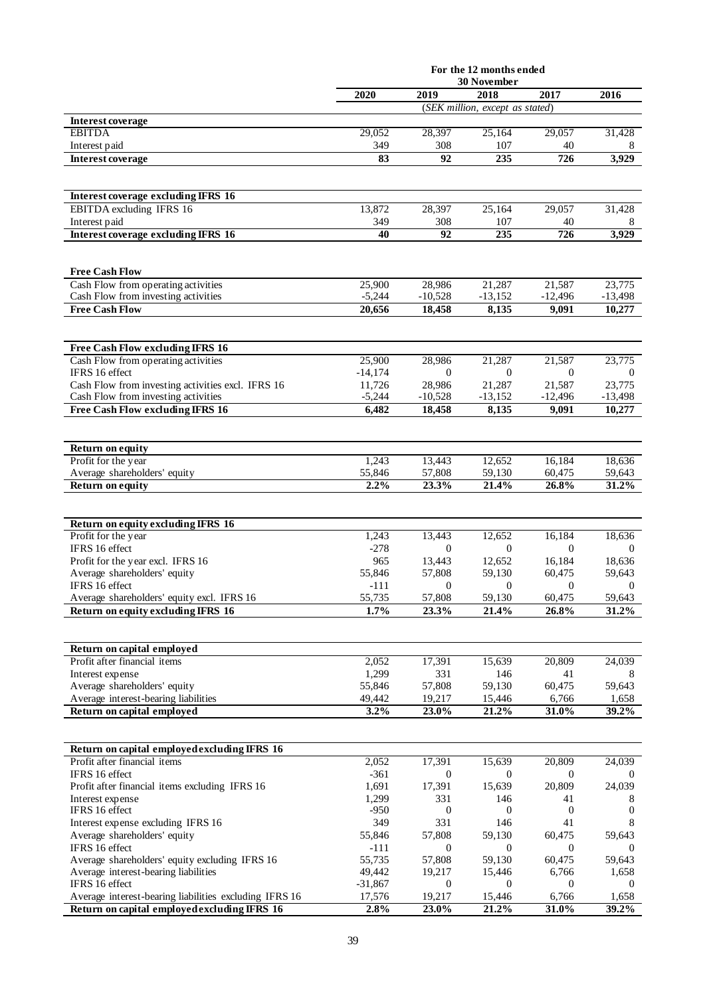|                                                                                                        | For the 12 months ended |                          |                                 |                         |                            |
|--------------------------------------------------------------------------------------------------------|-------------------------|--------------------------|---------------------------------|-------------------------|----------------------------|
|                                                                                                        | 2020                    | 2019                     | <b>30 November</b><br>2018      | 2017                    | 2016                       |
|                                                                                                        |                         |                          | (SEK million, except as stated) |                         |                            |
| Interest coverage                                                                                      |                         |                          |                                 |                         |                            |
| <b>EBITDA</b>                                                                                          | 29,052                  | 28,397                   | 25,164                          | 29,057                  | 31,428                     |
| Interest paid                                                                                          | 349                     | 308                      | 107                             | 40                      | 8                          |
| Interest coverage                                                                                      | 83                      | 92                       | 235                             | 726                     | 3,929                      |
|                                                                                                        |                         |                          |                                 |                         |                            |
| Interest coverage excluding IFRS 16                                                                    |                         |                          |                                 |                         |                            |
| EBITDA excluding IFRS 16                                                                               | 13,872                  | 28,397                   | 25,164                          | 29,057                  | 31,428                     |
| Interest paid                                                                                          | 349                     | 308                      | 107                             | 40                      | 8                          |
| <b>Interest coverage excluding IFRS 16</b>                                                             | 40                      | 92                       | 235                             | 726                     | 3,929                      |
|                                                                                                        |                         |                          |                                 |                         |                            |
| <b>Free Cash Flow</b>                                                                                  |                         |                          |                                 |                         |                            |
| Cash Flow from operating activities                                                                    | 25,900                  | 28,986                   | 21,287                          | 21,587                  | 23,775                     |
| Cash Flow from investing activities<br><b>Free Cash Flow</b>                                           | $-5,244$                | $-10,528$                | $-13,152$                       | $-12,496$               | $-13,498$                  |
|                                                                                                        | 20,656                  | 18,458                   | 8,135                           | 9.091                   | 10,277                     |
|                                                                                                        |                         |                          |                                 |                         |                            |
| Free Cash Flow excluding IFRS 16                                                                       |                         |                          |                                 |                         |                            |
| Cash Flow from operating activities                                                                    | 25,900                  | 28,986                   | 21,287                          | 21,587                  | 23,775                     |
| IFRS 16 effect                                                                                         | $-14,174$<br>11,726     | $\mathbf{0}$<br>28,986   | $\mathbf{0}$<br>21,287          | $\mathbf{0}$            | $\boldsymbol{0}$<br>23,775 |
| Cash Flow from investing activities excl. IFRS 16<br>Cash Flow from investing activities               | $-5,244$                | $-10,528$                | $-13,152$                       | 21,587<br>$-12,496$     | $-13,498$                  |
| Free Cash Flow excluding IFRS 16                                                                       | 6,482                   | 18,458                   | 8,135                           | 9,091                   | 10,277                     |
|                                                                                                        |                         |                          |                                 |                         |                            |
|                                                                                                        |                         |                          |                                 |                         |                            |
| Return on equity<br>Profit for the year                                                                | 1,243                   | 13,443                   | 12,652                          | 16,184                  | 18,636                     |
| Average shareholders' equity                                                                           | 55,846                  | 57,808                   | 59,130                          | 60,475                  | 59,643                     |
| <b>Return on equity</b>                                                                                | 2.2%                    | 23.3%                    | 21.4%                           | 26.8%                   | 31.2%                      |
|                                                                                                        |                         |                          |                                 |                         |                            |
| Return on equity excluding IFRS 16                                                                     |                         |                          |                                 |                         |                            |
| Profit for the year                                                                                    | 1,243                   | 13,443                   | 12,652                          | 16,184                  | 18,636                     |
| IFRS 16 effect                                                                                         | $-278$                  | $\mathbf{0}$             | $\mathbf{0}$                    | $\mathbf{0}$            | $\overline{0}$             |
| Profit for the year excl. IFRS 16                                                                      | 965                     | 13.443                   | 12,652                          | 16,184                  | 18,636                     |
| Average shareholders' equity                                                                           | 55,846                  | 57,808                   | 59,130                          | 60,475                  | 59,643                     |
| IFRS 16 effect<br>Average shareholders' equity excl. IFRS 16                                           | $-111$<br>55,735        | $\overline{0}$<br>57,808 | $\mathbf{0}$<br>59,130          | $\mathbf{0}$<br>60,475  | $\theta$<br>59,643         |
| Return on equity excluding IFRS 16                                                                     | 1.7%                    | 23.3%                    | 21.4%                           | 26.8%                   | 31.2%                      |
|                                                                                                        |                         |                          |                                 |                         |                            |
|                                                                                                        |                         |                          |                                 |                         |                            |
| Return on capital employed<br>Profit after financial items                                             | 2,052                   | 17,391                   | 15,639                          | 20,809                  | 24,039                     |
| Interest expense                                                                                       | 1,299                   | 331                      | 146                             | 41                      | 8                          |
| Average shareholders' equity                                                                           | 55,846                  | 57,808                   | 59,130                          | 60,475                  | 59,643                     |
| Average interest-bearing liabilities                                                                   | 49,442                  | 19,217                   | 15,446                          | 6,766                   | 1,658                      |
| Return on capital employed                                                                             | 3.2%                    | 23.0%                    | 21.2%                           | 31.0%                   | 39.2%                      |
|                                                                                                        |                         |                          |                                 |                         |                            |
| Return on capital employed excluding IFRS 16                                                           |                         |                          |                                 |                         |                            |
| Profit after financial items                                                                           | 2,052                   | 17,391                   | 15,639                          | 20,809                  | 24,039                     |
| IFRS 16 effect                                                                                         | $-361$                  | $\theta$                 | $\theta$                        | $\overline{0}$          | $\theta$                   |
| Profit after financial items excluding IFRS 16                                                         | 1,691                   | 17,391                   | 15,639                          | 20,809                  | 24,039                     |
| Interest expense<br>IFRS 16 effect                                                                     | 1,299<br>$-950$         | 331<br>$\mathbf{0}$      | 146<br>$\mathbf{0}$             | 41<br>$\boldsymbol{0}$  | 8<br>$\boldsymbol{0}$      |
| Interest expense excluding IFRS 16                                                                     | 349                     | 331                      | 146                             | 41                      | 8                          |
| Average shareholders' equity                                                                           | 55,846                  | 57,808                   | 59,130                          | 60,475                  | 59,643                     |
| IFRS 16 effect                                                                                         | $-111$                  | $\theta$                 | $\theta$                        | $\mathbf{0}$            | $\mathbf{0}$               |
| Average shareholders' equity excluding IFRS 16                                                         | 55,735                  | 57,808                   | 59,130                          | 60,475                  | 59,643                     |
| Average interest-bearing liabilities                                                                   | 49,442                  | 19,217                   | 15,446                          | 6,766                   | 1,658                      |
| IFRS 16 effect                                                                                         | $-31,867$<br>17,576     | 0<br>19,217              | $\mathbf{0}$<br>15,446          | $\overline{0}$<br>6,766 | $\theta$<br>1,658          |
| Average interest-bearing liabilities excluding IFRS 16<br>Return on capital employed excluding IFRS 16 | 2.8%                    | 23.0%                    | 21.2%                           | 31.0%                   | 39.2%                      |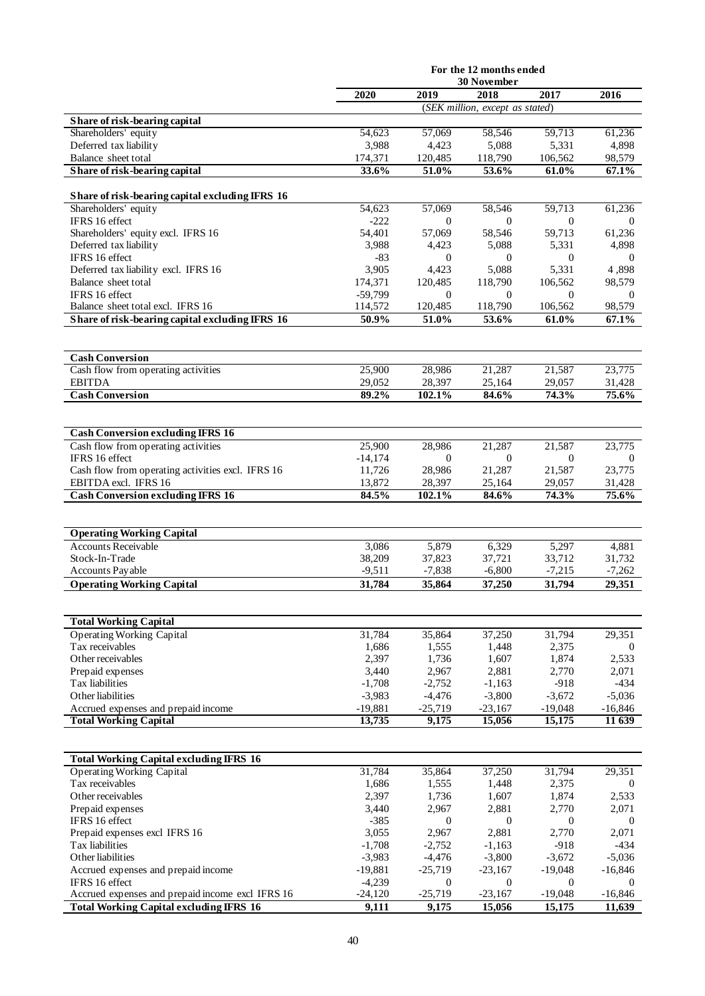|                                                                                    | For the 12 months ended |                           |                                 |                             |                          |
|------------------------------------------------------------------------------------|-------------------------|---------------------------|---------------------------------|-----------------------------|--------------------------|
|                                                                                    | 2020                    | 2019                      | 30 November<br>2018             | 2017                        | 2016                     |
|                                                                                    |                         |                           | (SEK million, except as stated) |                             |                          |
| Share of risk-bearing capital                                                      |                         |                           |                                 |                             |                          |
| Shareholders' equity                                                               | 54,623                  | 57,069                    | 58,546                          | 59,713                      | 61,236                   |
| Deferred tax liability                                                             | 3,988                   | 4,423                     | 5,088                           | 5,331                       | 4,898                    |
| Balance sheet total                                                                | 174,371                 | 120,485                   | 118,790                         | 106,562                     | 98,579                   |
| Share of risk-bearing capital                                                      | 33.6%                   | 51.0%                     | 53.6%                           | 61.0%                       | 67.1%                    |
| Share of risk-bearing capital excluding IFRS 16                                    |                         |                           |                                 |                             |                          |
| Shareholders' equity                                                               | 54,623                  | 57,069                    | 58,546                          | 59,713                      | 61,236                   |
| IFRS 16 effect                                                                     | $-222$                  | $\theta$                  | $\theta$                        | $\overline{0}$              | $\theta$                 |
| Shareholders' equity excl. IFRS 16                                                 | 54,401                  | 57,069                    | 58,546                          | 59,713                      | 61,236                   |
| Deferred tax liability                                                             | 3,988                   | 4,423                     | 5,088                           | 5,331                       | 4,898                    |
| IFRS 16 effect                                                                     | $-83$                   | $\Omega$                  | $\mathbf{0}$                    | $\mathbf{0}$                | $\theta$                 |
| Deferred tax liability excl. IFRS 16                                               | 3,905                   | 4,423                     | 5,088                           | 5,331                       | 4,898                    |
| Balance sheet total<br>IFRS 16 effect                                              | 174,371                 | 120,485                   | 118,790                         | 106,562                     | 98,579                   |
| Balance sheet total excl. IFRS 16                                                  | $-59,799$<br>114,572    | $\overline{0}$<br>120,485 | $\theta$<br>118,790             | $\mathbf{0}$<br>106,562     | $\overline{0}$<br>98,579 |
| Share of risk-bearing capital excluding IFRS 16                                    | 50.9%                   | 51.0%                     | 53.6%                           | 61.0%                       | 67.1%                    |
|                                                                                    |                         |                           |                                 |                             |                          |
|                                                                                    |                         |                           |                                 |                             |                          |
| <b>Cash Conversion</b>                                                             |                         |                           |                                 |                             |                          |
| Cash flow from operating activities                                                | 25,900                  | 28,986                    | 21,287                          | 21,587                      | 23,775                   |
| <b>EBITDA</b>                                                                      | 29,052                  | 28,397<br>102.1%          | 25,164                          | 29,057<br>74.3%             | 31,428                   |
| <b>Cash Conversion</b>                                                             | 89.2%                   |                           | 84.6%                           |                             | 75.6%                    |
|                                                                                    |                         |                           |                                 |                             |                          |
| <b>Cash Conversion excluding IFRS 16</b>                                           |                         |                           |                                 |                             |                          |
| Cash flow from operating activities                                                | 25,900                  | 28,986                    | 21,287                          | 21,587                      | 23,775                   |
| IFRS 16 effect                                                                     | $-14,174$               | $\overline{0}$            | $\overline{0}$                  | $\mathbf{0}$                | $\overline{0}$           |
| Cash flow from operating activities excl. IFRS 16                                  | 11,726                  | 28,986                    | 21,287                          | 21,587                      | 23,775                   |
| EBITDA excl. IFRS 16<br><b>Cash Conversion excluding IFRS 16</b>                   | 13,872<br>84.5%         | 28,397<br>102.1%          | 25,164<br>84.6%                 | 29,057<br>74.3%             | 31,428<br>75.6%          |
|                                                                                    |                         |                           |                                 |                             |                          |
|                                                                                    |                         |                           |                                 |                             |                          |
| <b>Operating Working Capital</b>                                                   |                         |                           |                                 |                             |                          |
| <b>Accounts Receivable</b>                                                         | 3,086                   | 5,879                     | 6,329                           | 5,297                       | 4,881                    |
| Stock-In-Trade                                                                     | 38,209                  | 37,823                    | 37,721                          | 33,712                      | 31,732                   |
| Accounts Payable                                                                   | $-9,511$                | $-7,838$                  | $-6,800$                        | $-7.215$                    | $-7.262$                 |
| <b>Operating Working Capital</b>                                                   | 31,784                  | 35,864                    | 37,250                          | 31,794                      | 29,351                   |
|                                                                                    |                         |                           |                                 |                             |                          |
| <b>Total Working Capital</b>                                                       |                         |                           |                                 |                             |                          |
| <b>Operating Working Capital</b>                                                   | 31,784                  | 35,864                    | 37,250                          | 31,794                      | 29,351                   |
| Tax receivables                                                                    | 1.686                   | 1,555                     | 1,448                           | 2,375                       | $\theta$                 |
| Other receivables                                                                  | 2,397                   | 1,736                     | 1,607                           | 1,874                       | 2,533                    |
| Prepaid expenses<br>Tax liabilities                                                | 3,440<br>$-1,708$       | 2,967<br>$-2,752$         | 2,881<br>$-1,163$               | 2,770<br>$-918$             | 2,071<br>$-434$          |
| Other liabilities                                                                  | $-3,983$                | $-4,476$                  | $-3,800$                        | $-3,672$                    | $-5,036$                 |
| Accrued expenses and prepaid income                                                | $-19,881$               | $-25,719$                 | $-23,167$                       | $-19,048$                   | $-16,846$                |
| <b>Total Working Capital</b>                                                       | 13,735                  | 9,175                     | 15,056                          | 15,175                      | 11 639                   |
|                                                                                    |                         |                           |                                 |                             |                          |
|                                                                                    |                         |                           |                                 |                             |                          |
| <b>Total Working Capital excluding IFRS 16</b><br><b>Operating Working Capital</b> | 31,784                  | 35,864                    | 37,250                          | 31,794                      | 29,351                   |
| Tax receivables                                                                    | 1,686                   | 1,555                     | 1,448                           | 2,375                       | $\overline{0}$           |
| Other receivables                                                                  | 2,397                   | 1,736                     | 1,607                           | 1,874                       | 2,533                    |
| Prepaid expenses                                                                   | 3,440                   | 2,967                     | 2,881                           | 2,770                       | 2,071                    |
| IFRS 16 effect                                                                     | $-385$                  | $\overline{0}$            | $\theta$                        | $\mathbf{0}$                | $\theta$                 |
| Prepaid expenses excl IFRS 16                                                      | 3,055                   | 2,967                     | 2,881                           | 2,770                       | 2,071                    |
| Tax liabilities                                                                    | $-1,708$                | $-2,752$                  | $-1,163$                        | $-918$                      | $-434$                   |
| Other liabilities                                                                  | $-3,983$                | $-4,476$                  | $-3,800$                        | $-3,672$                    | $-5,036$                 |
| Accrued expenses and prepaid income<br>IFRS 16 effect                              | $-19,881$<br>$-4,239$   | $-25,719$<br>$\theta$     | $-23,167$<br>$\mathbf{0}$       | $-19,048$<br>$\overline{0}$ | $-16,846$<br>$\theta$    |
| Accrued expenses and prepaid income excl IFRS 16                                   | $-24,120$               | $-25,719$                 | $-23,167$                       | $-19,048$                   | $-16,846$                |
| <b>Total Working Capital excluding IFRS 16</b>                                     | 9,111                   | 9,175                     | 15,056                          | 15,175                      | 11,639                   |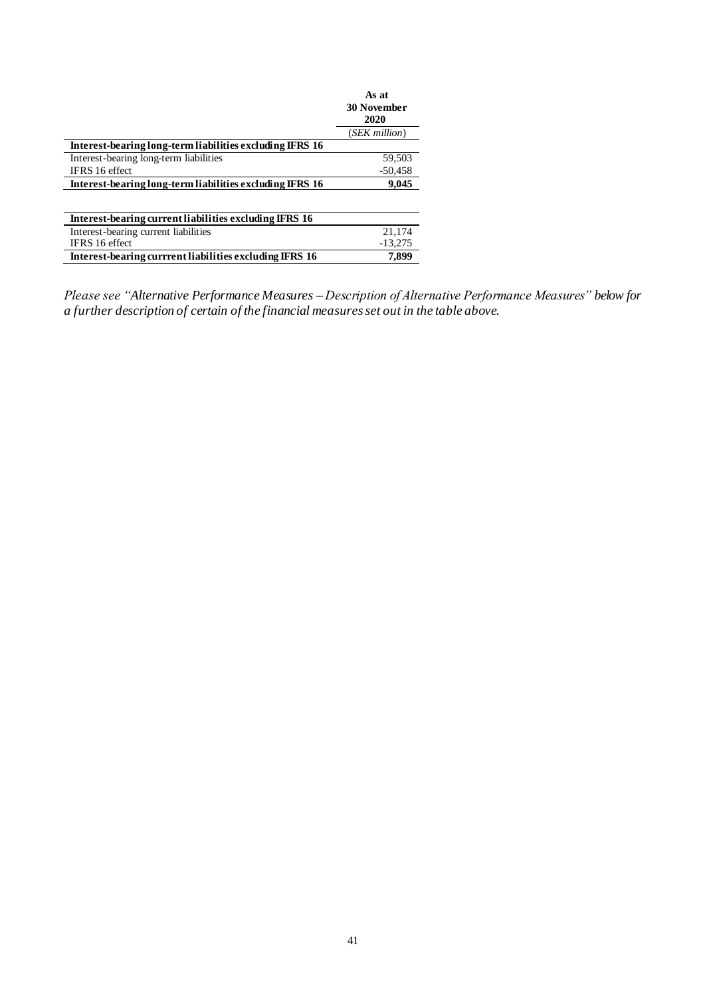|                                                          | As at<br><b>30 November</b><br>2020 |
|----------------------------------------------------------|-------------------------------------|
|                                                          | (SEK million)                       |
| Interest-bearing long-term liabilities excluding IFRS 16 |                                     |
| Interest-bearing long-term liabilities                   | 59,503                              |
| <b>IFRS</b> 16 effect                                    | $-50,458$                           |
| Interest-bearing long-term liabilities excluding IFRS 16 | 9,045                               |
|                                                          |                                     |
| Interest-bearing current liabilities excluding IFRS 16   |                                     |
| Interest-bearing current liabilities                     | 21,174                              |
| IFRS 16 effect                                           | $-13.275$                           |
| Interest-bearing currrent liabilities excluding IFRS 16  | 7.899                               |

*Please see "Alternative Performance Measures – Description of Alternative Performance Measures" below for a further description of certain of the financial measures set out in the table above.*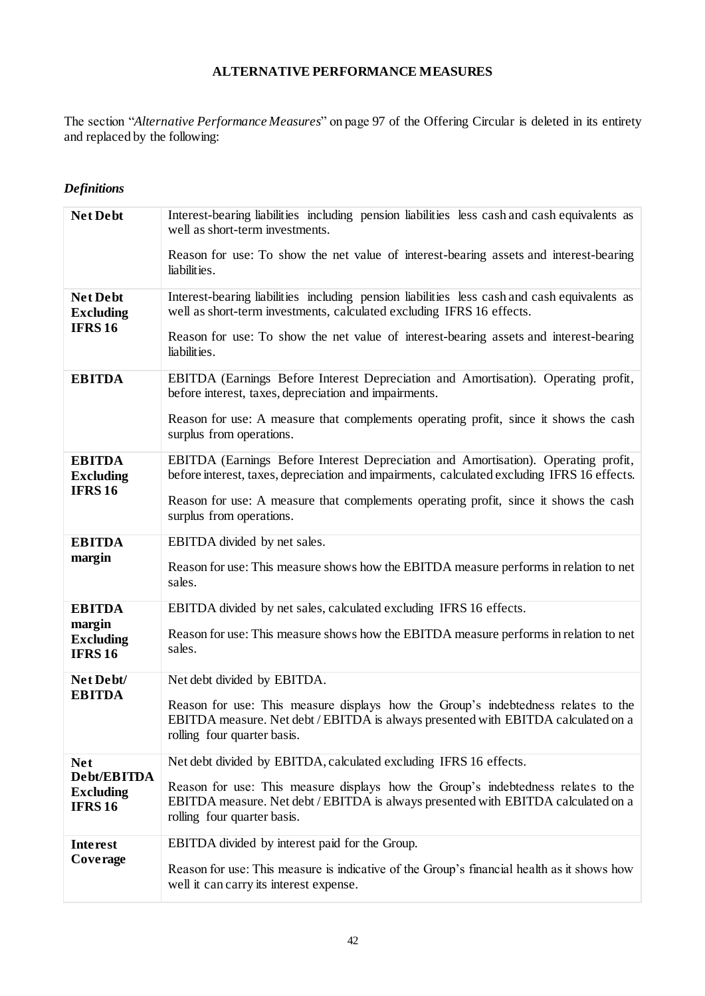## **ALTERNATIVE PERFORMANCE MEASURES**

The section "*Alternative Performance Measures*" on page 97 of the Offering Circular is deleted in its entirety and replaced by the following:

# *Definitions*

| Net Debt                                                       | Interest-bearing liabilities including pension liabilities less cash and cash equivalents as<br>well as short-term investments.<br>Reason for use: To show the net value of interest-bearing assets and interest-bearing<br>liabilities.                                                              |
|----------------------------------------------------------------|-------------------------------------------------------------------------------------------------------------------------------------------------------------------------------------------------------------------------------------------------------------------------------------------------------|
| <b>Net Debt</b><br><b>Excluding</b><br><b>IFRS16</b>           | Interest-bearing liabilities including pension liabilities less cash and cash equivalents as<br>well as short-term investments, calculated excluding IFRS 16 effects.<br>Reason for use: To show the net value of interest-bearing assets and interest-bearing<br>liabilities.                        |
| <b>EBITDA</b>                                                  | EBITDA (Earnings Before Interest Depreciation and Amortisation). Operating profit,<br>before interest, taxes, depreciation and impairments.<br>Reason for use: A measure that complements operating profit, since it shows the cash<br>surplus from operations.                                       |
| <b>EBITDA</b><br><b>Excluding</b><br><b>IFRS16</b>             | EBITDA (Earnings Before Interest Depreciation and Amortisation). Operating profit,<br>before interest, taxes, depreciation and impairments, calculated excluding IFRS 16 effects.<br>Reason for use: A measure that complements operating profit, since it shows the cash<br>surplus from operations. |
| <b>EBITDA</b><br>margin                                        | EBITDA divided by net sales.<br>Reason for use: This measure shows how the EBITDA measure performs in relation to net<br>sales.                                                                                                                                                                       |
| <b>EBITDA</b><br>margin<br><b>Excluding</b><br><b>IFRS16</b>   | EBITDA divided by net sales, calculated excluding IFRS 16 effects.<br>Reason for use: This measure shows how the EBITDA measure performs in relation to net<br>sales.                                                                                                                                 |
| Net Debt/<br><b>EBITDA</b>                                     | Net debt divided by EBITDA.<br>Reason for use: This measure displays how the Group's indebtedness relates to the<br>EBITDA measure. Net debt / EBITDA is always presented with EBITDA calculated on a<br>rolling four quarter basis.                                                                  |
| <b>Net</b><br>Debt/EBITDA<br><b>Excluding</b><br><b>IFRS16</b> | Net debt divided by EBITDA, calculated excluding IFRS 16 effects.<br>Reason for use: This measure displays how the Group's indebtedness relates to the<br>EBITDA measure. Net debt / EBITDA is always presented with EBITDA calculated on a<br>rolling four quarter basis.                            |
| <b>Interest</b><br>Coverage                                    | EBITDA divided by interest paid for the Group.<br>Reason for use: This measure is indicative of the Group's financial health as it shows how<br>well it can carry its interest expense.                                                                                                               |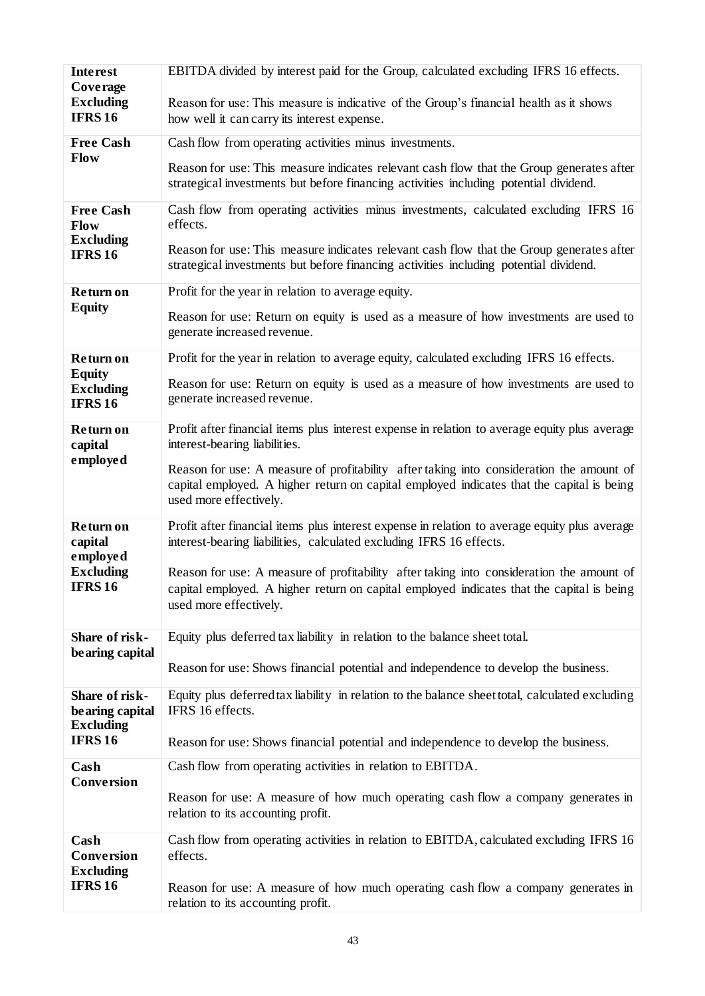| <b>Interest</b>                                        | EBITDA divided by interest paid for the Group, calculated excluding IFRS 16 effects.                                                                                                                            |
|--------------------------------------------------------|-----------------------------------------------------------------------------------------------------------------------------------------------------------------------------------------------------------------|
| Coverage<br><b>Excluding</b><br><b>IFRS16</b>          | Reason for use: This measure is indicative of the Group's financial health as it shows<br>how well it can carry its interest expense.                                                                           |
| <b>Free Cash</b>                                       | Cash flow from operating activities minus investments.                                                                                                                                                          |
| <b>Flow</b>                                            | Reason for use: This measure indicates relevant cash flow that the Group generates after<br>strategical investments but before financing activities including potential dividend.                               |
| <b>Free Cash</b><br>Flow                               | Cash flow from operating activities minus investments, calculated excluding IFRS 16<br>effects.                                                                                                                 |
| <b>Excluding</b><br><b>IFRS16</b>                      | Reason for use: This measure indicates relevant cash flow that the Group generates after<br>strategical investments but before financing activities including potential dividend.                               |
| <b>Return on</b>                                       | Profit for the year in relation to average equity.                                                                                                                                                              |
| <b>Equity</b>                                          | Reason for use: Return on equity is used as a measure of how investments are used to<br>generate increased revenue.                                                                                             |
| <b>Return on</b>                                       | Profit for the year in relation to average equity, calculated excluding IFRS 16 effects.                                                                                                                        |
| <b>Equity</b><br><b>Excluding</b><br><b>IFRS16</b>     | Reason for use: Return on equity is used as a measure of how investments are used to<br>generate increased revenue.                                                                                             |
| <b>Return on</b><br>capital                            | Profit after financial items plus interest expense in relation to average equity plus average<br>interest-bearing liabilities.                                                                                  |
| employed                                               | Reason for use: A measure of profitability after taking into consideration the amount of<br>capital employed. A higher return on capital employed indicates that the capital is being<br>used more effectively. |
| <b>Return on</b><br>capital                            | Profit after financial items plus interest expense in relation to average equity plus average<br>interest-bearing liabilities, calculated excluding IFRS 16 effects.                                            |
| employed<br><b>Excluding</b><br><b>IFRS16</b>          | Reason for use: A measure of profitability after taking into consideration the amount of<br>capital employed. A higher return on capital employed indicates that the capital is being<br>used more effectively. |
| Share of risk-                                         | Equity plus deferred tax liability in relation to the balance sheet total.                                                                                                                                      |
| bearing capital                                        | Reason for use: Shows financial potential and independence to develop the business.                                                                                                                             |
| Share of risk-<br>be aring capital<br><b>Excluding</b> | Equity plus deferred tax liability in relation to the balance sheet total, calculated excluding<br>IFRS 16 effects.                                                                                             |
| <b>IFRS16</b>                                          | Reason for use: Shows financial potential and independence to develop the business.                                                                                                                             |
| Cash<br><b>Conversion</b>                              | Cash flow from operating activities in relation to EBITDA.                                                                                                                                                      |
|                                                        | Reason for use: A measure of how much operating cash flow a company generates in<br>relation to its accounting profit.                                                                                          |
| Cash<br>Conversion<br><b>Excluding</b>                 | Cash flow from operating activities in relation to EBITDA, calculated excluding IFRS 16<br>effects.                                                                                                             |
| <b>IFRS16</b>                                          | Reason for use: A measure of how much operating cash flow a company generates in<br>relation to its accounting profit.                                                                                          |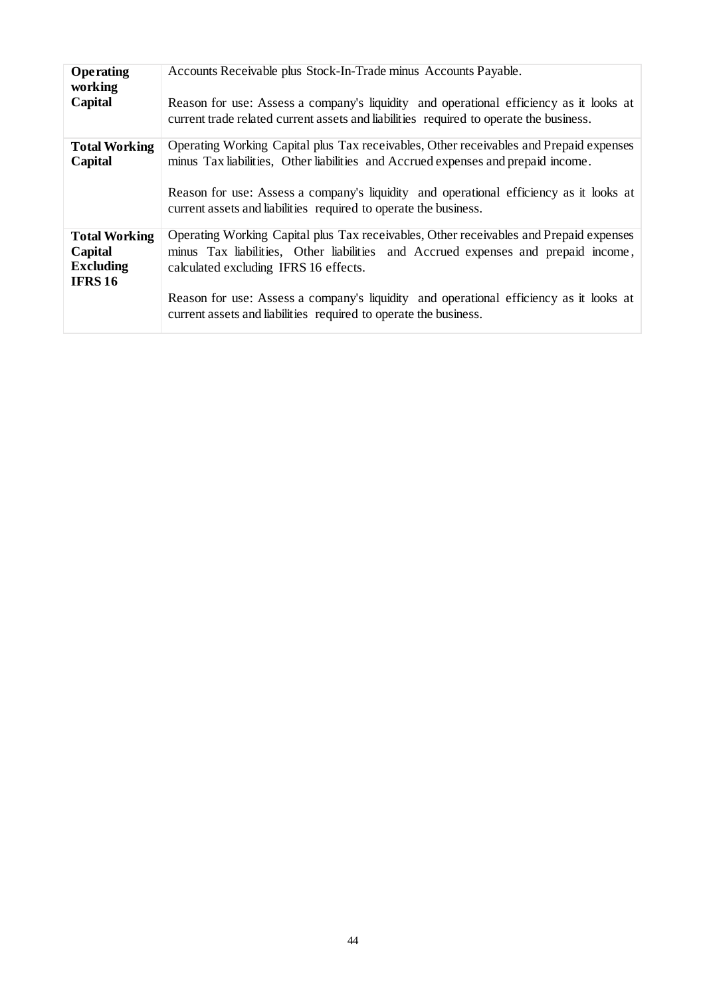| Operating                       | Accounts Receivable plus Stock-In-Trade minus Accounts Payable.                                                                                                                                                                                                                                                                           |
|---------------------------------|-------------------------------------------------------------------------------------------------------------------------------------------------------------------------------------------------------------------------------------------------------------------------------------------------------------------------------------------|
| working                         | Reason for use: Assess a company's liquidity and operational efficiency as it looks at                                                                                                                                                                                                                                                    |
| Capital                         | current trade related current assets and liabilities required to operate the business.                                                                                                                                                                                                                                                    |
| <b>Total Working</b><br>Capital | Operating Working Capital plus Tax receivables, Other receivables and Prepaid expenses<br>minus Tax liabilities, Other liabilities and Accrued expenses and prepaid income.<br>Reason for use: Assess a company's liquidity and operational efficiency as it looks at<br>current assets and liabilities required to operate the business. |
| <b>Total Working</b>            | Operating Working Capital plus Tax receivables, Other receivables and Prepaid expenses                                                                                                                                                                                                                                                    |
| Capital                         | minus Tax liabilities, Other liabilities and Accrued expenses and prepaid income,                                                                                                                                                                                                                                                         |
| <b>Excluding</b>                | calculated excluding IFRS 16 effects.                                                                                                                                                                                                                                                                                                     |
| <b>IFRS 16</b>                  | Reason for use: Assess a company's liquidity and operational efficiency as it looks at                                                                                                                                                                                                                                                    |
|                                 | current assets and liabilities required to operate the business.                                                                                                                                                                                                                                                                          |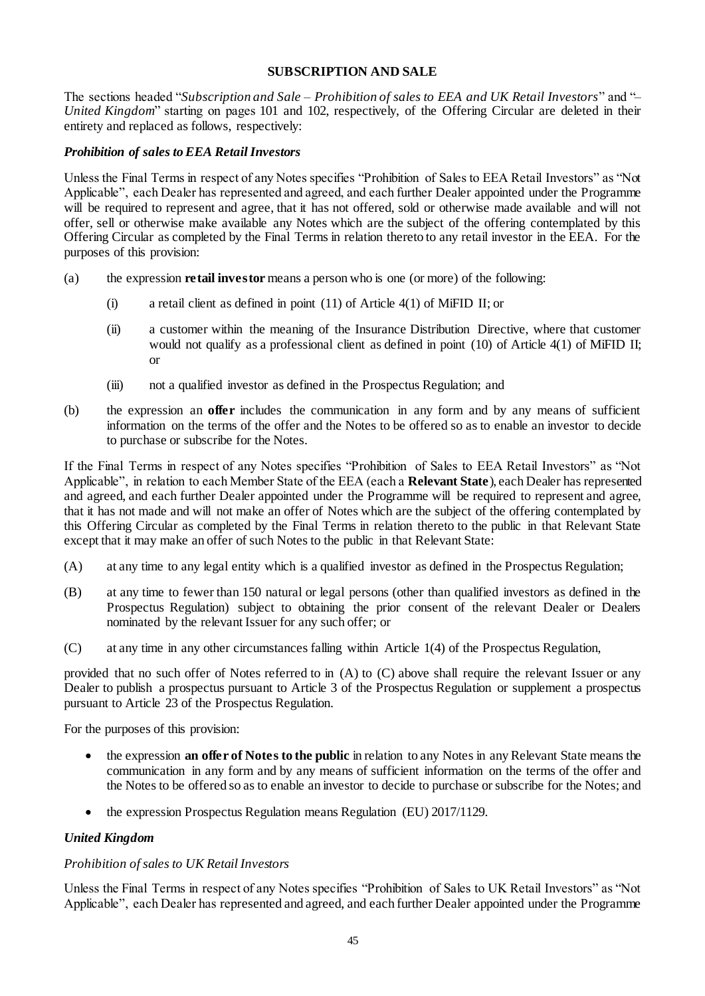### **SUBSCRIPTION AND SALE**

The sections headed "*Subscription and Sale – Prohibition of sales to EEA and UK Retail Investors*" and "– *United Kingdom*" starting on pages 101 and 102, respectively, of the Offering Circular are deleted in their entirety and replaced as follows, respectively:

#### *Prohibition of sales to EEA Retail Investors*

Unless the Final Terms in respect of any Notes specifies "Prohibition of Sales to EEA Retail Investors" as "Not Applicable", each Dealer has represented and agreed, and each further Dealer appointed under the Programme will be required to represent and agree, that it has not offered, sold or otherwise made available and will not offer, sell or otherwise make available any Notes which are the subject of the offering contemplated by this Offering Circular as completed by the Final Terms in relation thereto to any retail investor in the EEA. For the purposes of this provision:

- (a) the expression **retail investor** means a person who is one (or more) of the following:
	- (i) a retail client as defined in point (11) of Article 4(1) of MiFID II; or
	- (ii) a customer within the meaning of the Insurance Distribution Directive, where that customer would not qualify as a professional client as defined in point (10) of Article 4(1) of MiFID II; or
	- (iii) not a qualified investor as defined in the Prospectus Regulation; and
- (b) the expression an **offer** includes the communication in any form and by any means of sufficient information on the terms of the offer and the Notes to be offered so as to enable an investor to decide to purchase or subscribe for the Notes.

If the Final Terms in respect of any Notes specifies "Prohibition of Sales to EEA Retail Investors" as "Not Applicable", in relation to each Member State of the EEA (each a **Relevant State**), each Dealer has represented and agreed, and each further Dealer appointed under the Programme will be required to represent and agree, that it has not made and will not make an offer of Notes which are the subject of the offering contemplated by this Offering Circular as completed by the Final Terms in relation thereto to the public in that Relevant State except that it may make an offer of such Notes to the public in that Relevant State:

- (A) at any time to any legal entity which is a qualified investor as defined in the Prospectus Regulation;
- (B) at any time to fewer than 150 natural or legal persons (other than qualified investors as defined in the Prospectus Regulation) subject to obtaining the prior consent of the relevant Dealer or Dealers nominated by the relevant Issuer for any such offer; or
- (C) at any time in any other circumstances falling within Article 1(4) of the Prospectus Regulation,

provided that no such offer of Notes referred to in (A) to (C) above shall require the relevant Issuer or any Dealer to publish a prospectus pursuant to Article 3 of the Prospectus Regulation or supplement a prospectus pursuant to Article 23 of the Prospectus Regulation.

For the purposes of this provision:

- the expression **an offer of Notes to the public** in relation to any Notes in any Relevant State means the communication in any form and by any means of sufficient information on the terms of the offer and the Notes to be offered so as to enable an investor to decide to purchase or subscribe for the Notes; and
- the expression Prospectus Regulation means Regulation (EU) 2017/1129.

### *United Kingdom*

#### *Prohibition of sales to UK Retail Investors*

Unless the Final Terms in respect of any Notes specifies "Prohibition of Sales to UK Retail Investors" as "Not Applicable", each Dealer has represented and agreed, and each further Dealer appointed under the Programme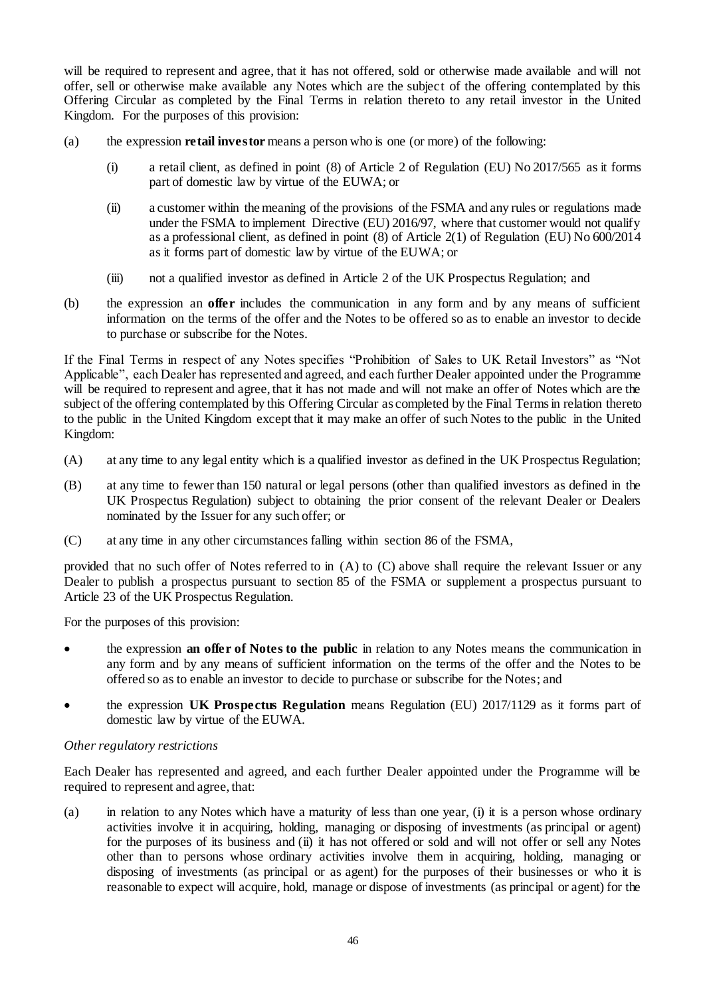will be required to represent and agree, that it has not offered, sold or otherwise made available and will not offer, sell or otherwise make available any Notes which are the subject of the offering contemplated by this Offering Circular as completed by the Final Terms in relation thereto to any retail investor in the United Kingdom. For the purposes of this provision:

- (a) the expression **retail investor** means a person who is one (or more) of the following:
	- (i) a retail client, as defined in point (8) of Article 2 of Regulation (EU) No 2017/565 as it forms part of domestic law by virtue of the EUWA; or
	- (ii) a customer within the meaning of the provisions of the FSMA and any rules or regulations made under the FSMA to implement Directive (EU) 2016/97, where that customer would not qualify as a professional client, as defined in point (8) of Article 2(1) of Regulation (EU) No 600/2014 as it forms part of domestic law by virtue of the EUWA; or
	- (iii) not a qualified investor as defined in Article 2 of the UK Prospectus Regulation; and
- (b) the expression an **offer** includes the communication in any form and by any means of sufficient information on the terms of the offer and the Notes to be offered so as to enable an investor to decide to purchase or subscribe for the Notes.

If the Final Terms in respect of any Notes specifies "Prohibition of Sales to UK Retail Investors" as "Not Applicable", each Dealer has represented and agreed, and each further Dealer appointed under the Programme will be required to represent and agree, that it has not made and will not make an offer of Notes which are the subject of the offering contemplated by this Offering Circular as completed by the Final Terms in relation thereto to the public in the United Kingdom except that it may make an offer of such Notes to the public in the United Kingdom:

- (A) at any time to any legal entity which is a qualified investor as defined in the UK Prospectus Regulation;
- (B) at any time to fewer than 150 natural or legal persons (other than qualified investors as defined in the UK Prospectus Regulation) subject to obtaining the prior consent of the relevant Dealer or Dealers nominated by the Issuer for any such offer; or
- (C) at any time in any other circumstances falling within section 86 of the FSMA,

provided that no such offer of Notes referred to in (A) to (C) above shall require the relevant Issuer or any Dealer to publish a prospectus pursuant to section 85 of the FSMA or supplement a prospectus pursuant to Article 23 of the UK Prospectus Regulation.

For the purposes of this provision:

- the expression **an offer of Notes to the public** in relation to any Notes means the communication in any form and by any means of sufficient information on the terms of the offer and the Notes to be offered so as to enable an investor to decide to purchase or subscribe for the Notes; and
- the expression **UK Prospectus Regulation** means Regulation (EU) 2017/1129 as it forms part of domestic law by virtue of the EUWA.

### *Other regulatory restrictions*

Each Dealer has represented and agreed, and each further Dealer appointed under the Programme will be required to represent and agree, that:

(a) in relation to any Notes which have a maturity of less than one year, (i) it is a person whose ordinary activities involve it in acquiring, holding, managing or disposing of investments (as principal or agent) for the purposes of its business and (ii) it has not offered or sold and will not offer or sell any Notes other than to persons whose ordinary activities involve them in acquiring, holding, managing or disposing of investments (as principal or as agent) for the purposes of their businesses or who it is reasonable to expect will acquire, hold, manage or dispose of investments (as principal or agent) for the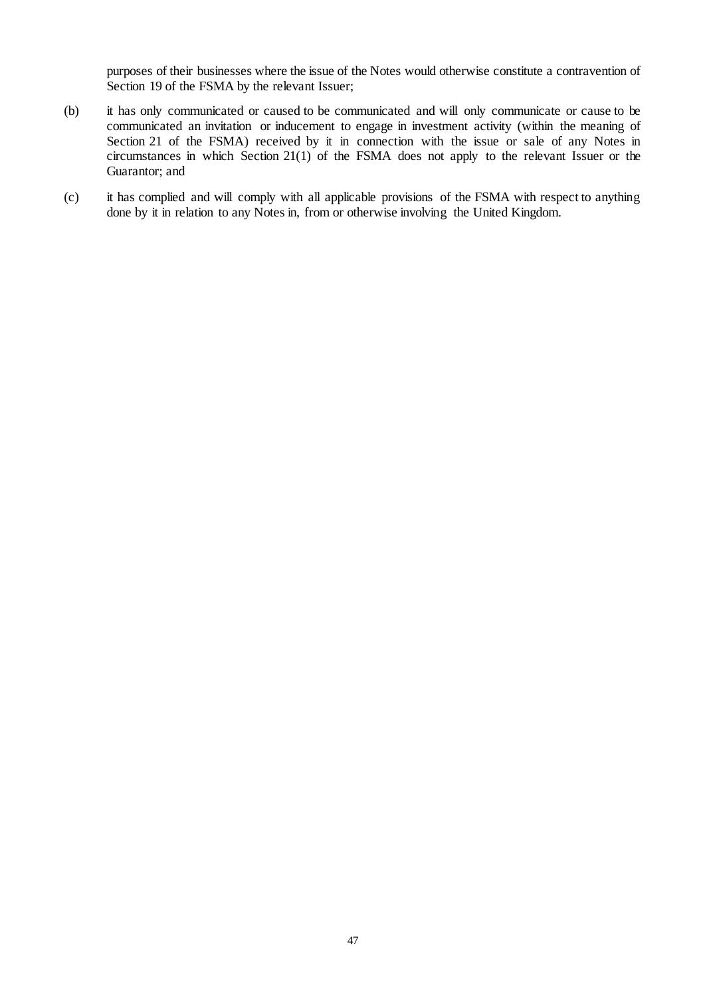purposes of their businesses where the issue of the Notes would otherwise constitute a contravention of Section 19 of the FSMA by the relevant Issuer;

- (b) it has only communicated or caused to be communicated and will only communicate or cause to be communicated an invitation or inducement to engage in investment activity (within the meaning of Section 21 of the FSMA) received by it in connection with the issue or sale of any Notes in circumstances in which Section 21(1) of the FSMA does not apply to the relevant Issuer or the Guarantor; and
- (c) it has complied and will comply with all applicable provisions of the FSMA with respect to anything done by it in relation to any Notes in, from or otherwise involving the United Kingdom.